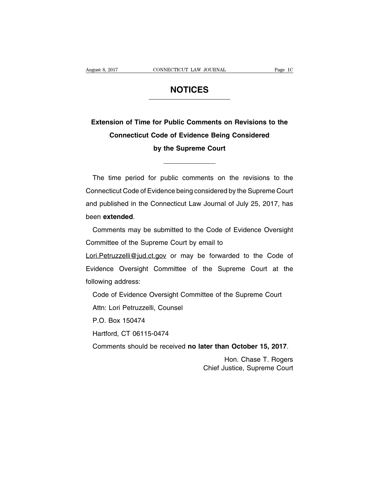# **NOTICES**

# **Extension of Time for Public Comments on Revisions to the Connecticut Code of Evidence Being Considered by the Supreme Court**

The time period for public comments on the revisions to the Connecticut Code of Evidence being considered by the Supreme Court and published in the Connecticut Law Journal of July 25, 2017, has been **extended**.

Comments may be submitted to the Code of Evidence Oversight Committee of the Supreme Court by email to

Lori. Petruzzelli@jud.ct.gov or may be forwarded to the Code of Evidence Oversight Committee of the Supreme Court at the following address:

Code of Evidence Oversight Committee of the Supreme Court Attn: Lori Petruzzelli, Counsel

P.O. Box 150474

Hartford, CT 06115-0474

Comments should be received **no later than October 15, 2017**.

Hon. Chase T. Rogers Chief Justice, Supreme Court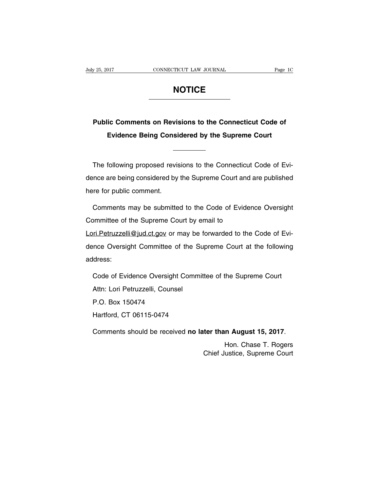# **NOTICE**

# **Public Comments on Revisions to the Connecticut Code of Evidence Being Considered by the Supreme Court**

The following proposed revisions to the Connecticut Code of Evidence are being considered by the Supreme Court and are published here for public comment.

Comments may be submitted to the Code of Evidence Oversight Committee of the Supreme Court by email to Lori. Petruzzelli@jud.ct.gov or may be forwarded to the Code of Evidence Oversight Committee of the Supreme Court at the following address:

Code of Evidence Oversight Committee of the Supreme Court Attn: Lori Petruzzelli, Counsel P.O. Box 150474 Hartford, CT 06115-0474

Comments should be received **no later than August 15, 2017**.

Hon. Chase T. Rogers Chief Justice, Supreme Court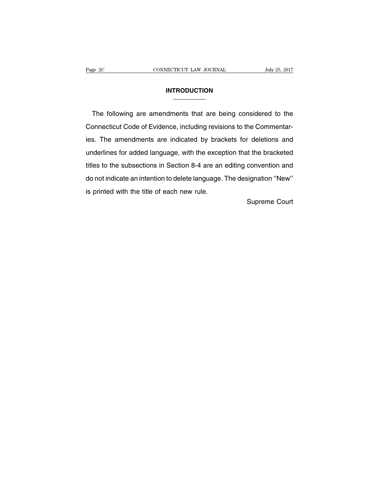#### **INTRODUCTION**

The following are amendments that are being considered to the Connecticut Code of Evidence, including revisions to the Commentaries. The amendments are indicated by brackets for deletions and underlines for added language, with the exception that the bracketed titles to the subsections in Section 8-4 are an editing convention and do not indicate an intention to delete language. The designation ''New'' is printed with the title of each new rule.

Supreme Court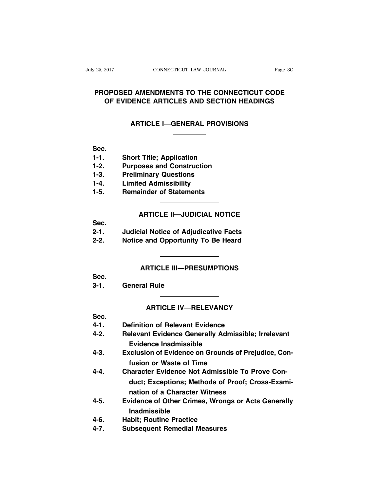# **PROPOSED AMENDMENTS TO THE CONNECTICUT CODE OF EVIDENCE ARTICLES AND SECTION HEADINGS**

#### **ARTICLE I—GENERAL PROVISIONS**

#### **Sec.**

- **1-1. Short Title; Application**
- **1-2. Purposes and Construction**
- **1-3. Preliminary Questions**
- **1-4. Limited Admissibility**
- **1-5. Remainder of Statements**

# **ARTICLE II—JUDICIAL NOTICE**

**Sec.**

- **2-1. Judicial Notice of Adjudicative Facts**
- **2-2. Notice and Opportunity To Be Heard**

# **ARTICLE III—PRESUMPTIONS**

**Sec.**

**3-1. General Rule**

#### **ARTICLE IV—RELEVANCY**

# **Sec.**

- **4-1. Definition of Relevant Evidence**
- **4-2. Relevant Evidence Generally Admissible; Irrelevant Evidence Inadmissible**
- **4-3. Exclusion of Evidence on Grounds of Prejudice, Confusion or Waste of Time**
- **4-4. Character Evidence Not Admissible To Prove Conduct; Exceptions; Methods of Proof; Cross-Examination of a Character Witness**
- **4-5. Evidence of Other Crimes, Wrongs or Acts Generally Inadmissible**
- **4-6. Habit; Routine Practice**
- **4-7. Subsequent Remedial Measures**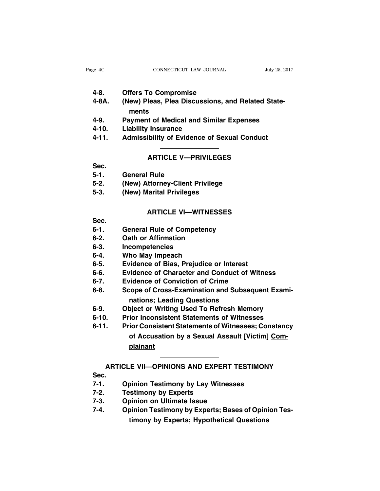- **4-8. Offers To Compromise**
- **4-8A. (New) Pleas, Plea Discussions, and Related Statements**
- **4-9. Payment of Medical and Similar Expenses**
- **4-10. Liability Insurance**
- **4-11. Admissibility of Evidence of Sexual Conduct**

# **ARTICLE V—PRIVILEGES**

**Sec.**

- **5-1. General Rule**
- **5-2. (New) Attorney-Client Privilege**
- **5-3. (New) Marital Privileges**

## **ARTICLE VI—WITNESSES**

**Sec.**

- **6-1. General Rule of Competency**
- **6-2. Oath or Affirmation**
- **6-3. Incompetencies**
- **6-4. Who May Impeach**
- **6-5. Evidence of Bias, Prejudice or Interest**
- **6-6. Evidence of Character and Conduct of Witness**
- **6-7. Evidence of Conviction of Crime**
- **6-8. Scope of Cross-Examination and Subsequent Examinations; Leading Questions**
- **6-9. Object or Writing Used To Refresh Memory**
- **6-10. Prior Inconsistent Statements of Witnesses**

**6-11. Prior Consistent Statements of Witnesses; Constancy of Accusation by a Sexual Assault [Victim] Complainant**

# **ARTICLE VII—OPINIONS AND EXPERT TESTIMONY**

**Sec.**

- **7-1. Opinion Testimony by Lay Witnesses**
- **7-2. Testimony by Experts**
- **7-3. Opinion on Ultimate Issue**
- **7-4. Opinion Testimony by Experts; Bases of Opinion Testimony by Experts; Hypothetical Questions**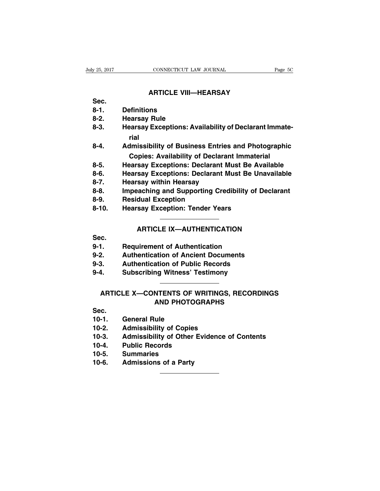# **ARTICLE VIII—HEARSAY**

- **Sec.**
- **8-1. Definitions**
- **8-2. Hearsay Rule**
- **8-3. Hearsay Exceptions: Availability of Declarant Immaterial**
- **8-4. Admissibility of Business Entries and Photographic Copies: Availability of Declarant Immaterial**
- **8-5. Hearsay Exceptions: Declarant Must Be Available**
- **8-6. Hearsay Exceptions: Declarant Must Be Unavailable**
- **8-7. Hearsay within Hearsay**
- **8-8. Impeaching and Supporting Credibility of Declarant**
- **8-9. Residual Exception**
- **8-10. Hearsay Exception: Tender Years**

# **ARTICLE IX—AUTHENTICATION**

- **Sec.**
- **9-1. Requirement of Authentication**
- **9-2. Authentication of Ancient Documents**
- **9-3. Authentication of Public Records**
- **9-4. Subscribing Witness' Testimony**

# **ARTICLE X—CONTENTS OF WRITINGS, RECORDINGS AND PHOTOGRAPHS**

**Sec.**

- **10-1. General Rule**
- **10-2. Admissibility of Copies**
- **10-3. Admissibility of Other Evidence of Contents**
- **10-4. Public Records**
- **10-5. Summaries**
- **10-6. Admissions of a Party**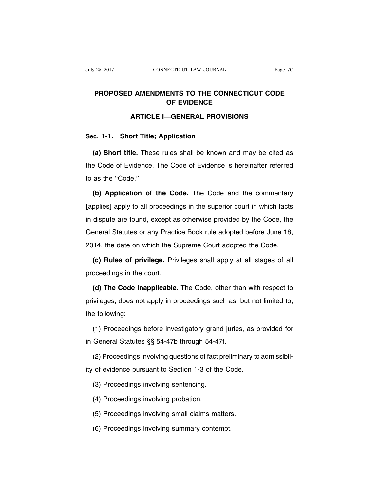# **PROPOSED AMENDMENTS TO THE CONNECTICUT CODE OF EVIDENCE**

# **ARTICLE I—GENERAL PROVISIONS**

# **Sec. 1-1. Short Title; Application**

**(a) Short title.** These rules shall be known and may be cited as the Code of Evidence. The Code of Evidence is hereinafter referred to as the ''Code.''

**(b) Application of the Code.** The Code and the commentary **[**applies**]** apply to all proceedings in the superior court in which facts in dispute are found, except as otherwise provided by the Code, the General Statutes or any Practice Book rule adopted before June 18, 2014, the date on which the Supreme Court adopted the Code.

**(c) Rules of privilege.** Privileges shall apply at all stages of all proceedings in the court.

**(d) The Code inapplicable.** The Code, other than with respect to privileges, does not apply in proceedings such as, but not limited to, the following:

(1) Proceedings before investigatory grand juries, as provided for in General Statutes §§ 54-47b through 54-47f.

(2) Proceedings involving questions of fact preliminary to admissibil-

ity of evidence pursuant to Section 1-3 of the Code.

(3) Proceedings involving sentencing.

(4) Proceedings involving probation.

(5) Proceedings involving small claims matters.

(6) Proceedings involving summary contempt.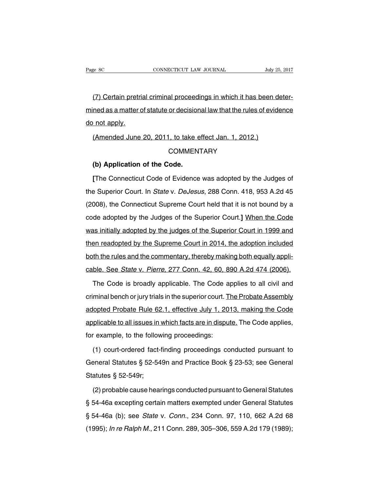(7) Certain pretrial criminal proceedings in which it has been determined as a matter of statute or decisional law that the rules of evidence do not apply.

(Amended June 20, 2011, to take effect Jan. 1, 2012.)

# **COMMENTARY**

## **(b) Application of the Code.**

**[**The Connecticut Code of Evidence was adopted by the Judges of the Superior Court. In State v. DeJesus, 288 Conn. 418, 953 A.2d 45 (2008), the Connecticut Supreme Court held that it is not bound by a code adopted by the Judges of the Superior Court.**]** When the Code was initially adopted by the judges of the Superior Court in 1999 and then readopted by the Supreme Court in 2014, the adoption included both the rules and the commentary, thereby making both equally applicable. See State v. Pierre, 277 Conn. 42, 60, 890 A.2d 474 (2006).

The Code is broadly applicable. The Code applies to all civil and criminal bench or jury trials in the superior court. The Probate Assembly adopted Probate Rule 62.1, effective July 1, 2013, making the Code applicable to all issues in which facts are in dispute. The Code applies, for example, to the following proceedings:

(1) court-ordered fact-finding proceedings conducted pursuant to General Statutes § 52-549n and Practice Book § 23-53; see General Statutes § 52-549r;

(2) probable cause hearings conducted pursuant to General Statutes § 54-46a excepting certain matters exempted under General Statutes § 54-46a (b); see State v. Conn., 234 Conn. 97, 110, 662 A.2d 68 (1995); In re Ralph M., 211 Conn. 289, 305–306, 559 A.2d 179 (1989);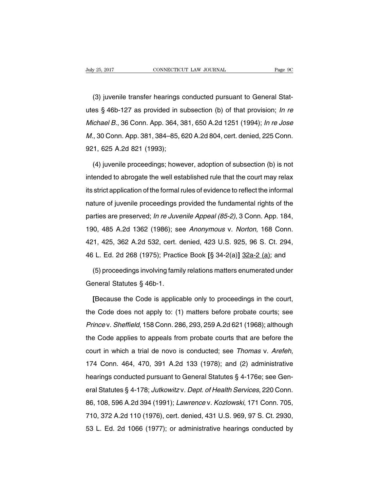(3) juvenile transfer hearings conducted pursuant to General Statutes § 46b-127 as provided in subsection (b) of that provision; In re Michael B., 36 Conn. App. 364, 381, 650 A.2d 1251 (1994); In re Jose M., 30 Conn. App. 381, 384–85, 620 A.2d 804, cert. denied, 225 Conn. 921, 625 A.2d 821 (1993);

(4) juvenile proceedings; however, adoption of subsection (b) is not intended to abrogate the well established rule that the court may relax its strict application of the formal rules of evidence to reflect the informal nature of juvenile proceedings provided the fundamental rights of the parties are preserved; In re Juvenile Appeal (85-2), 3 Conn. App. 184, 190, 485 A.2d 1362 (1986); see Anonymous v. Norton, 168 Conn. 421, 425, 362 A.2d 532, cert. denied, 423 U.S. 925, 96 S. Ct. 294, 46 L. Ed. 2d 268 (1975); Practice Book **[**§ 34-2(a)**]** 32a-2 (a); and

(5) proceedings involving family relations matters enumerated under General Statutes § 46b-1.

**[**Because the Code is applicable only to proceedings in the court, the Code does not apply to: (1) matters before probate courts; see Prince v. Sheffield, 158 Conn. 286, 293, 259 A.2d 621 (1968); although the Code applies to appeals from probate courts that are before the court in which a trial de novo is conducted; see Thomas v. Arefeh, 174 Conn. 464, 470, 391 A.2d 133 (1978); and (2) administrative hearings conducted pursuant to General Statutes § 4-176e; see General Statutes § 4-178; Jutkowitz v. Dept. of Health Services, 220 Conn. 86, 108, 596 A.2d 394 (1991); Lawrence v. Kozlowski, 171 Conn. 705, 710, 372 A.2d 110 (1976), cert. denied, 431 U.S. 969, 97 S. Ct. 2930, 53 L. Ed. 2d 1066 (1977); or administrative hearings conducted by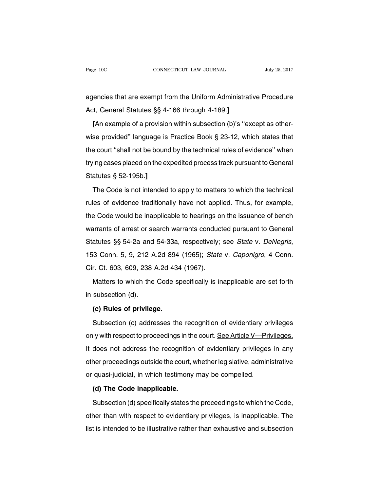agencies that are exempt from the Uniform Administrative Procedure Act, General Statutes §§ 4-166 through 4-189.**]**

**[**An example of a provision within subsection (b)'s ''except as otherwise provided'' language is Practice Book § 23-12, which states that the court ''shall not be bound by the technical rules of evidence'' when trying cases placed on the expedited process track pursuant to General Statutes § 52-195b.**]**

The Code is not intended to apply to matters to which the technical rules of evidence traditionally have not applied. Thus, for example, the Code would be inapplicable to hearings on the issuance of bench warrants of arrest or search warrants conducted pursuant to General Statutes §§ 54-2a and 54-33a, respectively; see State v. DeNegris, 153 Conn. 5, 9, 212 A.2d 894 (1965); State v. Caponigro, 4 Conn. Cir. Ct. 603, 609, 238 A.2d 434 (1967).

Matters to which the Code specifically is inapplicable are set forth in subsection (d).

#### **(c) Rules of privilege.**

Subsection (c) addresses the recognition of evidentiary privileges only with respect to proceedings in the court. See Article V—Privileges. It does not address the recognition of evidentiary privileges in any other proceedings outside the court, whether legislative, administrative or quasi-judicial, in which testimony may be compelled.

#### **(d) The Code inapplicable.**

Subsection (d) specifically states the proceedings to which the Code, other than with respect to evidentiary privileges, is inapplicable. The list is intended to be illustrative rather than exhaustive and subsection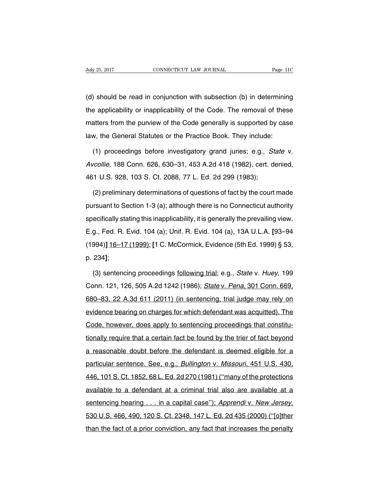(d) should be read in conjunction with subsection (b) in determining the applicability or inapplicability of the Code. The removal of these matters from the purview of the Code generally is supported by case law, the General Statutes or the Practice Book. They include:

(1) proceedings before investigatory grand juries; e.g., State v. Avcollie, 188 Conn. 626, 630–31, 453 A.2d 418 (1982), cert. denied, 461 U.S. 928, 103 S. Ct. 2088, 77 L. Ed. 2d 299 (1983);

(2) preliminary determinations of questions of fact by the court made pursuant to Section 1-3 (a); although there is no Connecticut authority specifically stating this inapplicability, it is generally the prevailing view. E.g., Fed. R. Evid. 104 (a); Unif. R. Evid. 104 (a), 13A U.L.A. **[**93–94 (1994)**]** 16–17 (1999); **[**1 C. McCormick, Evidence (5th Ed. 1999) § 53, p. 234**]**;

(3) sentencing proceedings following trial; e.g., State v. Huey, 199 Conn. 121, 126, 505 A.2d 1242 (1986); State v. Pena, 301 Conn. 669, 680–83, 22 A.3d 611 (2011) (in sentencing, trial judge may rely on evidence bearing on charges for which defendant was acquitted). The Code, however, does apply to sentencing proceedings that constitutionally require that a certain fact be found by the trier of fact beyond a reasonable doubt before the defendant is deemed eligible for a particular sentence. See, e.g., Bullington v. Missouri, 451 U.S. 430, 446, 101 S. Ct. 1852, 68 L. Ed. 2d 270 (1981) (''many of the protections available to a defendant at a criminal trial also are available at a sentencing hearing . . . in a capital case"); Apprendi v. New Jersey, 530 U.S. 466, 490, 120 S. Ct. 2348, 147 L. Ed. 2d 435 (2000) (''[o]ther than the fact of a prior conviction, any fact that increases the penalty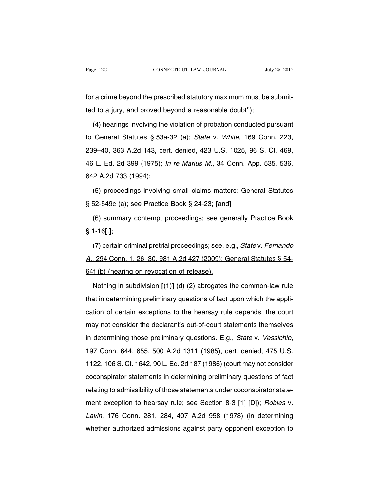for a crime beyond the prescribed statutory maximum must be submitted to a jury, and proved beyond a reasonable doubt'');

(4) hearings involving the violation of probation conducted pursuant to General Statutes § 53a-32 (a); State v. White, 169 Conn. 223, 239–40, 363 A.2d 143, cert. denied, 423 U.S. 1025, 96 S. Ct. 469, 46 L. Ed. 2d 399 (1975); In re Marius M., 34 Conn. App. 535, 536, 642 A.2d 733 (1994);

(5) proceedings involving small claims matters; General Statutes § 52-549c (a); see Practice Book § 24-23; **[**and**]**

(6) summary contempt proceedings; see generally Practice Book § 1-16**[**.**]**;

(7) certain criminal pretrial proceedings; see, e.g., State v. Fernando A., 294 Conn. 1, 26–30, 981 A.2d 427 (2009); General Statutes § 54- 64f (b) (hearing on revocation of release).

Nothing in subdivision **[**(1)**]** (d) (2) abrogates the common-law rule that in determining preliminary questions of fact upon which the application of certain exceptions to the hearsay rule depends, the court may not consider the declarant's out-of-court statements themselves in determining those preliminary questions. E.g., State v. Vessichio, 197 Conn. 644, 655, 500 A.2d 1311 (1985), cert. denied, 475 U.S. 1122, 106 S. Ct. 1642, 90 L. Ed. 2d 187 (1986) (court may not consider coconspirator statements in determining preliminary questions of fact relating to admissibility of those statements under coconspirator statement exception to hearsay rule; see Section 8-3 [1] [D]); Robles v. Lavin, 176 Conn. 281, 284, 407 A.2d 958 (1978) (in determining whether authorized admissions against party opponent exception to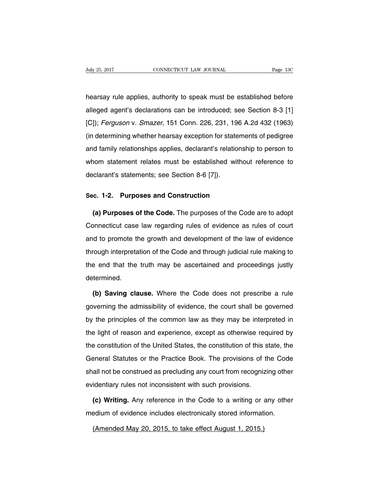hearsay rule applies, authority to speak must be established before alleged agent's declarations can be introduced; see Section 8-3 [1] [C]); Ferguson v. Smazer, 151 Conn. 226, 231, 196 A.2d 432 (1963) (in determining whether hearsay exception for statements of pedigree and family relationships applies, declarant's relationship to person to whom statement relates must be established without reference to declarant's statements; see Section 8-6 [7]).

#### **Sec. 1-2. Purposes and Construction**

**(a) Purposes of the Code.** The purposes of the Code are to adopt Connecticut case law regarding rules of evidence as rules of court and to promote the growth and development of the law of evidence through interpretation of the Code and through judicial rule making to the end that the truth may be ascertained and proceedings justly determined.

**(b) Saving clause.** Where the Code does not prescribe a rule governing the admissibility of evidence, the court shall be governed by the principles of the common law as they may be interpreted in the light of reason and experience, except as otherwise required by the constitution of the United States, the constitution of this state, the General Statutes or the Practice Book. The provisions of the Code shall not be construed as precluding any court from recognizing other evidentiary rules not inconsistent with such provisions.

**(c) Writing.** Any reference in the Code to a writing or any other medium of evidence includes electronically stored information.

(Amended May 20, 2015, to take effect August 1, 2015.)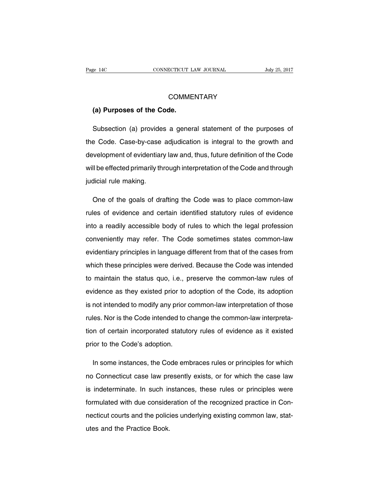#### **COMMENTARY**

#### **(a) Purposes of the Code.**

Subsection (a) provides a general statement of the purposes of the Code. Case-by-case adjudication is integral to the growth and development of evidentiary law and, thus, future definition of the Code will be effected primarily through interpretation of the Code and through judicial rule making.

One of the goals of drafting the Code was to place common-law rules of evidence and certain identified statutory rules of evidence into a readily accessible body of rules to which the legal profession conveniently may refer. The Code sometimes states common-law evidentiary principles in language different from that of the cases from which these principles were derived. Because the Code was intended to maintain the status quo, i.e., preserve the common-law rules of evidence as they existed prior to adoption of the Code, its adoption is not intended to modify any prior common-law interpretation of those rules. Nor is the Code intended to change the common-law interpretation of certain incorporated statutory rules of evidence as it existed prior to the Code's adoption.

In some instances, the Code embraces rules or principles for which no Connecticut case law presently exists, or for which the case law is indeterminate. In such instances, these rules or principles were formulated with due consideration of the recognized practice in Connecticut courts and the policies underlying existing common law, statutes and the Practice Book.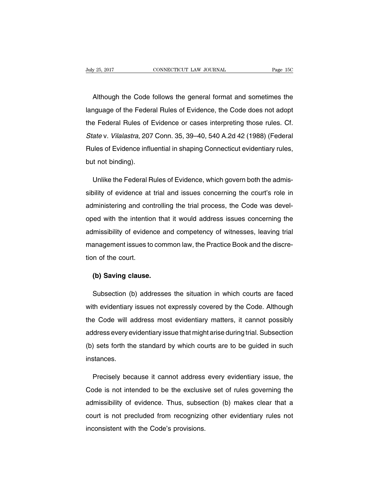Although the Code follows the general format and sometimes the language of the Federal Rules of Evidence, the Code does not adopt the Federal Rules of Evidence or cases interpreting those rules. Cf. State v. Vilalastra, 207 Conn. 35, 39–40, 540 A.2d 42 (1988) (Federal Rules of Evidence influential in shaping Connecticut evidentiary rules, but not binding).

Unlike the Federal Rules of Evidence, which govern both the admissibility of evidence at trial and issues concerning the court's role in administering and controlling the trial process, the Code was developed with the intention that it would address issues concerning the admissibility of evidence and competency of witnesses, leaving trial management issues to common law, the Practice Book and the discretion of the court.

# **(b) Saving clause.**

Subsection (b) addresses the situation in which courts are faced with evidentiary issues not expressly covered by the Code. Although the Code will address most evidentiary matters, it cannot possibly address every evidentiary issue that might arise during trial. Subsection (b) sets forth the standard by which courts are to be guided in such instances.

Precisely because it cannot address every evidentiary issue, the Code is not intended to be the exclusive set of rules governing the admissibility of evidence. Thus, subsection (b) makes clear that a court is not precluded from recognizing other evidentiary rules not inconsistent with the Code's provisions.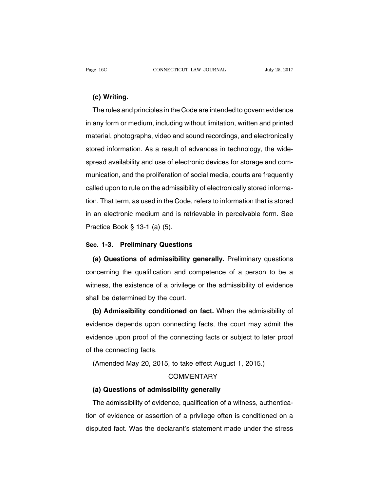#### **(c) Writing.**

The rules and principles in the Code are intended to govern evidence in any form or medium, including without limitation, written and printed material, photographs, video and sound recordings, and electronically stored information. As a result of advances in technology, the widespread availability and use of electronic devices for storage and communication, and the proliferation of social media, courts are frequently called upon to rule on the admissibility of electronically stored information. That term, as used in the Code, refers to information that is stored in an electronic medium and is retrievable in perceivable form. See Practice Book § 13-1 (a) (5).

#### **Sec. 1-3. Preliminary Questions**

**(a) Questions of admissibility generally.** Preliminary questions concerning the qualification and competence of a person to be a witness, the existence of a privilege or the admissibility of evidence shall be determined by the court.

**(b) Admissibility conditioned on fact.** When the admissibility of evidence depends upon connecting facts, the court may admit the evidence upon proof of the connecting facts or subject to later proof of the connecting facts.

# (Amended May 20, 2015, to take effect August 1, 2015.) **COMMENTARY**

#### **(a) Questions of admissibility generally**

The admissibility of evidence, qualification of a witness, authentication of evidence or assertion of a privilege often is conditioned on a disputed fact. Was the declarant's statement made under the stress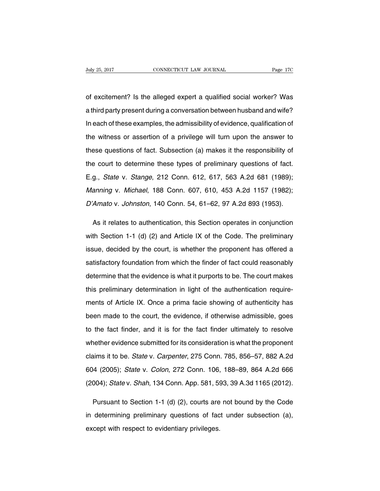of excitement? Is the alleged expert a qualified social worker? Was a third party present during a conversation between husband and wife? In each of these examples, the admissibility of evidence, qualification of the witness or assertion of a privilege will turn upon the answer to these questions of fact. Subsection (a) makes it the responsibility of the court to determine these types of preliminary questions of fact. E.g., State v. Stange, 212 Conn. 612, 617, 563 A.2d 681 (1989); Manning v. Michael, 188 Conn. 607, 610, 453 A.2d 1157 (1982); D'Amato v. Johnston, 140 Conn. 54, 61–62, 97 A.2d 893 (1953).

As it relates to authentication, this Section operates in conjunction with Section 1-1 (d) (2) and Article IX of the Code. The preliminary issue, decided by the court, is whether the proponent has offered a satisfactory foundation from which the finder of fact could reasonably determine that the evidence is what it purports to be. The court makes this preliminary determination in light of the authentication requirements of Article IX. Once a prima facie showing of authenticity has been made to the court, the evidence, if otherwise admissible, goes to the fact finder, and it is for the fact finder ultimately to resolve whether evidence submitted for its consideration is what the proponent claims it to be. State v. Carpenter, 275 Conn. 785, 856–57, 882 A.2d 604 (2005); State v. Colon, 272 Conn. 106, 188–89, 864 A.2d 666 (2004); State v. Shah, 134 Conn. App. 581, 593, 39 A.3d 1165 (2012).

Pursuant to Section 1-1 (d) (2), courts are not bound by the Code in determining preliminary questions of fact under subsection (a), except with respect to evidentiary privileges.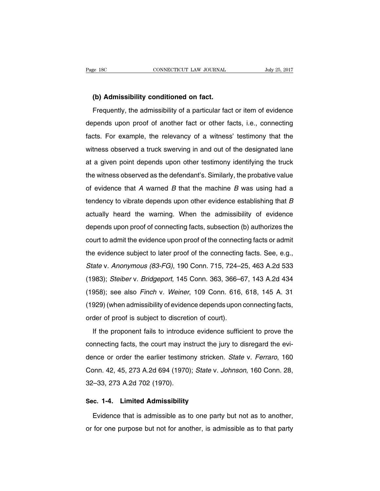**(b) Admissibility conditioned on fact.**

Frequently, the admissibility of a particular fact or item of evidence depends upon proof of another fact or other facts, i.e., connecting facts. For example, the relevancy of a witness' testimony that the witness observed a truck swerving in and out of the designated lane at a given point depends upon other testimony identifying the truck the witness observed as the defendant's. Similarly, the probative value of evidence that A warned B that the machine B was using had a tendency to vibrate depends upon other evidence establishing that B actually heard the warning. When the admissibility of evidence depends upon proof of connecting facts, subsection (b) authorizes the court to admit the evidence upon proof of the connecting facts or admit the evidence subject to later proof of the connecting facts. See, e.g., State v. Anonymous (83-FG), 190 Conn. 715, 724–25, 463 A.2d 533 (1983); Steiber v. Bridgeport, 145 Conn. 363, 366–67, 143 A.2d 434 (1958); see also Finch v. Weiner, 109 Conn. 616, 618, 145 A. 31 (1929) (when admissibility of evidence depends upon connecting facts, order of proof is subject to discretion of court).

If the proponent fails to introduce evidence sufficient to prove the connecting facts, the court may instruct the jury to disregard the evidence or order the earlier testimony stricken. State v. Ferraro, 160 Conn. 42, 45, 273 A.2d 694 (1970); State v. Johnson, 160 Conn. 28, 32–33, 273 A.2d 702 (1970).

#### **Sec. 1-4. Limited Admissibility**

Evidence that is admissible as to one party but not as to another, or for one purpose but not for another, is admissible as to that party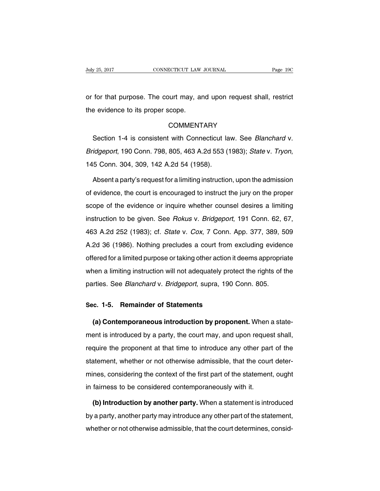or for that purpose. The court may, and upon request shall, restrict the evidence to its proper scope.

#### COMMENTARY

Section 1-4 is consistent with Connecticut law. See Blanchard v. Bridgeport, 190 Conn. 798, 805, 463 A.2d 553 (1983); State v. Tryon, 145 Conn. 304, 309, 142 A.2d 54 (1958).

Absent a party's request for a limiting instruction, upon the admission of evidence, the court is encouraged to instruct the jury on the proper scope of the evidence or inquire whether counsel desires a limiting instruction to be given. See Rokus v. Bridgeport, 191 Conn. 62, 67, 463 A.2d 252 (1983); cf. State v. Cox, 7 Conn. App. 377, 389, 509 A.2d 36 (1986). Nothing precludes a court from excluding evidence offered for a limited purpose or taking other action it deems appropriate when a limiting instruction will not adequately protect the rights of the parties. See Blanchard v. Bridgeport, supra, 190 Conn. 805.

# **Sec. 1-5. Remainder of Statements**

**(a) Contemporaneous introduction by proponent.** When a statement is introduced by a party, the court may, and upon request shall, require the proponent at that time to introduce any other part of the statement, whether or not otherwise admissible, that the court determines, considering the context of the first part of the statement, ought in fairness to be considered contemporaneously with it.

**(b) Introduction by another party.** When a statement is introduced by a party, another party may introduce any other part of the statement, whether or not otherwise admissible, that the court determines, consid-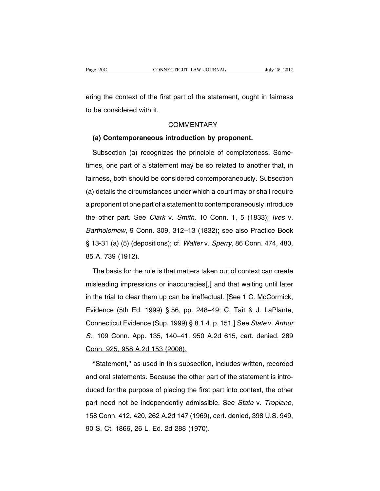ering the context of the first part of the statement, ought in fairness to be considered with it.

#### **COMMENTARY**

#### **(a) Contemporaneous introduction by proponent.**

Subsection (a) recognizes the principle of completeness. Sometimes, one part of a statement may be so related to another that, in fairness, both should be considered contemporaneously. Subsection (a) details the circumstances under which a court may or shall require a proponent of one part of a statement to contemporaneously introduce the other part. See Clark v. Smith, 10 Conn. 1, 5 (1833); Ives v. Bartholomew, 9 Conn. 309, 312–13 (1832); see also Practice Book § 13-31 (a) (5) (depositions); cf. Walter v. Sperry, 86 Conn. 474, 480, 85 A. 739 (1912).

The basis for the rule is that matters taken out of context can create misleading impressions or inaccuracies**[**,**]** and that waiting until later in the trial to clear them up can be ineffectual. **[**See 1 C. McCormick, Evidence (5th Ed. 1999) § 56, pp. 248–49; C. Tait & J. LaPlante, Connecticut Evidence (Sup. 1999) § 8.1.4, p. 151.**]** See State v. Arthur S., 109 Conn. App. 135, 140–41, 950 A.2d 615, cert. denied, 289 Conn. 925, 958 A.2d 153 (2008).

''Statement,'' as used in this subsection, includes written, recorded and oral statements. Because the other part of the statement is introduced for the purpose of placing the first part into context, the other part need not be independently admissible. See State v. Tropiano, 158 Conn. 412, 420, 262 A.2d 147 (1969), cert. denied, 398 U.S. 949, 90 S. Ct. 1866, 26 L. Ed. 2d 288 (1970).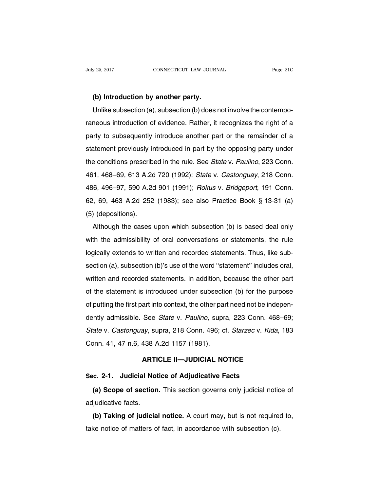## **(b) Introduction by another party.**

Unlike subsection (a), subsection (b) does not involve the contemporaneous introduction of evidence. Rather, it recognizes the right of a party to subsequently introduce another part or the remainder of a statement previously introduced in part by the opposing party under the conditions prescribed in the rule. See State v. Paulino, 223 Conn. 461, 468–69, 613 A.2d 720 (1992); State v. Castonguay, 218 Conn. 486, 496–97, 590 A.2d 901 (1991); Rokus v. Bridgeport, 191 Conn. 62, 69, 463 A.2d 252 (1983); see also Practice Book § 13-31 (a) (5) (depositions).

Although the cases upon which subsection (b) is based deal only with the admissibility of oral conversations or statements, the rule logically extends to written and recorded statements. Thus, like subsection (a), subsection (b)'s use of the word ''statement'' includes oral, written and recorded statements. In addition, because the other part of the statement is introduced under subsection (b) for the purpose of putting the first part into context, the other part need not be independently admissible. See State v. Paulino, supra, 223 Conn. 468–69; State v. Castonguay, supra, 218 Conn. 496; cf. Starzec v. Kida, 183 Conn. 41, 47 n.6, 438 A.2d 1157 (1981).

#### **ARTICLE II—JUDICIAL NOTICE**

#### **Sec. 2-1. Judicial Notice of Adjudicative Facts**

**(a) Scope of section.** This section governs only judicial notice of adjudicative facts.

**(b) Taking of judicial notice.** A court may, but is not required to, take notice of matters of fact, in accordance with subsection (c).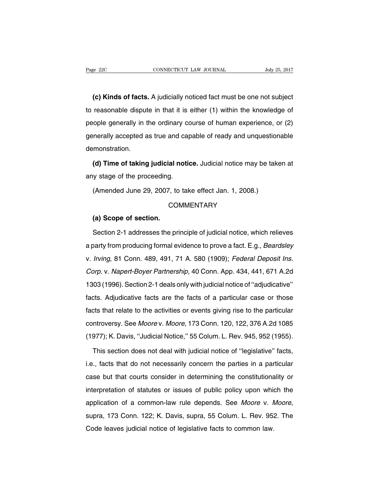**(c) Kinds of facts.** A judicially noticed fact must be one not subject to reasonable dispute in that it is either (1) within the knowledge of people generally in the ordinary course of human experience, or (2) generally accepted as true and capable of ready and unquestionable demonstration.

**(d) Time of taking judicial notice.** Judicial notice may be taken at any stage of the proceeding.

(Amended June 29, 2007, to take effect Jan. 1, 2008.)

#### **COMMENTARY**

#### **(a) Scope of section.**

Section 2-1 addresses the principle of judicial notice, which relieves a party from producing formal evidence to prove a fact. E.g., Beardsley v. Irving, 81 Conn. 489, 491, 71 A. 580 (1909); Federal Deposit Ins. Corp. v. Napert-Boyer Partnership, 40 Conn. App. 434, 441, 671 A.2d 1303 (1996).Section 2-1 deals only with judicial notice of ''adjudicative'' facts. Adjudicative facts are the facts of a particular case or those facts that relate to the activities or events giving rise to the particular controversy. See Moore v. Moore, 173 Conn. 120, 122, 376 A.2d 1085 (1977); K. Davis, ''Judicial Notice,'' 55 Colum. L. Rev. 945, 952 (1955).

This section does not deal with judicial notice of ''legislative'' facts, i.e., facts that do not necessarily concern the parties in a particular case but that courts consider in determining the constitutionality or interpretation of statutes or issues of public policy upon which the application of a common-law rule depends. See Moore v. Moore, supra, 173 Conn. 122; K. Davis, supra, 55 Colum. L. Rev. 952. The Code leaves judicial notice of legislative facts to common law.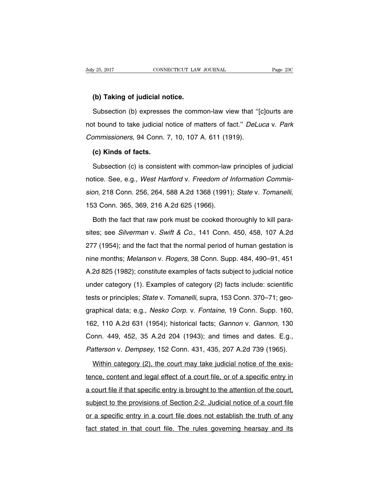#### **(b) Taking of judicial notice.**

Subsection (b) expresses the common-law view that ''[c]ourts are not bound to take judicial notice of matters of fact." DeLuca v. Park Commissioners, 94 Conn. 7, 10, 107 A. 611 (1919).

#### **(c) Kinds of facts.**

Subsection (c) is consistent with common-law principles of judicial notice. See, e.g., West Hartford v. Freedom of Information Commission, 218 Conn. 256, 264, 588 A.2d 1368 (1991); State v. Tomanelli, 153 Conn. 365, 369, 216 A.2d 625 (1966).

Both the fact that raw pork must be cooked thoroughly to kill parasites; see Silverman v. Swift & Co., 141 Conn. 450, 458, 107 A.2d 277 (1954); and the fact that the normal period of human gestation is nine months; Melanson v. Rogers, 38 Conn. Supp. 484, 490–91, 451 A.2d 825 (1982); constitute examples of facts subject to judicial notice under category (1). Examples of category (2) facts include: scientific tests or principles; State v. Tomanelli, supra, 153 Conn. 370–71; geographical data; e.g., Nesko Corp. v. Fontaine, 19 Conn. Supp. 160, 162, 110 A.2d 631 (1954); historical facts; Gannon v. Gannon, 130 Conn. 449, 452, 35 A.2d 204 (1943); and times and dates. E.g., Patterson v. Dempsey, 152 Conn. 431, 435, 207 A.2d 739 (1965).

Within category (2), the court may take judicial notice of the existence, content and legal effect of a court file, or of a specific entry in a court file if that specific entry is brought to the attention of the court, subject to the provisions of Section 2-2. Judicial notice of a court file or a specific entry in a court file does not establish the truth of any fact stated in that court file. The rules governing hearsay and its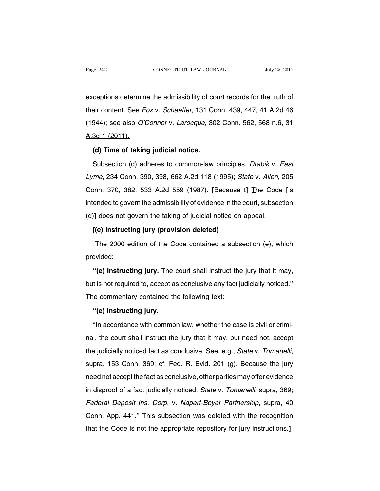exceptions determine the admissibility of court records for the truth of their content. See Fox v. Schaeffer, 131 Conn. 439, 447, 41 A.2d 46 (1944); see also O'Connor v. Larocque, 302 Conn. 562, 568 n.6, 31 A.3d 1 (2011).

# **(d) Time of taking judicial notice.**

Subsection (d) adheres to common-law principles. Drabik v. East Lyme, 234 Conn. 390, 398, 662 A.2d 118 (1995); State v. Allen, 205 Conn. 370, 382, 533 A.2d 559 (1987). **[**Because t**]** The Code **[**is intended to govern the admissibility of evidence in the court, subsection (d)**]** does not govern the taking of judicial notice on appeal.

# **[(e) Instructing jury (provision deleted)**

The 2000 edition of the Code contained a subsection (e), which provided:

**''(e) Instructing jury.** The court shall instruct the jury that it may, but is not required to, accept as conclusive any fact judicially noticed.'' The commentary contained the following text:

#### **''(e) Instructing jury.**

''In accordance with common law, whether the case is civil or criminal, the court shall instruct the jury that it may, but need not, accept the judicially noticed fact as conclusive. See, e.g., State v. Tomanelli, supra, 153 Conn. 369; cf. Fed. R. Evid. 201 (g). Because the jury need not accept the fact as conclusive, other parties may offer evidence in disproof of a fact judicially noticed. State v. Tomanelli, supra, 369; Federal Deposit Ins. Corp. v. Napert-Boyer Partnership, supra, 40 Conn. App. 441.'' This subsection was deleted with the recognition that the Code is not the appropriate repository for jury instructions.**]**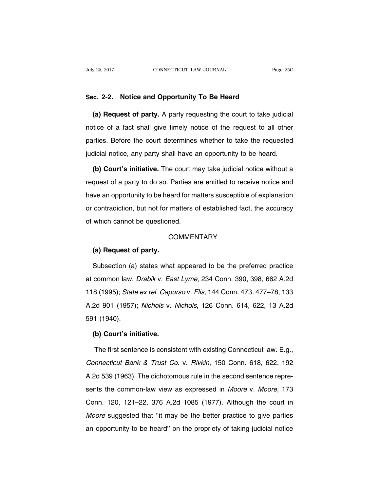#### **Sec. 2-2. Notice and Opportunity To Be Heard**

**(a) Request of party.** A party requesting the court to take judicial notice of a fact shall give timely notice of the request to all other parties. Before the court determines whether to take the requested judicial notice, any party shall have an opportunity to be heard.

**(b) Court's initiative.** The court may take judicial notice without a request of a party to do so. Parties are entitled to receive notice and have an opportunity to be heard for matters susceptible of explanation or contradiction, but not for matters of established fact, the accuracy of which cannot be questioned.

### **COMMENTARY**

#### **(a) Request of party.**

Subsection (a) states what appeared to be the preferred practice at common law. Drabik v. East Lyme, 234 Conn. 390, 398, 662 A.2d 118 (1995); State ex rel. Capurso v. Flis, 144 Conn. 473, 477–78, 133 A.2d 901 (1957); Nichols v. Nichols, 126 Conn. 614, 622, 13 A.2d 591 (1940).

# **(b) Court's initiative.**

The first sentence is consistent with existing Connecticut law. E.g., Connecticut Bank & Trust Co. v. Rivkin, 150 Conn. 618, 622, 192 A.2d 539 (1963). The dichotomous rule in the second sentence represents the common-law view as expressed in Moore v. Moore, 173 Conn. 120, 121–22, 376 A.2d 1085 (1977). Although the court in Moore suggested that "it may be the better practice to give parties an opportunity to be heard'' on the propriety of taking judicial notice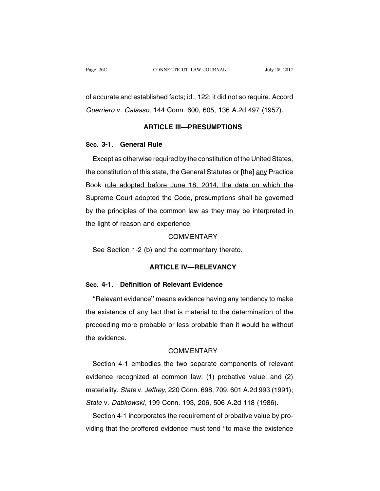of accurate and established facts; id., 122; it did not so require. Accord Guerriero v. Galasso, 144 Conn. 600, 605, 136 A.2d 497 (1957).

## **ARTICLE III—PRESUMPTIONS**

#### **Sec. 3-1. General Rule**

Except as otherwise required by the constitution of the United States, the constitution of this state, the General Statutes or **[**the**]** any Practice Book rule adopted before June 18, 2014, the date on which the Supreme Court adopted the Code, presumptions shall be governed by the principles of the common law as they may be interpreted in the light of reason and experience.

#### **COMMENTARY**

See Section 1-2 (b) and the commentary thereto.

#### **ARTICLE IV—RELEVANCY**

## **Sec. 4-1. Definition of Relevant Evidence**

''Relevant evidence'' means evidence having any tendency to make the existence of any fact that is material to the determination of the proceeding more probable or less probable than it would be without the evidence.

#### **COMMENTARY**

Section 4-1 embodies the two separate components of relevant evidence recognized at common law: (1) probative value; and (2) materiality. State v. Jeffrey, 220 Conn. 698, 709, 601 A.2d 993 (1991); State v. Dabkowski, 199 Conn. 193, 206, 506 A.2d 118 (1986).

Section 4-1 incorporates the requirement of probative value by providing that the proffered evidence must tend ''to make the existence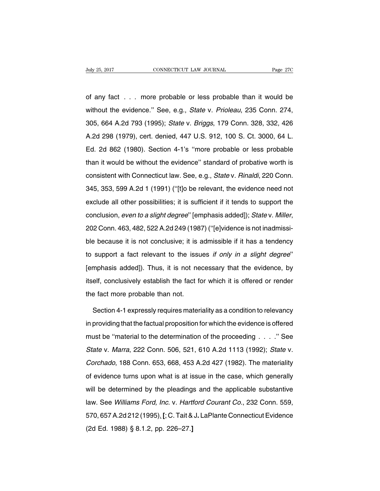of any fact . . . more probable or less probable than it would be without the evidence.'' See, e.g., State v. Prioleau, 235 Conn. 274, 305, 664 A.2d 793 (1995); State v. Briggs, 179 Conn. 328, 332, 426 A.2d 298 (1979), cert. denied, 447 U.S. 912, 100 S. Ct. 3000, 64 L. Ed. 2d 862 (1980). Section 4-1's ''more probable or less probable than it would be without the evidence'' standard of probative worth is consistent with Connecticut law. See, e.g., State v. Rinaldi, 220 Conn. 345, 353, 599 A.2d 1 (1991) (''[t]o be relevant, the evidence need not exclude all other possibilities; it is sufficient if it tends to support the conclusion, even to <sup>a</sup> slight degree'' [emphasis added]); State v. Miller, 202 Conn. 463, 482, 522 A.2d 249 (1987) (''[e]vidence is not inadmissible because it is not conclusive; it is admissible if it has a tendency to support a fact relevant to the issues if only in <sup>a</sup> slight degree'' [emphasis added]). Thus, it is not necessary that the evidence, by itself, conclusively establish the fact for which it is offered or render the fact more probable than not.

Section 4-1 expressly requires materiality as a condition to relevancy in providing that the factual proposition for which the evidence is offered must be ''material to the determination of the proceeding . . . .'' See State v. Marra, 222 Conn. 506, 521, 610 A.2d 1113 (1992); State v. Corchado, 188 Conn. 653, 668, 453 A.2d 427 (1982). The materiality of evidence turns upon what is at issue in the case, which generally will be determined by the pleadings and the applicable substantive law. See Williams Ford, Inc. v. Hartford Courant Co., 232 Conn. 559, 570, 657A.2d 212 (1995).**[**; C. Tait &J**.** LaPlante ConnecticutEvidence (2d Ed. 1988) § 8.1.2, pp. 226–27.**]**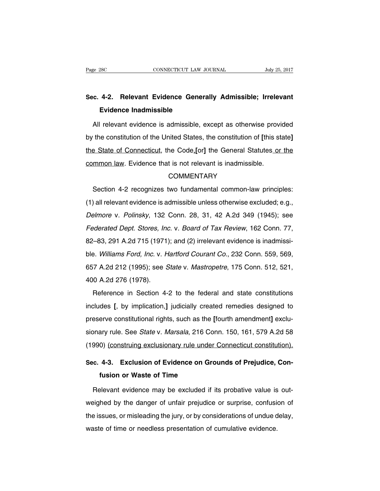# **Sec. 4-2. Relevant Evidence Generally Admissible; Irrelevant Evidence Inadmissible**

All relevant evidence is admissible, except as otherwise provided by the constitution of the United States, the constitution of **[**this state**]** the State of Connecticut, the Code,**[**or**]** the General Statutes or the common law. Evidence that is not relevant is inadmissible.

#### **COMMENTARY**

Section 4-2 recognizes two fundamental common-law principles: (1) all relevant evidence is admissible unless otherwise excluded; e.g., Delmore v. Polinsky, 132 Conn. 28, 31, 42 A.2d 349 (1945); see Federated Dept. Stores, Inc. v. Board of Tax Review, 162 Conn. 77, 82–83, 291 A.2d 715 (1971); and (2) irrelevant evidence is inadmissible. Williams Ford, Inc. v. Hartford Courant Co., 232 Conn. 559, 569, 657 A.2d 212 (1995); see State v. Mastropetre, 175 Conn. 512, 521, 400 A.2d 276 (1978).

Reference in Section 4-2 to the federal and state constitutions includes **[**, by implication,**]** judicially created remedies designed to preserve constitutional rights, such as the **[**fourth amendment**]** exclusionary rule. See State v. Marsala, 216 Conn. 150, 161, 579 A.2d 58 (1990) (construing exclusionary rule under Connecticut constitution).

# **Sec. 4-3. Exclusion of Evidence on Grounds of Prejudice, Confusion or Waste of Time**

Relevant evidence may be excluded if its probative value is outweighed by the danger of unfair prejudice or surprise, confusion of the issues, or misleading the jury, or by considerations of undue delay, waste of time or needless presentation of cumulative evidence.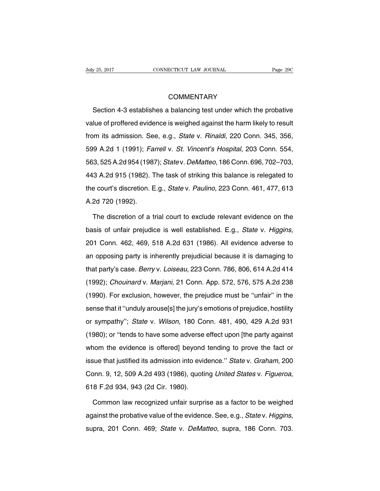## **COMMENTARY**

Section 4-3 establishes a balancing test under which the probative value of proffered evidence is weighed against the harm likely to result from its admission. See, e.g., State v. Rinaldi, 220 Conn. 345, 356, 599 A.2d 1 (1991); Farrell v. St. Vincent's Hospital, 203 Conn. 554, 563, 525A.2d 954 (1987); State v. DeMatteo, 186 Conn. 696, 702–703, 443 A.2d 915 (1982). The task of striking this balance is relegated to the court's discretion. E.g., State v. Paulino, 223 Conn. 461, 477, 613 A.2d 720 (1992).

The discretion of a trial court to exclude relevant evidence on the basis of unfair prejudice is well established. E.g., State v. Higgins, 201 Conn. 462, 469, 518 A.2d 631 (1986). All evidence adverse to an opposing party is inherently prejudicial because it is damaging to that party's case. Berry v. Loiseau, 223 Conn. 786, 806, 614 A.2d 414 (1992); Chouinard v. Marjani, 21 Conn. App. 572, 576, 575 A.2d 238 (1990). For exclusion, however, the prejudice must be ''unfair'' in the sense that it ''unduly arouse[s] the jury's emotions of prejudice, hostility or sympathy''; State v. Wilson, 180 Conn. 481, 490, 429 A.2d 931 (1980); or ''tends to have some adverse effect upon [the party against whom the evidence is offered] beyond tending to prove the fact or issue that justified its admission into evidence.'' State v. Graham, 200 Conn. 9, 12, 509 A.2d 493 (1986), quoting United States v. Figueroa, 618 F.2d 934, 943 (2d Cir. 1980).

Common law recognized unfair surprise as a factor to be weighed against the probative value of the evidence. See, e.g., State v. Higgins, supra, 201 Conn. 469; State v. DeMatteo, supra, 186 Conn. 703.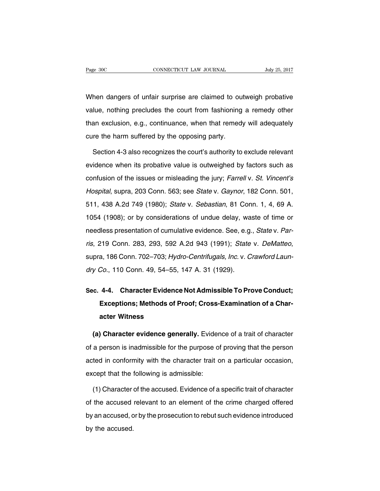When dangers of unfair surprise are claimed to outweigh probative value, nothing precludes the court from fashioning a remedy other than exclusion, e.g., continuance, when that remedy will adequately cure the harm suffered by the opposing party.

Section 4-3 also recognizes the court's authority to exclude relevant evidence when its probative value is outweighed by factors such as confusion of the issues or misleading the jury; Farrell v. St. Vincent's Hospital, supra, 203 Conn. 563; see State v. Gaynor, 182 Conn. 501, 511, 438 A.2d 749 (1980); State v. Sebastian, 81 Conn. 1, 4, 69 A. 1054 (1908); or by considerations of undue delay, waste of time or needless presentation of cumulative evidence. See, e.g., State v. Parris, 219 Conn. 283, 293, 592 A.2d 943 (1991); State v. DeMatteo, supra, 186 Conn. 702–703; Hydro-Centrifugals, Inc. v. Crawford Laundry Co., 110 Conn. 49, 54–55, 147 A. 31 (1929).

# **Sec. 4-4. Character Evidence Not Admissible To Prove Conduct; Exceptions; Methods of Proof; Cross-Examination of a Character Witness**

**(a) Character evidence generally.** Evidence of a trait of character of a person is inadmissible for the purpose of proving that the person acted in conformity with the character trait on a particular occasion, except that the following is admissible:

(1) Character of the accused. Evidence of a specific trait of character of the accused relevant to an element of the crime charged offered by an accused, or by the prosecution to rebut such evidence introduced by the accused.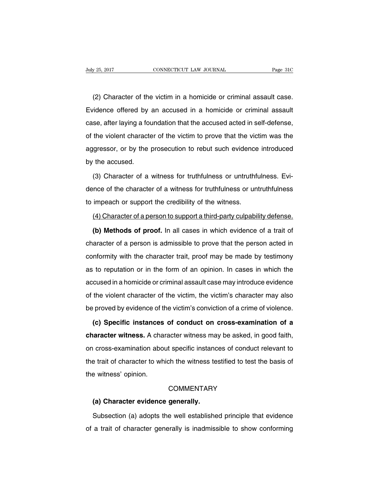(2) Character of the victim in a homicide or criminal assault case. Evidence offered by an accused in a homicide or criminal assault case, after laying a foundation that the accused acted in self-defense, of the violent character of the victim to prove that the victim was the aggressor, or by the prosecution to rebut such evidence introduced by the accused.

(3) Character of a witness for truthfulness or untruthfulness. Evidence of the character of a witness for truthfulness or untruthfulness to impeach or support the credibility of the witness.

#### (4) Character of a person to support a third-party culpability defense.

**(b) Methods of proof.** In all cases in which evidence of a trait of character of a person is admissible to prove that the person acted in conformity with the character trait, proof may be made by testimony as to reputation or in the form of an opinion. In cases in which the accused in a homicide or criminal assault case may introduce evidence of the violent character of the victim, the victim's character may also be proved by evidence of the victim's conviction of a crime of violence.

**(c) Specific instances of conduct on cross-examination of a character witness.** A character witness may be asked, in good faith, on cross-examination about specific instances of conduct relevant to the trait of character to which the witness testified to test the basis of the witness' opinion.

#### **COMMENTARY**

#### **(a) Character evidence generally.**

Subsection (a) adopts the well established principle that evidence of a trait of character generally is inadmissible to show conforming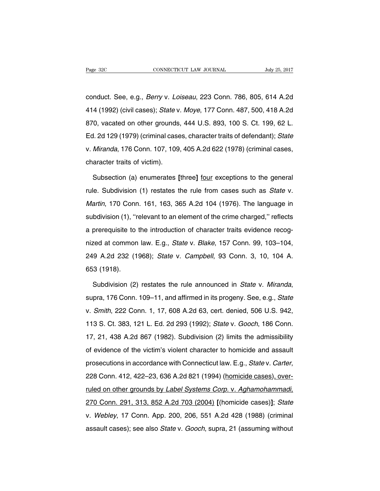conduct. See, e.g., Berry v. Loiseau, 223 Conn. 786, 805, 614 A.2d 414 (1992) (civil cases); State v. Moye, 177 Conn. 487, 500, 418 A.2d 870, vacated on other grounds, 444 U.S. 893, 100 S. Ct. 199, 62 L. Ed. 2d 129 (1979) (criminal cases, character traits of defendant); State v. Miranda, 176 Conn. 107, 109, 405 A.2d 622 (1978) (criminal cases, character traits of victim).

Subsection (a) enumerates **[**three**]** four exceptions to the general rule. Subdivision (1) restates the rule from cases such as State v. Martin, 170 Conn. 161, 163, 365 A.2d 104 (1976). The language in subdivision (1), ''relevant to an element of the crime charged,'' reflects a prerequisite to the introduction of character traits evidence recognized at common law. E.g., State v. Blake, 157 Conn. 99, 103–104, 249 A.2d 232 (1968); State v. Campbell, 93 Conn. 3, 10, 104 A. 653 (1918).

Subdivision (2) restates the rule announced in State v. Miranda, supra, 176 Conn. 109–11, and affirmed in its progeny. See, e.g., State v. Smith, 222 Conn. 1, 17, 608 A.2d 63, cert. denied, 506 U.S. 942, 113 S. Ct. 383, 121 L. Ed. 2d 293 (1992); State v. Gooch, 186 Conn. 17, 21, 438 A.2d 867 (1982). Subdivision (2) limits the admissibility of evidence of the victim's violent character to homicide and assault prosecutions in accordance with Connecticut law. E.g., State v. Carter, 228 Conn. 412, 422–23, 636 A.2d 821 (1994) (homicide cases), overruled on other grounds by Label Systems Corp. v. Aghamohammadi, 270 Conn. 291, 313, 852 A.2d 703 (2004) **[**(homicide cases)**]**; State v. Webley, 17 Conn. App. 200, 206, 551 A.2d 428 (1988) (criminal assault cases); see also State v. Gooch, supra, 21 (assuming without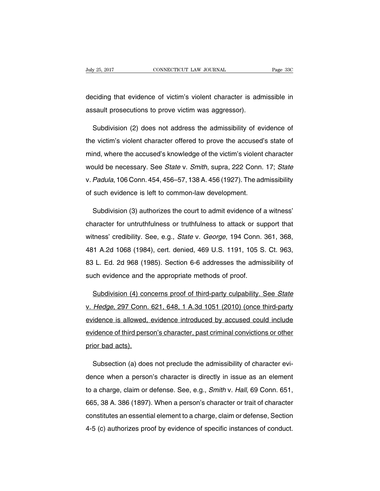deciding that evidence of victim's violent character is admissible in assault prosecutions to prove victim was aggressor).

Subdivision (2) does not address the admissibility of evidence of the victim's violent character offered to prove the accused's state of mind, where the accused's knowledge of the victim's violent character would be necessary. See State v. Smith, supra, 222 Conn. 17; State v. Padula, 106 Conn. 454, 456–57, 138 A. 456 (1927). The admissibility of such evidence is left to common-law development.

Subdivision (3) authorizes the court to admit evidence of a witness' character for untruthfulness or truthfulness to attack or support that witness' credibility. See, e.g., State v. George, 194 Conn. 361, 368, 481 A.2d 1068 (1984), cert. denied, 469 U.S. 1191, 105 S. Ct. 963, 83 L. Ed. 2d 968 (1985). Section 6-6 addresses the admissibility of such evidence and the appropriate methods of proof.

Subdivision (4) concerns proof of third-party culpability. See State v. Hedge, 297 Conn. 621, 648, 1 A.3d 1051 (2010) (once third-party evidence is allowed, evidence introduced by accused could include evidence of third person's character, past criminal convictions or other prior bad acts).

Subsection (a) does not preclude the admissibility of character evidence when a person's character is directly in issue as an element to a charge, claim or defense. See, e.g., Smith v. Hall, 69 Conn. 651, 665, 38 A. 386 (1897). When a person's character or trait of character constitutes an essential element to a charge, claim or defense, Section 4-5 (c) authorizes proof by evidence of specific instances of conduct.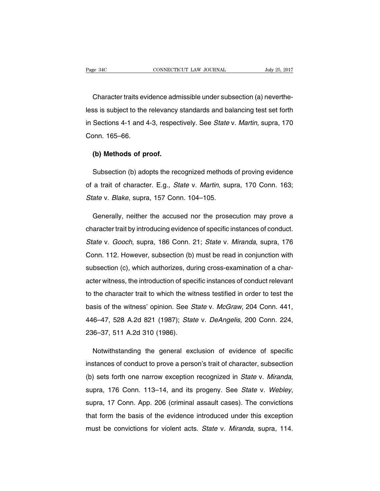Character traits evidence admissible under subsection (a) nevertheless is subject to the relevancy standards and balancing test set forth in Sections 4-1 and 4-3, respectively. See State v. Martin, supra, 170 Conn. 165–66.

#### **(b) Methods of proof.**

Subsection (b) adopts the recognized methods of proving evidence of a trait of character. E.g., State v. Martin, supra, 170 Conn. 163; State v. Blake, supra, 157 Conn. 104–105.

Generally, neither the accused nor the prosecution may prove a character trait by introducing evidence of specific instances of conduct. State v. Gooch, supra, 186 Conn. 21; State v. Miranda, supra, 176 Conn. 112. However, subsection (b) must be read in conjunction with subsection (c), which authorizes, during cross-examination of a character witness, the introduction of specific instances of conduct relevant to the character trait to which the witness testified in order to test the basis of the witness' opinion. See State v. McGraw, 204 Conn. 441, 446–47, 528 A.2d 821 (1987); State v. DeAngelis, 200 Conn. 224, 236–37, 511 A.2d 310 (1986).

Notwithstanding the general exclusion of evidence of specific instances of conduct to prove a person's trait of character, subsection (b) sets forth one narrow exception recognized in State v. Miranda, supra, 176 Conn. 113–14, and its progeny. See State v. Webley, supra, 17 Conn. App. 206 (criminal assault cases). The convictions that form the basis of the evidence introduced under this exception must be convictions for violent acts. State v. Miranda, supra, 114.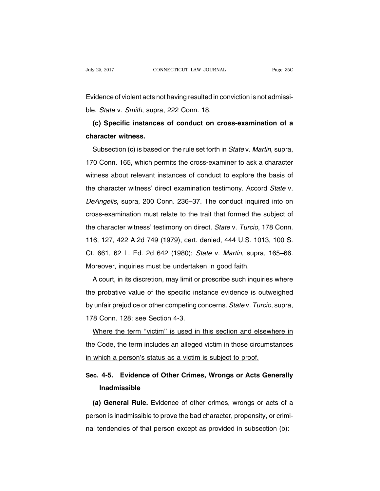Evidence of violent acts not having resulted in conviction is not admissible. *State v. Smith*, supra, 222 Conn. 18.

**(c) Specific instances of conduct on cross-examination of a character witness.**

Subsection (c) is based on the rule set forth in State v. Martin, supra, 170 Conn. 165, which permits the cross-examiner to ask a character witness about relevant instances of conduct to explore the basis of the character witness' direct examination testimony. Accord State v. DeAngelis, supra, 200 Conn. 236–37. The conduct inquired into on cross-examination must relate to the trait that formed the subject of the character witness' testimony on direct. State v. Turcio, 178 Conn. 116, 127, 422 A.2d 749 (1979), cert. denied, 444 U.S. 1013, 100 S. Ct. 661, 62 L. Ed. 2d 642 (1980); State v. Martin, supra, 165–66. Moreover, inquiries must be undertaken in good faith.

A court, in its discretion, may limit or proscribe such inquiries where the probative value of the specific instance evidence is outweighed by unfair prejudice or other competing concerns. State v. Turcio, supra, 178 Conn. 128; see Section 4-3.

Where the term ''victim'' is used in this section and elsewhere in the Code, the term includes an alleged victim in those circumstances in which a person's status as a victim is subject to proof.

# **Sec. 4-5. Evidence of Other Crimes, Wrongs or Acts Generally Inadmissible**

**(a) General Rule.** Evidence of other crimes, wrongs or acts of a person is inadmissible to prove the bad character, propensity, or criminal tendencies of that person except as provided in subsection (b):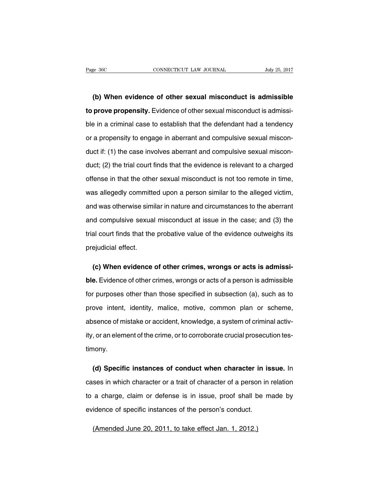**(b) When evidence of other sexual misconduct is admissible to prove propensity.** Evidence of other sexual misconduct is admissible in a criminal case to establish that the defendant had a tendency or a propensity to engage in aberrant and compulsive sexual misconduct if: (1) the case involves aberrant and compulsive sexual misconduct; (2) the trial court finds that the evidence is relevant to a charged offense in that the other sexual misconduct is not too remote in time, was allegedly committed upon a person similar to the alleged victim, and was otherwise similar in nature and circumstances to the aberrant and compulsive sexual misconduct at issue in the case; and (3) the trial court finds that the probative value of the evidence outweighs its prejudicial effect.

**(c) When evidence of other crimes, wrongs or acts is admissible.** Evidence of other crimes, wrongs or acts of a person is admissible for purposes other than those specified in subsection (a), such as to prove intent, identity, malice, motive, common plan or scheme, absence of mistake or accident, knowledge, a system of criminal activity, or an element of the crime, or to corroborate crucial prosecution testimony.

**(d) Specific instances of conduct when character in issue.** In cases in which character or a trait of character of a person in relation to a charge, claim or defense is in issue, proof shall be made by evidence of specific instances of the person's conduct.

(Amended June 20, 2011, to take effect Jan. 1, 2012.)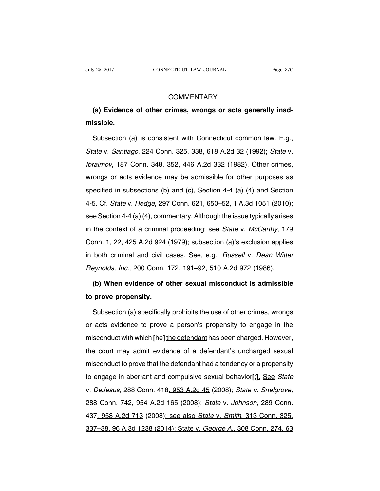## **COMMENTARY**

# **(a) Evidence of other crimes, wrongs or acts generally inadmissible.**

Subsection (a) is consistent with Connecticut common law. E.g., State v. Santiago, 224 Conn. 325, 338, 618 A.2d 32 (1992); State v. Ibraimov, 187 Conn. 348, 352, 446 A.2d 332 (1982). Other crimes, wrongs or acts evidence may be admissible for other purposes as specified in subsections (b) and (c), Section 4-4 (a) (4) and Section 4-5. Cf. State v. Hedge, 297 Conn. 621, 650–52, 1 A.3d 1051 (2010); see Section 4-4 (a) (4), commentary. Although the issue typically arises in the context of a criminal proceeding; see State v. McCarthy, 179 Conn. 1, 22, 425 A.2d 924 (1979); subsection (a)'s exclusion applies in both criminal and civil cases. See, e.g., Russell v. Dean Witter Reynolds, Inc., 200 Conn. 172, 191–92, 510 A.2d 972 (1986).

# **(b) When evidence of other sexual misconduct is admissible to prove propensity.**

Subsection (a) specifically prohibits the use of other crimes, wrongs or acts evidence to prove a person's propensity to engage in the misconduct with which **[**he**]** the defendant has been charged. However, the court may admit evidence of a defendant's uncharged sexual misconduct to prove that the defendant had a tendency or a propensity to engage in aberrant and compulsive sexual behavior**[**;**]**. See State v. DeJesus, 288 Conn. 418, 953 A.2d 45 (2008); State v. Snelgrove, 288 Conn. 742, 954 A.2d 165 (2008); State v. Johnson, 289 Conn. 437, 958 A.2d 713 (2008); see also State v. Smith, 313 Conn. 325, 337–38, 96 A.3d 1238 (2014); State v. George A., 308 Conn. 274, 63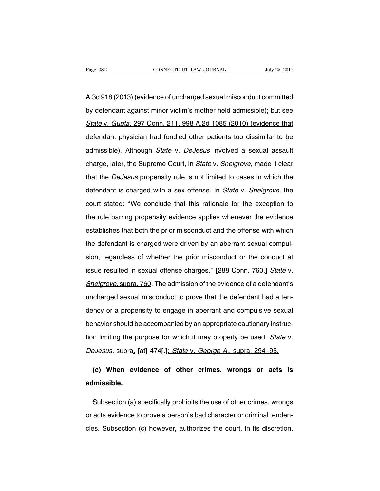A.3d 918 (2013) (evidence of uncharged sexual misconduct committed by defendant against minor victim's mother held admissible); but see State v. Gupta, 297 Conn. 211, 998 A.2d 1085 (2010) (evidence that defendant physician had fondled other patients too dissimilar to be admissible). Although State v. DeJesus involved a sexual assault charge, later, the Supreme Court, in State v. Snelgrove, made it clear that the DeJesus propensity rule is not limited to cases in which the defendant is charged with a sex offense. In State v. Snelgrove, the court stated: ''We conclude that this rationale for the exception to the rule barring propensity evidence applies whenever the evidence establishes that both the prior misconduct and the offense with which the defendant is charged were driven by an aberrant sexual compulsion, regardless of whether the prior misconduct or the conduct at issue resulted in sexual offense charges.'' **[**288 Conn. 760.**]** State v. Snelgrove, supra, 760. The admission of the evidence of a defendant's uncharged sexual misconduct to prove that the defendant had a tendency or a propensity to engage in aberrant and compulsive sexual behavior should be accompanied by an appropriate cautionary instruction limiting the purpose for which it may properly be used. State v. DeJesus, supra, **[**at**]** 474**[**.**]**; State v. George A., supra, 294–95.

**(c) When evidence of other crimes, wrongs or acts is admissible.**

Subsection (a) specifically prohibits the use of other crimes, wrongs or acts evidence to prove a person's bad character or criminal tendencies. Subsection (c) however, authorizes the court, in its discretion,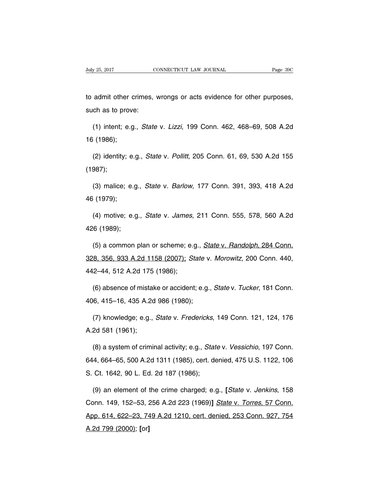to admit other crimes, wrongs or acts evidence for other purposes, such as to prove:

(1) intent; e.g., State v. Lizzi, 199 Conn. 462, 468–69, 508 A.2d 16 (1986);

(2) identity; e.g., State v. Pollitt, 205 Conn. 61, 69, 530 A.2d 155 (1987);

(3) malice; e.g., State v. Barlow, 177 Conn. 391, 393, 418 A.2d 46 (1979);

(4) motive; e.g., State v. James, 211 Conn. 555, 578, 560 A.2d 426 (1989);

(5) a common plan or scheme; e.g., State v. Randolph, 284 Conn. 328, 356, 933 A.2d 1158 (2007); State v. Morowitz, 200 Conn. 440, 442–44, 512 A.2d 175 (1986);

(6) absence of mistake or accident; e.g., State v. Tucker, 181 Conn. 406, 415–16, 435 A.2d 986 (1980);

(7) knowledge; e.g., State v. Fredericks, 149 Conn. 121, 124, 176 A.2d 581 (1961);

(8) a system of criminal activity; e.g., State v. Vessichio, 197 Conn. 644, 664–65, 500 A.2d 1311 (1985), cert. denied, 475 U.S. 1122, 106 S. Ct. 1642, 90 L. Ed. 2d 187 (1986);

(9) an element of the crime charged; e.g., **[**State v. Jenkins, 158 Conn. 149, 152–53, 256 A.2d 223 (1969)**]** State v. Torres, 57 Conn. App. 614, 622–23, 749 A.2d 1210, cert. denied, 253 Conn. 927, 754 A.2d 799 (2000); **[**or**]**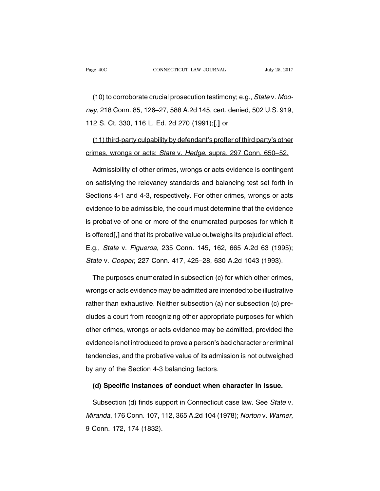(10) to corroborate crucial prosecution testimony; e.g., State v. Mooney, 218 Conn. 85, 126–27, 588 A.2d 145, cert. denied, 502 U.S. 919, 112 S. Ct. 330, 116 L. Ed. 2d 270 (1991);**[**.**]** or

(11) third-party culpability by defendant's proffer of third party's other crimes, wrongs or acts; State v. Hedge, supra, 297 Conn. 650–52.

Admissibility of other crimes, wrongs or acts evidence is contingent on satisfying the relevancy standards and balancing test set forth in Sections 4-1 and 4-3, respectively. For other crimes, wrongs or acts evidence to be admissible, the court must determine that the evidence is probative of one or more of the enumerated purposes for which it is offered**[**,**]** and that its probative value outweighs its prejudicial effect. E.g., State v. Figueroa, 235 Conn. 145, 162, 665 A.2d 63 (1995); State v. Cooper, 227 Conn. 417, 425–28, 630 A.2d 1043 (1993).

The purposes enumerated in subsection (c) for which other crimes, wrongs or acts evidence may be admitted are intended to be illustrative rather than exhaustive. Neither subsection (a) nor subsection (c) precludes a court from recognizing other appropriate purposes for which other crimes, wrongs or acts evidence may be admitted, provided the evidence is not introduced to prove a person's bad character or criminal tendencies, and the probative value of its admission is not outweighed by any of the Section 4-3 balancing factors.

**(d) Specific instances of conduct when character in issue.**

Subsection (d) finds support in Connecticut case law. See State v. Miranda, 176 Conn. 107, 112, 365 A.2d 104 (1978); Norton v. Warner, 9 Conn. 172, 174 (1832).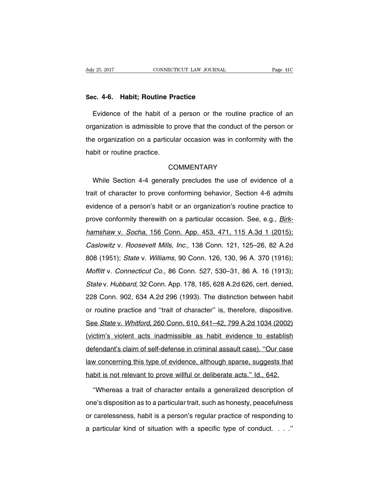#### **Sec. 4-6. Habit; Routine Practice**

Evidence of the habit of a person or the routine practice of an organization is admissible to prove that the conduct of the person or the organization on a particular occasion was in conformity with the habit or routine practice.

# **COMMENTARY**

While Section 4-4 generally precludes the use of evidence of a trait of character to prove conforming behavior, Section 4-6 admits evidence of a person's habit or an organization's routine practice to prove conformity therewith on a particular occasion. See, e.g., *Birk*hamshaw v. Socha, 156 Conn. App. 453, 471, 115 A.3d 1 (2015); Caslowitz v. Roosevelt Mills, Inc., 138 Conn. 121, 125–26, 82 A.2d 808 (1951); State v. Williams, 90 Conn. 126, 130, 96 A. 370 (1916); Moffitt v. Connecticut Co., 86 Conn. 527, 530–31, 86 A. 16 (1913); State v. Hubbard, 32 Conn. App. 178, 185, 628 A.2d 626, cert. denied, 228 Conn. 902, 634 A.2d 296 (1993). The distinction between habit or routine practice and ''trait of character'' is, therefore, dispositive. See State v. Whitford, 260 Conn. 610, 641–42, 799 A.2d 1034 (2002) (victim's violent acts inadmissible as habit evidence to establish defendant's claim of self-defense in criminal assault case). ''Our case law concerning this type of evidence, although sparse, suggests that habit is not relevant to prove willful or deliberate acts." Id., 642.

''Whereas a trait of character entails a generalized description of one's disposition as to a particular trait, such as honesty, peacefulness or carelessness, habit is a person's regular practice of responding to a particular kind of situation with a specific type of conduct. . . .''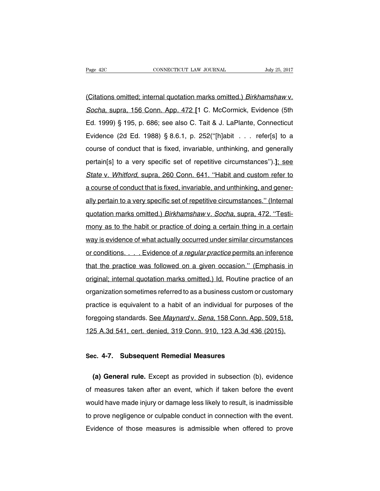(Citations omitted; internal quotation marks omitted.) Birkhamshaw v. Socha, supra, 156 Conn. App. 472 **[**1 C. McCormick, Evidence (5th Ed. 1999) § 195, p. 686; see also C. Tait & J. LaPlante, Connecticut Evidence (2d Ed. 1988) § 8.6.1, p. 252(''[h]abit . . . refer[s] to a course of conduct that is fixed, invariable, unthinking, and generally pertain[s] to a very specific set of repetitive circumstances'').**]**; see State v. Whitford, supra, 260 Conn. 641. "Habit and custom refer to a course of conduct that is fixed, invariable, and unthinking, and generally pertain to a very specific set of repetitive circumstances.'' (Internal quotation marks omitted.) Birkhamshaw v. Socha, supra, 472. ''Testimony as to the habit or practice of doing a certain thing in a certain way is evidence of what actually occurred under similar circumstances or conditions. . . . Evidence of a regular practice permits an inference that the practice was followed on a given occasion.'' (Emphasis in original; internal quotation marks omitted.) Id. Routine practice of an organization sometimes referred to as a business custom or customary practice is equivalent to a habit of an individual for purposes of the foregoing standards. See Maynard v. Sena, 158 Conn. App. 509, 518, 125 A.3d 541, cert. denied, 319 Conn. 910, 123 A.3d 436 (2015).

#### **Sec. 4-7. Subsequent Remedial Measures**

**(a) General rule.** Except as provided in subsection (b), evidence of measures taken after an event, which if taken before the event would have made injury or damage less likely to result, is inadmissible to prove negligence or culpable conduct in connection with the event. Evidence of those measures is admissible when offered to prove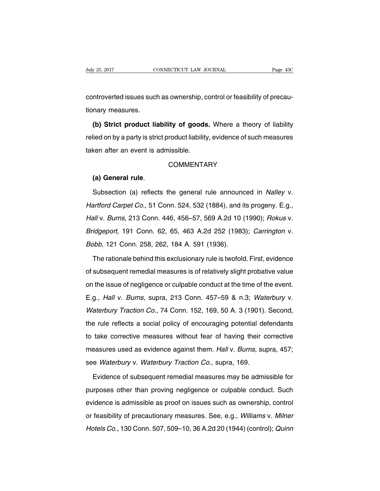controverted issues such as ownership, control or feasibility of precautionary measures.

**(b) Strict product liability of goods.** Where a theory of liability relied on by a party is strict product liability, evidence of such measures taken after an event is admissible.

# **COMMENTARY**

# **(a) General rule**.

Subsection (a) reflects the general rule announced in *Nalley v*. Hartford Carpet Co., 51 Conn. 524, 532 (1884), and its progeny. E.g., Hall v. Burns, 213 Conn. 446, 456–57, 569 A.2d 10 (1990); Rokus v. Bridgeport, 191 Conn. 62, 65, 463 A.2d 252 (1983); Carrington v. Bobb, 121 Conn. 258, 262, 184 A. 591 (1936).

The rationale behind this exclusionary rule is twofold. First, evidence of subsequent remedial measures is of relatively slight probative value on the issue of negligence or culpable conduct at the time of the event. E.g., Hall v. Burns, supra, 213 Conn. 457–59 & n.3; Waterbury v. Waterbury Traction Co., 74 Conn. 152, 169, 50 A. 3 (1901). Second, the rule reflects a social policy of encouraging potential defendants to take corrective measures without fear of having their corrective measures used as evidence against them. Hall v. Burns, supra, 457; see Waterbury v. Waterbury Traction Co., supra, 169.

Evidence of subsequent remedial measures may be admissible for purposes other than proving negligence or culpable conduct. Such evidence is admissible as proof on issues such as ownership, control or feasibility of precautionary measures. See, e.g., Williams v. Milner Hotels Co., 130 Conn. 507, 509–10, 36 A.2d 20 (1944) (control); Quinn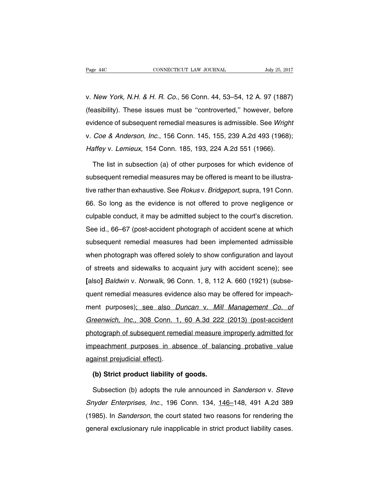v. New York, N.H. & H. R. Co., 56 Conn. 44, 53–54, 12 A. 97 (1887) (feasibility). These issues must be ''controverted,'' however, before evidence of subsequent remedial measures is admissible. See Wright v. Coe & Anderson, Inc., 156 Conn. 145, 155, 239 A.2d 493 (1968); Haffey v. Lemieux, 154 Conn. 185, 193, 224 A.2d 551 (1966).

The list in subsection (a) of other purposes for which evidence of subsequent remedial measures may be offered is meant to be illustrative rather than exhaustive. See Rokus v. Bridgeport, supra, 191 Conn. 66. So long as the evidence is not offered to prove negligence or culpable conduct, it may be admitted subject to the court's discretion. See id., 66–67 (post-accident photograph of accident scene at which subsequent remedial measures had been implemented admissible when photograph was offered solely to show configuration and layout of streets and sidewalks to acquaint jury with accident scene); see **[**also**]** Baldwin v. Norwalk, 96 Conn. 1, 8, 112 A. 660 (1921) (subsequent remedial measures evidence also may be offered for impeachment purposes); see also Duncan v. Mill Management Co. of Greenwich, Inc., 308 Conn. 1, 60 A.3d 222 (2013) (post-accident photograph of subsequent remedial measure improperly admitted for impeachment purposes in absence of balancing probative value against prejudicial effect).

## **(b) Strict product liability of goods.**

Subsection (b) adopts the rule announced in Sanderson v. Steve Snyder Enterprises, Inc., 196 Conn. 134, 146–148, 491 A.2d 389 (1985). In Sanderson, the court stated two reasons for rendering the general exclusionary rule inapplicable in strict product liability cases.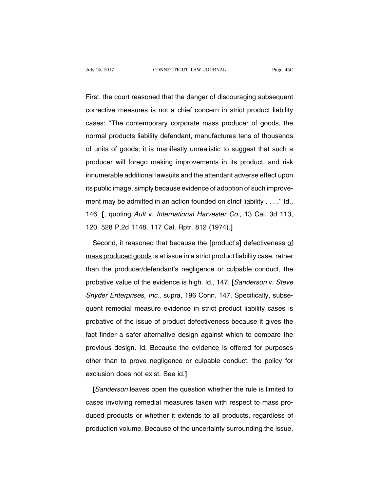First, the court reasoned that the danger of discouraging subsequent corrective measures is not a chief concern in strict product liability cases: ''The contemporary corporate mass producer of goods, the normal products liability defendant, manufactures tens of thousands of units of goods; it is manifestly unrealistic to suggest that such a producer will forego making improvements in its product, and risk innumerable additional lawsuits and the attendant adverse effect upon its public image, simply because evidence of adoption of such improvement may be admitted in an action founded on strict liability . . . ." Id., 146. **[**, quoting Ault v. International Harvester Co., 13 Cal. 3d 113, 120, 528 P.2d 1148, 117 Cal. Rptr. 812 (1974).**]**

Second, it reasoned that because the **[**product's**]** defectiveness of mass produced goods is at issue in a strict product liability case, rather than the producer/defendant's negligence or culpable conduct, the probative value of the evidence is high. Id., 147. **[**Sanderson v. Steve Snyder Enterprises, Inc., supra, 196 Conn. 147. Specifically, subsequent remedial measure evidence in strict product liability cases is probative of the issue of product defectiveness because it gives the fact finder a safer alternative design against which to compare the previous design. Id. Because the evidence is offered for purposes other than to prove negligence or culpable conduct, the policy for exclusion does not exist. See id.**]**

**[**Sanderson leaves open the question whether the rule is limited to cases involving remedial measures taken with respect to mass produced products or whether it extends to all products, regardless of production volume. Because of the uncertainty surrounding the issue,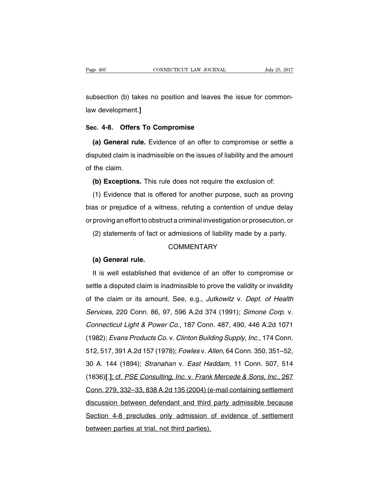subsection (b) takes no position and leaves the issue for commonlaw development.**]**

## **Sec. 4-8. Offers To Compromise**

**(a) General rule.** Evidence of an offer to compromise or settle a disputed claim is inadmissible on the issues of liability and the amount of the claim.

**(b) Exceptions.** This rule does not require the exclusion of:

(1) Evidence that is offered for another purpose, such as proving bias or prejudice of a witness, refuting a contention of undue delay or proving an effort to obstruct a criminal investigation or prosecution, or

(2) statements of fact or admissions of liability made by a party.

## **COMMENTARY**

## **(a) General rule.**

It is well established that evidence of an offer to compromise or settle a disputed claim is inadmissible to prove the validity or invalidity of the claim or its amount. See, e.g., Jutkowitz v. Dept. of Health Services, 220 Conn. 86, 97, 596 A.2d 374 (1991); Simone Corp. v. Connecticut Light & Power Co., 187 Conn. 487, 490, 446 A.2d 1071 (1982); Evans Products Co. v. Clinton Building Supply, Inc., 174 Conn. 512, 517, 391 A.2d 157 (1978); Fowles v. Allen, 64 Conn. 350, 351–52, 30 A. 144 (1894); Stranahan v. East Haddam, 11 Conn. 507, 514 (1836)**[**.**]**; cf. PSE Consulting, Inc. v. Frank Mercede & Sons, Inc., 267 Conn. 279, 332–33, 838 A.2d 135 (2004) (e-mail containing settlement discussion between defendant and third party admissible because Section 4-8 precludes only admission of evidence of settlement between parties at trial, not third parties).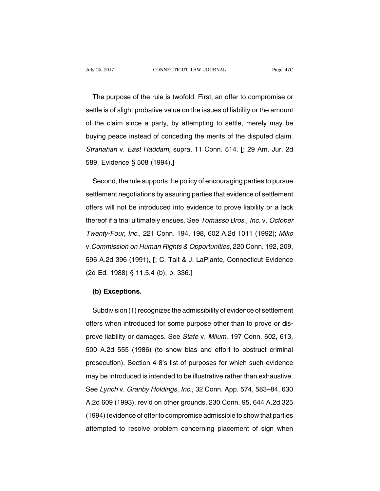The purpose of the rule is twofold. First, an offer to compromise or settle is of slight probative value on the issues of liability or the amount of the claim since a party, by attempting to settle, merely may be buying peace instead of conceding the merits of the disputed claim. Stranahan v. East Haddam, supra, 11 Conn. 514. **[**; 29 Am. Jur. 2d 589, Evidence § 508 (1994).**]**

Second, the rule supports the policy of encouraging parties to pursue settlement negotiations by assuring parties that evidence of settlement offers will not be introduced into evidence to prove liability or a lack thereof if a trial ultimately ensues. See Tomasso Bros., Inc. v. October Twenty-Four, Inc., 221 Conn. 194, 198, 602 A.2d 1011 (1992); Miko v.Commission on Human Rights & Opportunities, 220 Conn. 192, 209, 596 A.2d 396 (1991). **[**; C. Tait & J. LaPlante, Connecticut Evidence (2d Ed. 1988) § 11.5.4 (b), p. 336.**]**

## **(b) Exceptions.**

Subdivision (1) recognizes the admissibility of evidence of settlement offers when introduced for some purpose other than to prove or disprove liability or damages. See State v. Milum, 197 Conn. 602, 613, 500 A.2d 555 (1986) (to show bias and effort to obstruct criminal prosecution). Section 4-8's list of purposes for which such evidence may be introduced is intended to be illustrative rather than exhaustive. See Lynch v. Granby Holdings, Inc., 32 Conn. App. 574, 583–84, 630 A.2d 609 (1993), rev'd on other grounds, 230 Conn. 95, 644 A.2d 325 (1994)(evidence of offerto compromise admissible to show that parties attempted to resolve problem concerning placement of sign when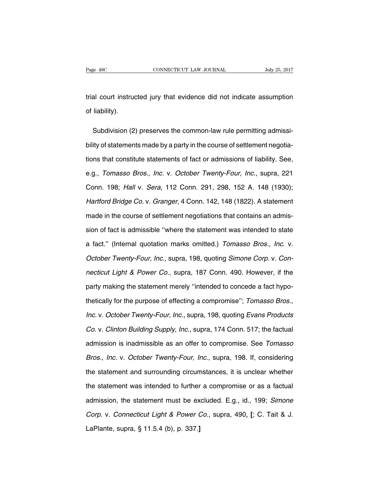trial court instructed jury that evidence did not indicate assumption of liability).

Subdivision (2) preserves the common-law rule permitting admissibility of statements made by a party in the course of settlement negotiations that constitute statements of fact or admissions of liability. See, e.g., Tomasso Bros., Inc. v. October Twenty-Four, Inc., supra, 221 Conn. 198; Hall v. Sera, 112 Conn. 291, 298, 152 A. 148 (1930); Hartford Bridge Co. v. Granger, 4 Conn. 142, 148 (1822). A statement made in the course of settlement negotiations that contains an admission of fact is admissible ''where the statement was intended to state a fact.'' (Internal quotation marks omitted.) Tomasso Bros., Inc. v. October Twenty-Four, Inc., supra, 198, quoting Simone Corp. v. Connecticut Light & Power Co., supra, 187 Conn. 490. However, if the party making the statement merely ''intended to concede a fact hypothetically for the purpose of effecting a compromise''; Tomasso Bros., Inc. v. October Twenty-Four, Inc., supra, 198, quoting Evans Products Co. v. Clinton Building Supply, Inc., supra, 174 Conn. 517; the factual admission is inadmissible as an offer to compromise. See Tomasso Bros., Inc. v. October Twenty-Four, Inc., supra, 198. If, considering the statement and surrounding circumstances, it is unclear whether the statement was intended to further a compromise or as a factual admission, the statement must be excluded. E.g., id., 199; Simone Corp. v. Connecticut Light & Power Co., supra, 490. **[**; C. Tait & J. LaPlante, supra, § 11.5.4 (b), p. 337.**]**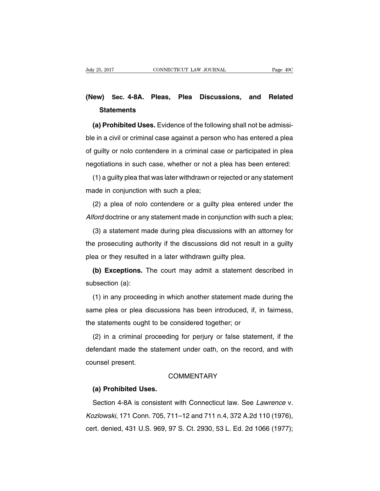# **(New) Sec. 4-8A. Pleas, Plea Discussions, and Related Statements**

**(a) Prohibited Uses.** Evidence of the following shall not be admissible in a civil or criminal case against a person who has entered a plea of guilty or nolo contendere in a criminal case or participated in plea negotiations in such case, whether or not a plea has been entered:

(1) a guilty plea that was later withdrawn or rejected or any statement made in conjunction with such a plea;

(2) a plea of nolo contendere or a guilty plea entered under the Alford doctrine or any statement made in conjunction with such a plea;

(3) a statement made during plea discussions with an attorney for the prosecuting authority if the discussions did not result in a guilty plea or they resulted in a later withdrawn guilty plea.

**(b) Exceptions.** The court may admit a statement described in subsection (a):

(1) in any proceeding in which another statement made during the same plea or plea discussions has been introduced, if, in fairness, the statements ought to be considered together; or

(2) in a criminal proceeding for perjury or false statement, if the defendant made the statement under oath, on the record, and with counsel present.

## **COMMENTARY**

#### **(a) Prohibited Uses.**

Section 4-8A is consistent with Connecticut law. See Lawrence v. Kozlowski, 171 Conn. 705, 711–12 and 711 n.4, 372 A.2d 110 (1976), cert. denied, 431 U.S. 969, 97 S. Ct. 2930, 53 L. Ed. 2d 1066 (1977);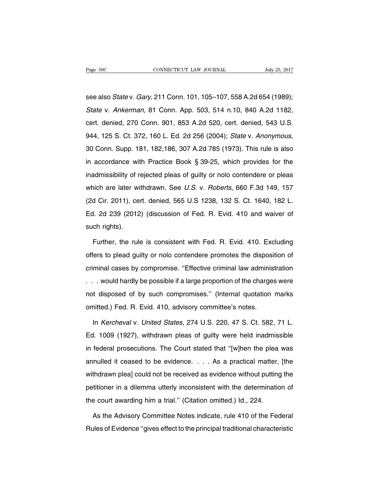see also State v. Gary, 211 Conn. 101, 105–107, 558 A.2d 654 (1989); State v. Ankerman, 81 Conn. App. 503, 514 n.10, 840 A.2d 1182, cert. denied, 270 Conn. 901, 853 A.2d 520, cert. denied, 543 U.S. 944, 125 S. Ct. 372, 160 L. Ed. 2d 256 (2004); State v. Anonymous, 30 Conn. Supp. 181, 182,186, 307 A.2d 785 (1973). This rule is also in accordance with Practice Book § 39-25, which provides for the inadmissibility of rejected pleas of guilty or nolo contendere or pleas which are later withdrawn. See U.S. v. Roberts, 660 F.3d 149, 157 (2d Cir. 2011), cert. denied, 565 U.S 1238, 132 S. Ct. 1640, 182 L. Ed. 2d 239 (2012) (discussion of Fed. R. Evid. 410 and waiver of such rights).

Further, the rule is consistent with Fed. R. Evid. 410. Excluding offers to plead guilty or nolo contendere promotes the disposition of criminal cases by compromise. ''Effective criminal law administration . . . would hardly be possible if a large proportion of the charges were not disposed of by such compromises.'' (Internal quotation marks omitted.) Fed. R. Evid. 410, advisory committee's notes.

In Kercheval v. United States, 274 U.S. 220, 47 S. Ct. 582, 71 L. Ed. 1009 (1927), withdrawn pleas of guilty were held inadmissible in federal prosecutions. The Court stated that ''[w]hen the plea was annulled it ceased to be evidence. . . . As a practical matter, [the withdrawn plea] could not be received as evidence without putting the petitioner in a dilemma utterly inconsistent with the determination of the court awarding him a trial.'' (Citation omitted.) Id., 224.

As the Advisory Committee Notes indicate, rule 410 of the Federal Rules of Evidence ''gives effect to the principal traditional characteristic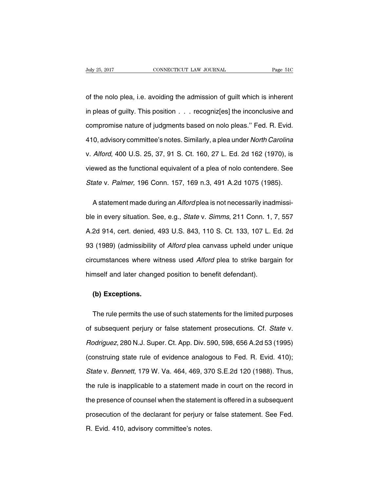of the nolo plea, i.e. avoiding the admission of guilt which is inherent in pleas of guilty. This position . . . recogniz[es] the inconclusive and compromise nature of judgments based on nolo pleas.'' Fed. R. Evid. 410, advisory committee's notes. Similarly, a plea under North Carolina v. Alford, 400 U.S. 25, 37, 91 S. Ct. 160, 27 L. Ed. 2d 162 (1970), is viewed as the functional equivalent of a plea of nolo contendere. See State v. Palmer, 196 Conn. 157, 169 n.3, 491 A.2d 1075 (1985).

A statement made during an Alford plea is not necessarily inadmissible in every situation. See, e.g., State v. Simms, 211 Conn. 1, 7, 557 A.2d 914, cert. denied, 493 U.S. 843, 110 S. Ct. 133, 107 L. Ed. 2d 93 (1989) (admissibility of Alford plea canvass upheld under unique circumstances where witness used Alford plea to strike bargain for himself and later changed position to benefit defendant).

## **(b) Exceptions.**

The rule permits the use of such statements for the limited purposes of subsequent perjury or false statement prosecutions. Cf. State v. Rodriguez, 280 N.J. Super. Ct. App. Div. 590, 598, 656 A.2d 53 (1995) (construing state rule of evidence analogous to Fed. R. Evid. 410); State v. Bennett, 179 W. Va. 464, 469, 370 S.E.2d 120 (1988). Thus, the rule is inapplicable to a statement made in court on the record in the presence of counsel when the statement is offered in a subsequent prosecution of the declarant for perjury or false statement. See Fed. R. Evid. 410, advisory committee's notes.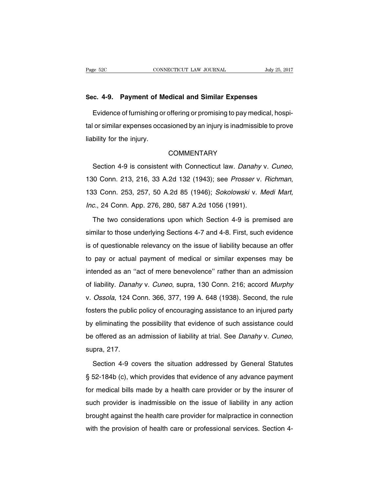#### **Sec. 4-9. Payment of Medical and Similar Expenses**

Evidence of furnishing or offering or promising to pay medical, hospital or similar expenses occasioned by an injury is inadmissible to prove liability for the injury.

## **COMMENTARY**

Section 4-9 is consistent with Connecticut law. Danahy v. Cuneo, 130 Conn. 213, 216, 33 A.2d 132 (1943); see Prosser v. Richman, 133 Conn. 253, 257, 50 A.2d 85 (1946); Sokolowski v. Medi Mart, Inc., 24 Conn. App. 276, 280, 587 A.2d 1056 (1991).

The two considerations upon which Section 4-9 is premised are similar to those underlying Sections 4-7 and 4-8. First, such evidence is of questionable relevancy on the issue of liability because an offer to pay or actual payment of medical or similar expenses may be intended as an ''act of mere benevolence'' rather than an admission of liability. Danahy v. Cuneo, supra, 130 Conn. 216; accord Murphy v. Ossola, 124 Conn. 366, 377, 199 A. 648 (1938). Second, the rule fosters the public policy of encouraging assistance to an injured party by eliminating the possibility that evidence of such assistance could be offered as an admission of liability at trial. See Danahy v. Cuneo, supra, 217.

Section 4-9 covers the situation addressed by General Statutes § 52-184b (c), which provides that evidence of any advance payment for medical bills made by a health care provider or by the insurer of such provider is inadmissible on the issue of liability in any action brought against the health care provider for malpractice in connection with the provision of health care or professional services. Section 4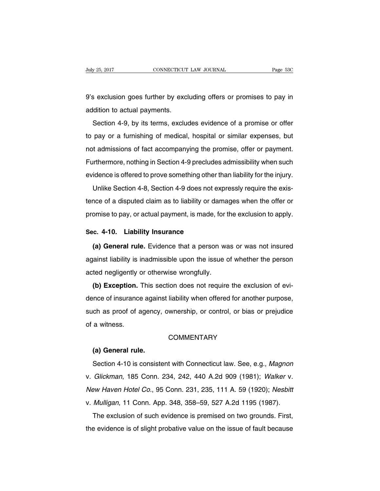9's exclusion goes further by excluding offers or promises to pay in addition to actual payments.

Section 4-9, by its terms, excludes evidence of a promise or offer to pay or a furnishing of medical, hospital or similar expenses, but not admissions of fact accompanying the promise, offer or payment. Furthermore, nothing in Section 4-9 precludes admissibility when such evidence is offered to prove something other than liability for the injury.

Unlike Section 4-8, Section 4-9 does not expressly require the existence of a disputed claim as to liability or damages when the offer or promise to pay, or actual payment, is made, for the exclusion to apply.

# **Sec. 4-10. Liability Insurance**

**(a) General rule.** Evidence that a person was or was not insured against liability is inadmissible upon the issue of whether the person acted negligently or otherwise wrongfully.

**(b) Exception.** This section does not require the exclusion of evidence of insurance against liability when offered for another purpose, such as proof of agency, ownership, or control, or bias or prejudice of a witness.

## **COMMENTARY**

#### **(a) General rule.**

Section 4-10 is consistent with Connecticut law. See, e.g., Magnon v. Glickman, 185 Conn. 234, 242, 440 A.2d 909 (1981); Walker v. New Haven Hotel Co., 95 Conn. 231, 235, 111 A. 59 (1920); Nesbitt v. Mulligan, 11 Conn. App. 348, 358–59, 527 A.2d 1195 (1987).

The exclusion of such evidence is premised on two grounds. First, the evidence is of slight probative value on the issue of fault because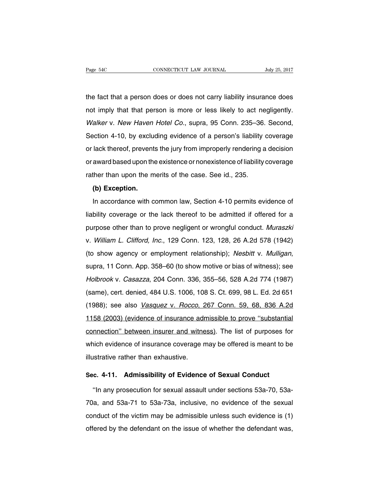the fact that a person does or does not carry liability insurance does not imply that that person is more or less likely to act negligently. Walker v. New Haven Hotel Co., supra, 95 Conn. 235–36. Second, Section 4-10, by excluding evidence of a person's liability coverage or lack thereof, prevents the jury from improperly rendering a decision or award based upon the existence or nonexistence of liability coverage rather than upon the merits of the case. See id., 235.

### **(b) Exception.**

In accordance with common law, Section 4-10 permits evidence of liability coverage or the lack thereof to be admitted if offered for a purpose other than to prove negligent or wrongful conduct. Muraszki v. William L. Clifford, Inc., 129 Conn. 123, 128, 26 A.2d 578 (1942) (to show agency or employment relationship); Nesbitt v. Mulligan, supra, 11 Conn. App. 358–60 (to show motive or bias of witness); see Holbrook v. Casazza, 204 Conn. 336, 355–56, 528 A.2d 774 (1987) (same), cert. denied, 484 U.S. 1006, 108 S. Ct. 699, 98 L. Ed. 2d 651 (1988); see also *Vasquez v. Rocco*, 267 Conn. 59, 68, 836 A.2d 1158 (2003) (evidence of insurance admissible to prove ''substantial connection'' between insurer and witness). The list of purposes for which evidence of insurance coverage may be offered is meant to be illustrative rather than exhaustive.

# **Sec. 4-11. Admissibility of Evidence of Sexual Conduct**

''In any prosecution for sexual assault under sections 53a-70, 53a-70a, and 53a-71 to 53a-73a, inclusive, no evidence of the sexual conduct of the victim may be admissible unless such evidence is (1) offered by the defendant on the issue of whether the defendant was,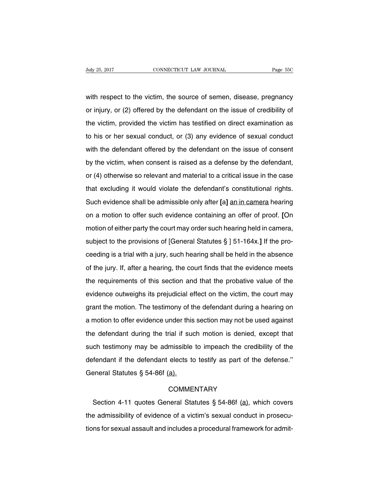with respect to the victim, the source of semen, disease, pregnancy or injury, or (2) offered by the defendant on the issue of credibility of the victim, provided the victim has testified on direct examination as to his or her sexual conduct, or (3) any evidence of sexual conduct with the defendant offered by the defendant on the issue of consent by the victim, when consent is raised as a defense by the defendant, or (4) otherwise so relevant and material to a critical issue in the case that excluding it would violate the defendant's constitutional rights. Such evidence shall be admissible only after **[**a**]** an in camera hearing on a motion to offer such evidence containing an offer of proof. **[**On motion of either party the court may order such hearing held in camera, subject to the provisions of [General Statutes § ] 51-164x.**]** If the proceeding is a trial with a jury, such hearing shall be held in the absence of the jury. If, after  $\underline{a}$  hearing, the court finds that the evidence meets the requirements of this section and that the probative value of the evidence outweighs its prejudicial effect on the victim, the court may grant the motion. The testimony of the defendant during a hearing on a motion to offer evidence under this section may not be used against the defendant during the trial if such motion is denied, except that such testimony may be admissible to impeach the credibility of the defendant if the defendant elects to testify as part of the defense.'' General Statutes § 54-86f (a).

# **COMMENTARY**

Section 4-11 quotes General Statutes § 54-86f (a), which covers the admissibility of evidence of a victim's sexual conduct in prosecutions for sexual assault and includes a procedural framework for admit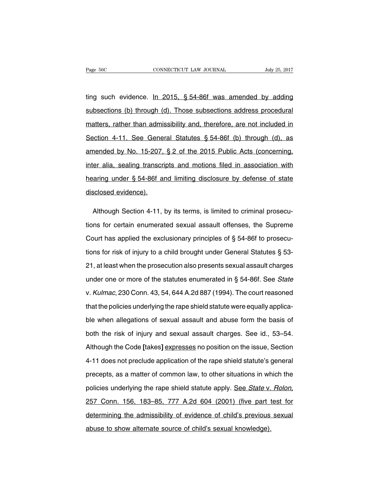ting such evidence. In 2015, § 54-86f was amended by adding subsections (b) through (d). Those subsections address procedural matters, rather than admissibility and, therefore, are not included in Section 4-11. See General Statutes § 54-86f (b) through (d), as amended by No. 15-207, § 2 of the 2015 Public Acts (concerning, inter alia, sealing transcripts and motions filed in association with hearing under § 54-86f and limiting disclosure by defense of state disclosed evidence).

Although Section 4-11, by its terms, is limited to criminal prosecutions for certain enumerated sexual assault offenses, the Supreme Court has applied the exclusionary principles of § 54-86f to prosecutions for risk of injury to a child brought under General Statutes § 53- 21, at least when the prosecution also presents sexual assault charges under one or more of the statutes enumerated in § 54-86f. See State v. Kulmac, 230 Conn. 43, 54, 644 A.2d 887 (1994). The court reasoned that the policies underlying the rape shield statute were equally applicable when allegations of sexual assault and abuse form the basis of both the risk of injury and sexual assault charges. See id., 53–54. Although the Code **[**takes**]** expresses no position on the issue, Section 4-11 does not preclude application of the rape shield statute's general precepts, as a matter of common law, to other situations in which the policies underlying the rape shield statute apply. See State v. Rolon, 257 Conn. 156, 183–85, 777 A.2d 604 (2001) (five part test for determining the admissibility of evidence of child's previous sexual abuse to show alternate source of child's sexual knowledge).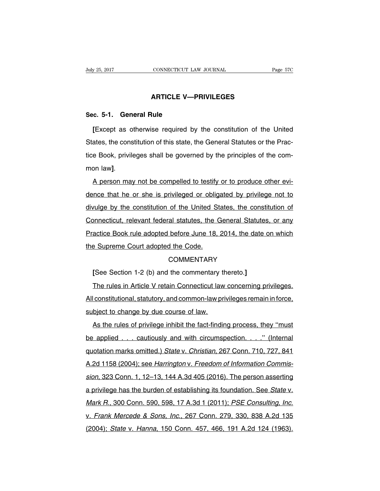# **ARTICLE V—PRIVILEGES**

## **Sec. 5-1. General Rule**

**[**Except as otherwise required by the constitution of the United States, the constitution of this state, the General Statutes or the Practice Book, privileges shall be governed by the principles of the common law**]**.

A person may not be compelled to testify or to produce other evidence that he or she is privileged or obligated by privilege not to divulge by the constitution of the United States, the constitution of Connecticut, relevant federal statutes, the General Statutes, or any Practice Book rule adopted before June 18, 2014, the date on which the Supreme Court adopted the Code.

## **COMMENTARY**

**[**See Section 1-2 (b) and the commentary thereto.**]**

The rules in Article V retain Connecticut law concerning privileges. All constitutional, statutory, and common-law privileges remain in force, subject to change by due course of law.

As the rules of privilege inhibit the fact-finding process, they ''must be applied . . . cautiously and with circumspection. . . ." (Internal quotation marks omitted.) State v. Christian, 267 Conn. 710, 727, 841 A.2d 1158 (2004); see Harrington v. Freedom of Information Commission, 323 Conn. 1, 12–13, 144 A.3d 405 (2016). The person asserting a privilege has the burden of establishing its foundation. See State v. Mark R., 300 Conn. 590, 598, 17 A.3d 1 (2011); PSE Consulting, Inc. v. Frank Mercede & Sons, Inc., 267 Conn. 279, 330, 838 A.2d 135 (2004); State v. Hanna, 150 Conn. 457, 466, 191 A.2d 124 (1963).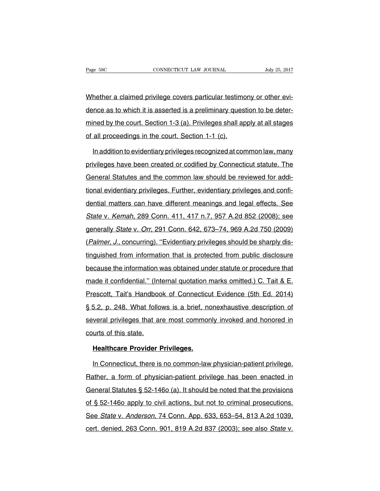Whether a claimed privilege covers particular testimony or other evidence as to which it is asserted is a preliminary question to be determined by the court. Section 1-3 (a). Privileges shall apply at all stages of all proceedings in the court. Section 1-1 (c).

In addition to evidentiary privileges recognized at common law, many privileges have been created or codified by Connecticut statute. The General Statutes and the common law should be reviewed for additional evidentiary privileges. Further, evidentiary privileges and confidential matters can have different meanings and legal effects. See State v. Kemah, 289 Conn. 411, 417 n.7, 957 A.2d 852 (2008); see generally State v. Orr, 291 Conn. 642, 673–74, 969 A.2d 750 (2009) (Palmer, J., concurring). "Evidentiary privileges should be sharply distinguished from information that is protected from public disclosure because the information was obtained under statute or procedure that made it confidential." (Internal quotation marks omitted.) C. Tait & E. Prescott, Tait's Handbook of Connecticut Evidence (5th Ed. 2014) § 5.2, p. 248. What follows is a brief, nonexhaustive description of several privileges that are most commonly invoked and honored in courts of this state.

## **Healthcare Provider Privileges.**

In Connecticut, there is no common-law physician-patient privilege. Rather, a form of physician-patient privilege has been enacted in General Statutes § 52-146o (a). It should be noted that the provisions of § 52-146o apply to civil actions, but not to criminal prosecutions. See State v. Anderson, 74 Conn. App. 633, 653–54, 813 A.2d 1039, cert. denied, 263 Conn. 901, 819 A.2d 837 (2003); see also State v.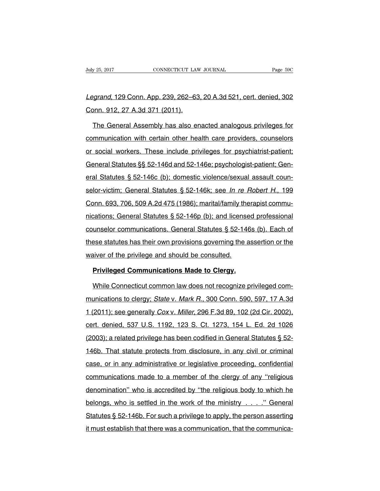# Legrand, 129 Conn. App. 239, 262–63, 20 A.3d 521, cert. denied, 302 Conn. 912, 27 A.3d 371 (2011).

The General Assembly has also enacted analogous privileges for communication with certain other health care providers, counselors or social workers. These include privileges for psychiatrist-patient; General Statutes §§ 52-146d and 52-146e; psychologist-patient; General Statutes § 52-146c (b); domestic violence/sexual assault counselor-victim; General Statutes § 52-146k; see In re Robert H., 199 Conn. 693, 706, 509 A.2d 475 (1986); marital/family therapist communications; General Statutes § 52-146p (b); and licensed professional counselor communications. General Statutes § 52-146s (b). Each of these statutes has their own provisions governing the assertion or the waiver of the privilege and should be consulted.

#### **Privileged Communications Made to Clergy.**

While Connecticut common law does not recognize privileged communications to clergy; State v. Mark R., 300 Conn. 590, 597, 17 A.3d 1 (2011); see generally Cox v. Miller, 296 F.3d 89, 102 (2d Cir. 2002), cert. denied, 537 U.S. 1192, 123 S. Ct. 1273, 154 L. Ed. 2d 1026 (2003); a related privilege has been codified in General Statutes § 52- 146b. That statute protects from disclosure, in any civil or criminal case, or in any administrative or legislative proceeding, confidential communications made to a member of the clergy of any ''religious denomination'' who is accredited by ''the religious body to which he belongs, who is settled in the work of the ministry . . . .'' General Statutes § 52-146b. For such a privilege to apply, the person asserting it must establish that there was a communication, that the communica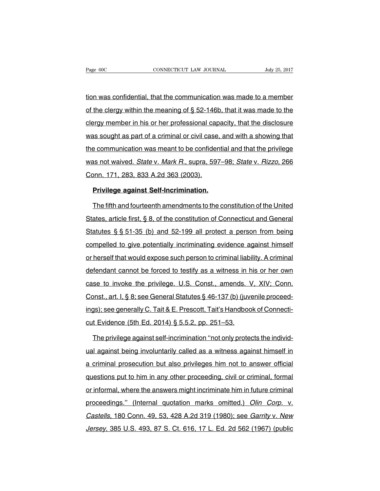tion was confidential, that the communication was made to a member of the clergy within the meaning of § 52-146b, that it was made to the clergy member in his or her professional capacity, that the disclosure was sought as part of a criminal or civil case, and with a showing that the communication was meant to be confidential and that the privilege was not waived. State v. Mark R., supra, 597–98; State v. Rizzo, 266 Conn. 171, 283, 833 A.2d 363 (2003).

## **Privilege against Self-Incrimination.**

The fifth and fourteenth amendments to the constitution of the United States, article first, § 8, of the constitution of Connecticut and General Statutes § § 51-35 (b) and 52-199 all protect a person from being compelled to give potentially incriminating evidence against himself or herself that would expose such person to criminal liability. A criminal defendant cannot be forced to testify as a witness in his or her own case to invoke the privilege. U.S. Const., amends. V, XIV; Conn. Const., art. I, § 8; see General Statutes § 46-137 (b) (juvenile proceedings); see generally C. Tait & E. Prescott, Tait's Handbook of Connecticut Evidence (5th Ed. 2014) § 5.5.2, pp. 251–53.

The privilege against self-incrimination ''not only protects the individual against being involuntarily called as a witness against himself in a criminal prosecution but also privileges him not to answer official questions put to him in any other proceeding, civil or criminal, formal or informal, where the answers might incriminate him in future criminal proceedings.'' (Internal quotation marks omitted.) Olin Corp. v. Castells, 180 Conn. 49, 53, 428 A.2d 319 (1980); see Garrity v. New Jersey, 385 U.S. 493, 87 S. Ct. 616, 17 L. Ed. 2d 562 (1967) (public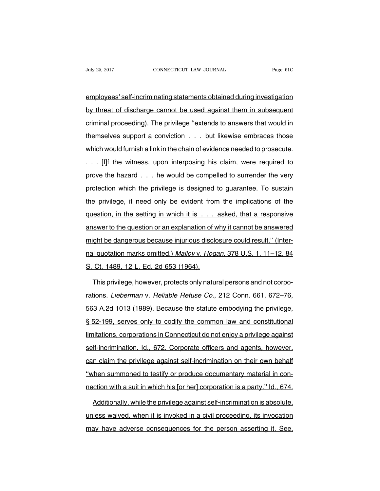employees' self-incriminating statements obtained during investigation by threat of discharge cannot be used against them in subsequent criminal proceeding). The privilege ''extends to answers that would in themselves support a conviction . . . but likewise embraces those which would furnish a link in the chain of evidence needed to prosecute. [I]f the witness, upon interposing his claim, were required to prove the hazard . . . he would be compelled to surrender the very protection which the privilege is designed to guarantee. To sustain the privilege, it need only be evident from the implications of the question, in the setting in which it is . . . asked, that a responsive answer to the question or an explanation of why it cannot be answered might be dangerous because injurious disclosure could result.'' (Internal quotation marks omitted.) Malloy v. Hogan, 378 U.S. 1, 11–12, 84 S. Ct. 1489, 12 L. Ed. 2d 653 (1964).

This privilege, however, protects only natural persons and not corporations. Lieberman v. Reliable Refuse Co., 212 Conn. 661, 672–76, 563 A.2d 1013 (1989). Because the statute embodying the privilege, § 52-199, serves only to codify the common law and constitutional limitations, corporations in Connecticut do not enjoy a privilege against self-incrimination. Id., 672. Corporate officers and agents, however, can claim the privilege against self-incrimination on their own behalf "when summoned to testify or produce documentary material in connection with a suit in which his [or her] corporation is a party.'' Id., 674.

Additionally, while the privilege against self-incrimination is absolute, unless waived, when it is invoked in a civil proceeding, its invocation may have adverse consequences for the person asserting it. See,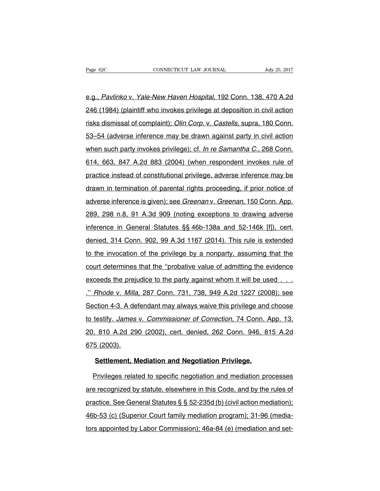e.g., Pavlinko v. Yale-New Haven Hospital, 192 Conn. 138, 470 A.2d 246 (1984) (plaintiff who invokes privilege at deposition in civil action risks dismissal of complaint); Olin Corp. v. Castells, supra, 180 Conn. 53–54 (adverse inference may be drawn against party in civil action when such party invokes privilege); cf. In re Samantha C., 268 Conn. 614, 663, 847 A.2d 883 (2004) (when respondent invokes rule of practice instead of constitutional privilege, adverse inference may be drawn in termination of parental rights proceeding, if prior notice of adverse inference is given); see Greenan v. Greenan, 150 Conn. App. 289, 298 n.8, 91 A.3d 909 (noting exceptions to drawing adverse inference in General Statutes §§ 46b-138a and 52-146k [f]), cert. denied, 314 Conn. 902, 99 A.3d 1167 (2014). This rule is extended to the invocation of the privilege by a nonparty, assuming that the court determines that the ''probative value of admitting the evidence exceeds the prejudice to the party against whom it will be used. .'' Rhode v. Milla, 287 Conn. 731, 738, 949 A.2d 1227 (2008); see Section 4-3. A defendant may always waive this privilege and choose to testify. James v. Commissioner of Correction, 74 Conn. App. 13, 20, 810 A.2d 290 (2002), cert. denied, 262 Conn. 946, 815 A.2d 675 (2003).

### **Settlement, Mediation and Negotiation Privilege.**

Privileges related to specific negotiation and mediation processes are recognized by statute, elsewhere in this Code, and by the rules of practice. See General Statutes § § 52-235d (b) (civil action mediation); 46b-53 (c) (Superior Court family mediation program); 31-96 (mediators appointed by Labor Commission); 46a-84 (e) (mediation and set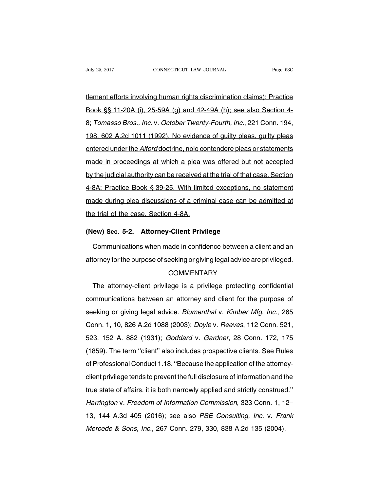tlement efforts involving human rights discrimination claims); Practice Book §§ 11-20A (i), 25-59A (g) and 42-49A (h); see also Section 4- 8; Tomasso Bros., Inc. v. October Twenty-Fourth, Inc., 221 Conn. 194, 198, 602 A.2d 1011 (1992). No evidence of guilty pleas, guilty pleas entered under the Alford doctrine, nolo contendere pleas or statements made in proceedings at which a plea was offered but not accepted by the judicial authority can be received at the trial of that case. Section 4-8A; Practice Book § 39-25. With limited exceptions, no statement made during plea discussions of a criminal case can be admitted at the trial of the case. Section 4-8A.

## **(New) Sec. 5-2. Attorney-Client Privilege**

Communications when made in confidence between a client and an attorney for the purpose of seeking or giving legal advice are privileged.

# **COMMENTARY**

The attorney-client privilege is a privilege protecting confidential communications between an attorney and client for the purpose of seeking or giving legal advice. Blumenthal v. Kimber Mfg. Inc., 265 Conn. 1, 10, 826 A.2d 1088 (2003); Doyle v. Reeves, 112 Conn. 521, 523, 152 A. 882 (1931); Goddard v. Gardner, 28 Conn. 172, 175 (1859). The term ''client'' also includes prospective clients. See Rules of Professional Conduct 1.18. ''Because the application of the attorneyclient privilege tends to prevent the full disclosure of information and the true state of affairs, it is both narrowly applied and strictly construed.'' Harrington v. Freedom of Information Commission, 323 Conn. 1, 12– 13, 144 A.3d 405 (2016); see also PSE Consulting, Inc. v. Frank Mercede & Sons, Inc., 267 Conn. 279, 330, 838 A.2d 135 (2004).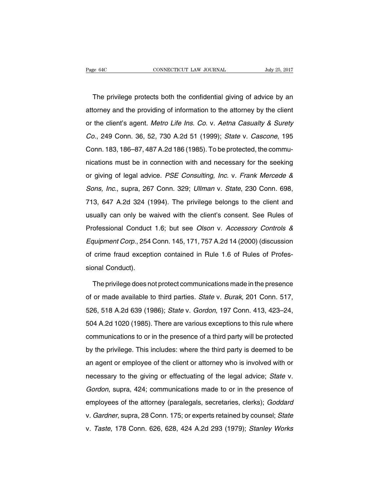The privilege protects both the confidential giving of advice by an attorney and the providing of information to the attorney by the client or the client's agent. Metro Life Ins. Co. v. Aetna Casualty & Surety Co., 249 Conn. 36, 52, 730 A.2d 51 (1999); State v. Cascone, 195 Conn. 183, 186–87, 487 A.2d 186 (1985). To be protected, the communications must be in connection with and necessary for the seeking or giving of legal advice. PSE Consulting, Inc. v. Frank Mercede & Sons, Inc., supra, 267 Conn. 329; Ullman v. State, 230 Conn. 698, 713, 647 A.2d 324 (1994). The privilege belongs to the client and usually can only be waived with the client's consent. See Rules of Professional Conduct 1.6; but see Olson v. Accessory Controls & Equipment Corp., 254 Conn. 145, 171, 757 A.2d 14 (2000) (discussion of crime fraud exception contained in Rule 1.6 of Rules of Professional Conduct).

The privilege does not protect communications made in the presence of or made available to third parties. State v. Burak, 201 Conn. 517, 526, 518 A.2d 639 (1986); State v. Gordon, 197 Conn. 413, 423–24, 504 A.2d 1020 (1985). There are various exceptions to this rule where communications to or in the presence of a third party will be protected by the privilege. This includes: where the third party is deemed to be an agent or employee of the client or attorney who is involved with or necessary to the giving or effectuating of the legal advice; State v. Gordon, supra, 424; communications made to or in the presence of employees of the attorney (paralegals, secretaries, clerks); Goddard v. Gardner, supra, 28 Conn. 175; or experts retained by counsel; State v. Taste, 178 Conn. 626, 628, 424 A.2d 293 (1979); Stanley Works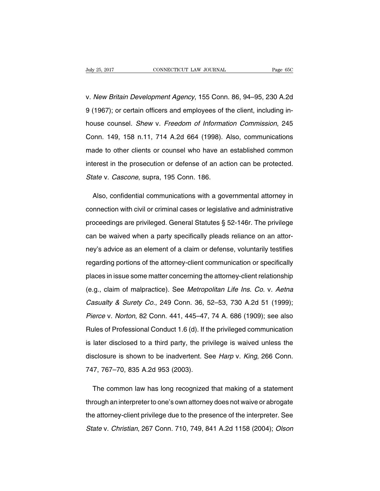v. New Britain Development Agency, 155 Conn. 86, 94–95, 230 A.2d 9 (1967); or certain officers and employees of the client, including inhouse counsel. Shew v. Freedom of Information Commission, 245 Conn. 149, 158 n.11, 714 A.2d 664 (1998). Also, communications made to other clients or counsel who have an established common interest in the prosecution or defense of an action can be protected. State v. Cascone, supra, 195 Conn. 186.

Also, confidential communications with a governmental attorney in connection with civil or criminal cases or legislative and administrative proceedings are privileged. General Statutes § 52-146r. The privilege can be waived when a party specifically pleads reliance on an attorney's advice as an element of a claim or defense, voluntarily testifies regarding portions of the attorney-client communication or specifically places in issue some matter concerning the attorney-client relationship (e.g., claim of malpractice). See Metropolitan Life Ins. Co. v. Aetna Casualty & Surety Co., 249 Conn. 36, 52–53, 730 A.2d 51 (1999); Pierce v. Norton, 82 Conn. 441, 445–47, 74 A. 686 (1909); see also Rules of Professional Conduct 1.6 (d). If the privileged communication is later disclosed to a third party, the privilege is waived unless the disclosure is shown to be inadvertent. See Harp v. King, 266 Conn. 747, 767–70, 835 A.2d 953 (2003).

The common law has long recognized that making of a statement through an interpreter to one's own attorney does not waive or abrogate the attorney-client privilege due to the presence of the interpreter. See State v. Christian, 267 Conn. 710, 749, 841 A.2d 1158 (2004); Olson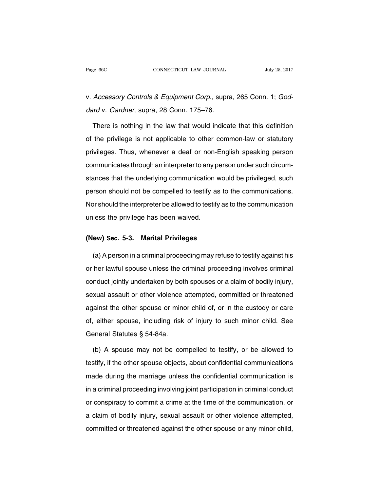v. Accessory Controls & Equipment Corp., supra, 265 Conn. 1; Goddard v. Gardner, supra, 28 Conn. 175–76.

There is nothing in the law that would indicate that this definition of the privilege is not applicable to other common-law or statutory privileges. Thus, whenever a deaf or non-English speaking person communicates through an interpreter to any person under such circumstances that the underlying communication would be privileged, such person should not be compelled to testify as to the communications. Nor should the interpreter be allowed to testify as to the communication unless the privilege has been waived.

### **(New) Sec. 5-3. Marital Privileges**

(a) A person in a criminal proceeding may refuse to testify against his or her lawful spouse unless the criminal proceeding involves criminal conduct jointly undertaken by both spouses or a claim of bodily injury, sexual assault or other violence attempted, committed or threatened against the other spouse or minor child of, or in the custody or care of, either spouse, including risk of injury to such minor child. See General Statutes § 54-84a.

(b) A spouse may not be compelled to testify, or be allowed to testify, if the other spouse objects, about confidential communications made during the marriage unless the confidential communication is in a criminal proceeding involving joint participation in criminal conduct or conspiracy to commit a crime at the time of the communication, or a claim of bodily injury, sexual assault or other violence attempted, committed or threatened against the other spouse or any minor child,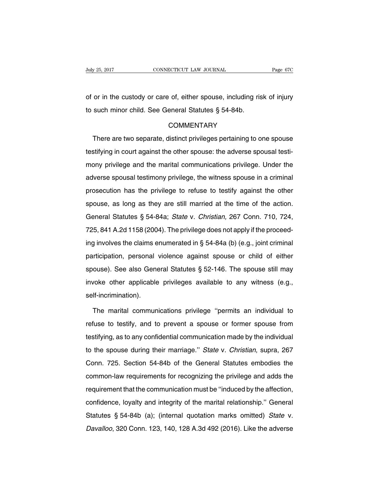of or in the custody or care of, either spouse, including risk of injury to such minor child. See General Statutes § 54-84b.

### **COMMENTARY**

There are two separate, distinct privileges pertaining to one spouse testifying in court against the other spouse: the adverse spousal testimony privilege and the marital communications privilege. Under the adverse spousal testimony privilege, the witness spouse in a criminal prosecution has the privilege to refuse to testify against the other spouse, as long as they are still married at the time of the action. General Statutes § 54-84a; State v. Christian, 267 Conn. 710, 724, 725, 841 A.2d 1158 (2004). The privilege does not apply if the proceeding involves the claims enumerated in § 54-84a (b) (e.g., joint criminal participation, personal violence against spouse or child of either spouse). See also General Statutes § 52-146. The spouse still may invoke other applicable privileges available to any witness (e.g., self-incrimination).

The marital communications privilege ''permits an individual to refuse to testify, and to prevent a spouse or former spouse from testifying, as to any confidential communication made by the individual to the spouse during their marriage.'' State v. Christian, supra, 267 Conn. 725. Section 54-84b of the General Statutes embodies the common-law requirements for recognizing the privilege and adds the requirement that the communication must be ''induced by the affection, confidence, loyalty and integrity of the marital relationship.'' General Statutes § 54-84b (a); (internal quotation marks omitted) State v. Davalloo, 320 Conn. 123, 140, 128 A.3d 492 (2016). Like the adverse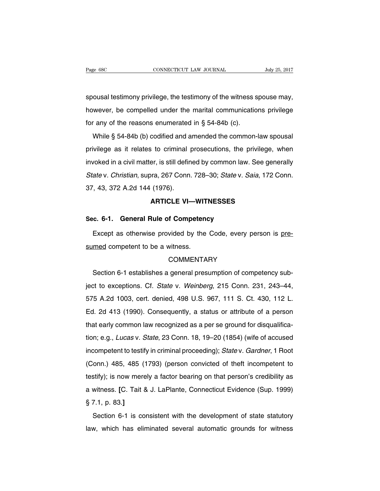spousal testimony privilege, the testimony of the witness spouse may, however, be compelled under the marital communications privilege for any of the reasons enumerated in § 54-84b (c).

While § 54-84b (b) codified and amended the common-law spousal privilege as it relates to criminal prosecutions, the privilege, when invoked in a civil matter, is still defined by common law. See generally State v. Christian, supra, 267 Conn. 728–30; State v. Saia, 172 Conn. 37, 43, 372 A.2d 144 (1976).

## **ARTICLE VI—WITNESSES**

#### **Sec. 6-1. General Rule of Competency**

Except as otherwise provided by the Code, every person is presumed competent to be a witness.

# **COMMENTARY**

Section 6-1 establishes a general presumption of competency subject to exceptions. Cf. State v. Weinberg, 215 Conn. 231, 243–44, 575 A.2d 1003, cert. denied, 498 U.S. 967, 111 S. Ct. 430, 112 L. Ed. 2d 413 (1990). Consequently, a status or attribute of a person that early common law recognized as a per se ground for disqualification; e.g., Lucas v. State, 23 Conn. 18, 19–20 (1854) (wife of accused incompetent to testify in criminal proceeding); State v. Gardner, 1 Root (Conn.) 485, 485 (1793) (person convicted of theft incompetent to testify); is now merely a factor bearing on that person's credibility as a witness. **[**C. Tait & J. LaPlante, Connecticut Evidence (Sup. 1999) § 7.1, p. 83.**]**

Section 6-1 is consistent with the development of state statutory law, which has eliminated several automatic grounds for witness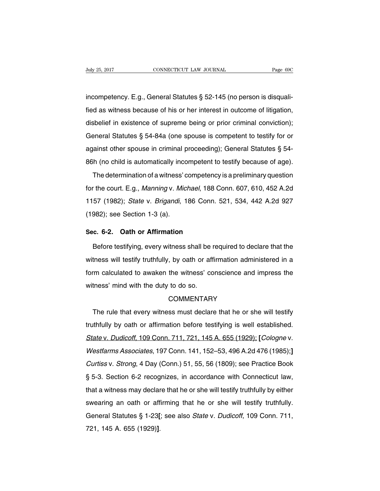incompetency. E.g., General Statutes § 52-145 (no person is disqualified as witness because of his or her interest in outcome of litigation, disbelief in existence of supreme being or prior criminal conviction); General Statutes § 54-84a (one spouse is competent to testify for or against other spouse in criminal proceeding); General Statutes § 54- 86h (no child is automatically incompetent to testify because of age).

The determination of a witness' competency is a preliminary question for the court. E.g., Manning v. Michael, 188 Conn. 607, 610, 452 A.2d 1157 (1982); State v. Brigandi, 186 Conn. 521, 534, 442 A.2d 927 (1982); see Section 1-3 (a).

#### **Sec. 6-2. Oath or Affirmation**

Before testifying, every witness shall be required to declare that the witness will testify truthfully, by oath or affirmation administered in a form calculated to awaken the witness' conscience and impress the witness' mind with the duty to do so.

#### **COMMENTARY**

The rule that every witness must declare that he or she will testify truthfully by oath or affirmation before testifying is well established. State v. Dudicoff, 109 Conn. 711, 721, 145 A. 655 (1929); **[**Cologne v. Westfarms Associates, 197 Conn. 141, 152–53, 496 A.2d 476 (1985);**]** Curtiss v. Strong, 4 Day (Conn.) 51, 55, 56 (1809); see Practice Book § 5-3. Section 6-2 recognizes, in accordance with Connecticut law, that a witness may declare that he or she will testify truthfully by either swearing an oath or affirming that he or she will testify truthfully. General Statutes § 1-23**[**; see also State v. Dudicoff, 109 Conn. 711, 721, 145 A. 655 (1929)**]**.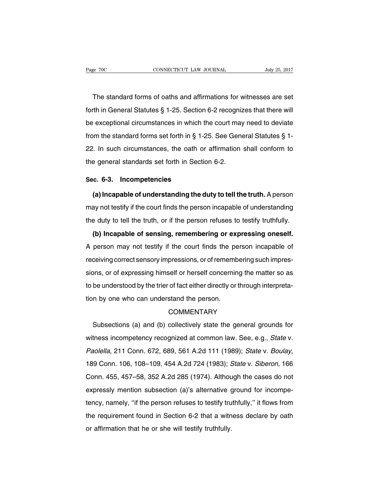The standard forms of oaths and affirmations for witnesses are set forth in General Statutes § 1-25. Section 6-2 recognizes that there will be exceptional circumstances in which the court may need to deviate from the standard forms set forth in § 1-25. See General Statutes § 1- 22. In such circumstances, the oath or affirmation shall conform to the general standards set forth in Section 6-2.

#### **Sec. 6-3. Incompetencies**

**(a) Incapable of understanding the duty to tell the truth.** A person may not testify if the court finds the person incapable of understanding the duty to tell the truth, or if the person refuses to testify truthfully.

**(b) Incapable of sensing, remembering or expressing oneself.** A person may not testify if the court finds the person incapable of receiving correct sensory impressions, or ofremembering such impressions, or of expressing himself or herself concerning the matter so as to be understood by the trier of fact either directly or through interpretation by one who can understand the person.

## **COMMENTARY**

Subsections (a) and (b) collectively state the general grounds for witness incompetency recognized at common law. See, e.g., State v. Paolella, 211 Conn. 672, 689, 561 A.2d 111 (1989); State v. Boulay, 189 Conn. 106, 108–109, 454 A.2d 724 (1983); State v. Siberon, 166 Conn. 455, 457–58, 352 A.2d 285 (1974). Although the cases do not expressly mention subsection (a)'s alternative ground for incompetency, namely, ''if the person refuses to testify truthfully,'' it flows from the requirement found in Section 6-2 that a witness declare by oath or affirmation that he or she will testify truthfully.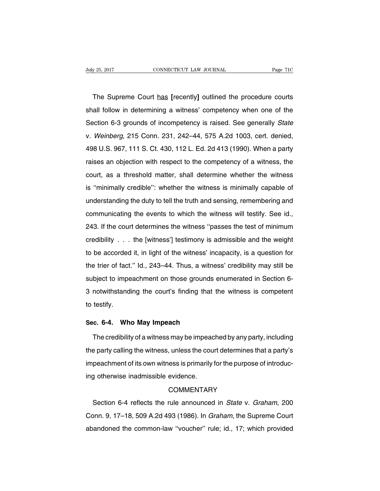The Supreme Court has **[**recently**]** outlined the procedure courts shall follow in determining a witness' competency when one of the Section 6-3 grounds of incompetency is raised. See generally State v. Weinberg, 215 Conn. 231, 242–44, 575 A.2d 1003, cert. denied, 498 U.S. 967, 111 S. Ct. 430, 112 L. Ed. 2d 413 (1990). When a party raises an objection with respect to the competency of a witness, the court, as a threshold matter, shall determine whether the witness is ''minimally credible'': whether the witness is minimally capable of understanding the duty to tell the truth and sensing, remembering and communicating the events to which the witness will testify. See id., 243. If the court determines the witness ''passes the test of minimum credibility . . . the [witness'] testimony is admissible and the weight to be accorded it, in light of the witness' incapacity, is a question for the trier of fact.'' Id., 243–44. Thus, a witness' credibility may still be subject to impeachment on those grounds enumerated in Section 6- 3 notwithstanding the court's finding that the witness is competent to testify.

#### **Sec. 6-4. Who May Impeach**

The credibility of a witness may be impeached by any party, including the party calling the witness, unless the court determines that a party's impeachment of its own witness is primarily for the purpose of introducing otherwise inadmissible evidence.

#### **COMMENTARY**

Section 6-4 reflects the rule announced in State v. Graham, 200 Conn. 9, 17–18, 509 A.2d 493 (1986). In Graham, the Supreme Court abandoned the common-law ''voucher'' rule; id., 17; which provided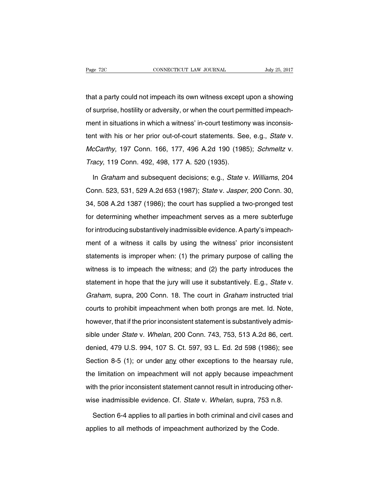that a party could not impeach its own witness except upon a showing of surprise, hostility or adversity, or when the court permitted impeachment in situations in which a witness' in-court testimony was inconsistent with his or her prior out-of-court statements. See, e.g., State v. McCarthy, 197 Conn. 166, 177, 496 A.2d 190 (1985); Schmeltz v. Tracy, 119 Conn. 492, 498, 177 A. 520 (1935).

In Graham and subsequent decisions; e.g., State v. Williams, 204 Conn. 523, 531, 529 A.2d 653 (1987); State v. Jasper, 200 Conn. 30, 34, 508 A.2d 1387 (1986); the court has supplied a two-pronged test for determining whether impeachment serves as a mere subterfuge for introducing substantively inadmissible evidence. A party's impeachment of a witness it calls by using the witness' prior inconsistent statements is improper when: (1) the primary purpose of calling the witness is to impeach the witness; and (2) the party introduces the statement in hope that the jury will use it substantively. E.g., State v. Graham, supra, 200 Conn. 18. The court in Graham instructed trial courts to prohibit impeachment when both prongs are met. Id. Note, however, that if the prior inconsistent statement is substantively admissible under State v. Whelan, 200 Conn. 743, 753, 513 A.2d 86, cert. denied, 479 U.S. 994, 107 S. Ct. 597, 93 L. Ed. 2d 598 (1986); see Section 8-5 (1); or under any other exceptions to the hearsay rule, the limitation on impeachment will not apply because impeachment with the prior inconsistent statement cannot result in introducing otherwise inadmissible evidence. Cf. State v. Whelan, supra, 753 n.8.

Section 6-4 applies to all parties in both criminal and civil cases and applies to all methods of impeachment authorized by the Code.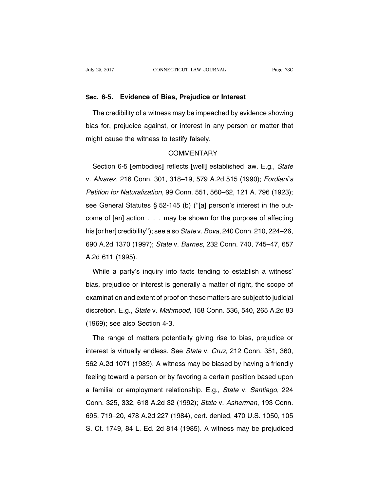#### **Sec. 6-5. Evidence of Bias, Prejudice or Interest**

The credibility of a witness may be impeached by evidence showing bias for, prejudice against, or interest in any person or matter that might cause the witness to testify falsely.

# **COMMENTARY**

Section 6-5 **[**embodies**]** reflects **[**well**]** established law. E.g., State v. Alvarez, 216 Conn. 301, 318–19, 579 A.2d 515 (1990); Fordiani's Petition for Naturalization, 99 Conn. 551, 560–62, 121 A. 796 (1923); see General Statutes § 52-145 (b) (''[a] person's interest in the outcome of [an] action . . . may be shown for the purpose of affecting his [or her] credibility"); see also State v. Bova, 240 Conn. 210, 224–26, 690 A.2d 1370 (1997); State v. Barnes, 232 Conn. 740, 745–47, 657 A.2d 611 (1995).

While a party's inquiry into facts tending to establish a witness' bias, prejudice or interest is generally a matter of right, the scope of examination and extent of proof on these matters are subject to judicial discretion. E.g., State v. Mahmood, 158 Conn. 536, 540, 265 A.2d 83 (1969); see also Section 4-3.

The range of matters potentially giving rise to bias, prejudice or interest is virtually endless. See State v. Cruz, 212 Conn. 351, 360, 562 A.2d 1071 (1989). A witness may be biased by having a friendly feeling toward a person or by favoring a certain position based upon a familial or employment relationship. E.g., State v. Santiago, 224 Conn. 325, 332, 618 A.2d 32 (1992); State v. Asherman, 193 Conn. 695, 719–20, 478 A.2d 227 (1984), cert. denied, 470 U.S. 1050, 105 S. Ct. 1749, 84 L. Ed. 2d 814 (1985). A witness may be prejudiced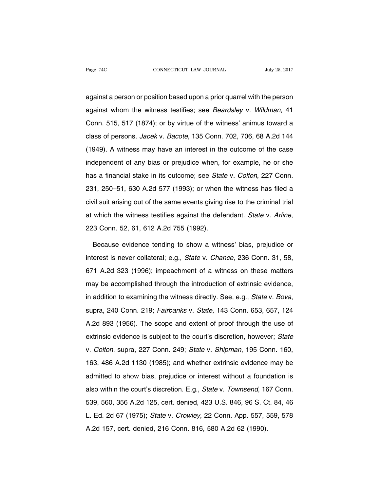against a person or position based upon a prior quarrel with the person against whom the witness testifies; see Beardsley v. Wildman, 41 Conn. 515, 517 (1874); or by virtue of the witness' animus toward a class of persons. Jacek v. Bacote, 135 Conn. 702, 706, 68 A.2d 144 (1949). A witness may have an interest in the outcome of the case independent of any bias or prejudice when, for example, he or she has a financial stake in its outcome; see State v. Colton, 227 Conn. 231, 250–51, 630 A.2d 577 (1993); or when the witness has filed a civil suit arising out of the same events giving rise to the criminal trial at which the witness testifies against the defendant. State v. Arline, 223 Conn. 52, 61, 612 A.2d 755 (1992).

Because evidence tending to show a witness' bias, prejudice or interest is never collateral; e.g., State v. Chance, 236 Conn. 31, 58, 671 A.2d 323 (1996); impeachment of a witness on these matters may be accomplished through the introduction of extrinsic evidence, in addition to examining the witness directly. See, e.g., State v. Bova, supra, 240 Conn. 219; Fairbanks v. State, 143 Conn. 653, 657, 124 A.2d 893 (1956). The scope and extent of proof through the use of extrinsic evidence is subject to the court's discretion, however; State v. Colton, supra, 227 Conn. 249; State v. Shipman, 195 Conn. 160, 163, 486 A.2d 1130 (1985); and whether extrinsic evidence may be admitted to show bias, prejudice or interest without a foundation is also within the court's discretion. E.g., State v. Townsend, 167 Conn. 539, 560, 356 A.2d 125, cert. denied, 423 U.S. 846, 96 S. Ct. 84, 46 L. Ed. 2d 67 (1975); State v. Crowley, 22 Conn. App. 557, 559, 578 A.2d 157, cert. denied, 216 Conn. 816, 580 A.2d 62 (1990).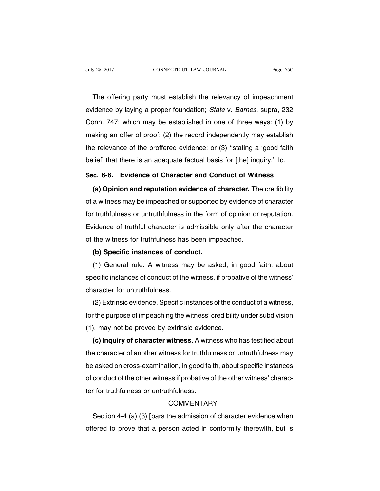The offering party must establish the relevancy of impeachment evidence by laying a proper foundation; State v. Barnes, supra, 232 Conn. 747; which may be established in one of three ways: (1) by making an offer of proof; (2) the record independently may establish the relevance of the proffered evidence; or (3) ''stating a 'good faith belief' that there is an adequate factual basis for [the] inquiry.'' Id.

# **Sec. 6-6. Evidence of Character and Conduct of Witness**

**(a) Opinion and reputation evidence of character.** The credibility of a witness may be impeached or supported by evidence of character for truthfulness or untruthfulness in the form of opinion or reputation. Evidence of truthful character is admissible only after the character of the witness for truthfulness has been impeached.

#### **(b) Specific instances of conduct.**

(1) General rule. A witness may be asked, in good faith, about specific instances of conduct of the witness, if probative of the witness' character for untruthfulness.

(2) Extrinsic evidence. Specific instances of the conduct of a witness, for the purpose of impeaching the witness' credibility under subdivision (1), may not be proved by extrinsic evidence.

**(c) Inquiry of character witness.** A witness who has testified about the character of another witness for truthfulness or untruthfulness may be asked on cross-examination, in good faith, about specific instances of conduct of the other witness if probative of the other witness' character for truthfulness or untruthfulness.

# **COMMENTARY**

Section 4-4 (a) (3) [bars the admission of character evidence when offered to prove that a person acted in conformity therewith, but is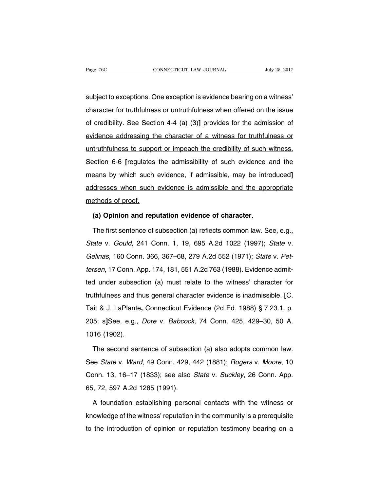subject to exceptions. One exception is evidence bearing on a witness' character for truthfulness or untruthfulness when offered on the issue of credibility. See Section 4-4 (a) (3)**]** provides for the admission of evidence addressing the character of a witness for truthfulness or untruthfulness to support or impeach the credibility of such witness. Section 6-6 **[**regulates the admissibility of such evidence and the means by which such evidence, if admissible, may be introduced**]** addresses when such evidence is admissible and the appropriate methods of proof.

#### **(a) Opinion and reputation evidence of character.**

The first sentence of subsection (a) reflects common law. See, e.g., State v. Gould, 241 Conn. 1, 19, 695 A.2d 1022 (1997); State v. Gelinas, 160 Conn. 366, 367–68, 279 A.2d 552 (1971); State v. Pettersen, 17 Conn. App. 174, 181, 551 A.2d 763 (1988). Evidence admitted under subsection (a) must relate to the witness' character for truthfulness and thus general character evidence is inadmissible. **[**C. Tait & J. LaPlante**,** Connecticut Evidence (2d Ed. 1988) § 7.23.1, p. 205; s**]**See, e.g., Dore v. Babcock, 74 Conn. 425, 429–30, 50 A. 1016 (1902).

The second sentence of subsection (a) also adopts common law. See State v. Ward, 49 Conn. 429, 442 (1881); Rogers v. Moore, 10 Conn. 13, 16–17 (1833); see also State v. Suckley, 26 Conn. App. 65, 72, 597 A.2d 1285 (1991).

A foundation establishing personal contacts with the witness or knowledge of the witness' reputation in the community is a prerequisite to the introduction of opinion or reputation testimony bearing on a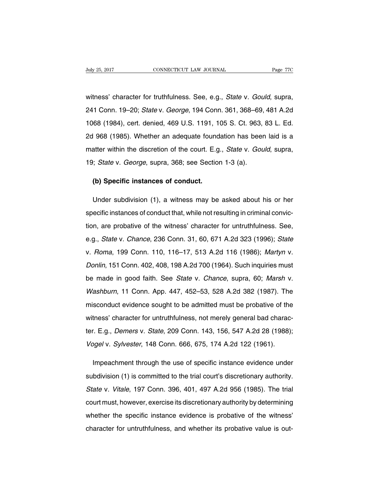witness' character for truthfulness. See, e.g., State v. Gould, supra, 241 Conn. 19–20; State v. George, 194 Conn. 361, 368–69, 481 A.2d 1068 (1984), cert. denied, 469 U.S. 1191, 105 S. Ct. 963, 83 L. Ed. 2d 968 (1985). Whether an adequate foundation has been laid is a matter within the discretion of the court. E.g., State v. Gould, supra, 19; State v. George, supra, 368; see Section 1-3 (a).

#### **(b) Specific instances of conduct.**

Under subdivision (1), a witness may be asked about his or her specific instances of conduct that, while not resulting in criminal conviction, are probative of the witness' character for untruthfulness. See, e.g., State v. Chance, 236 Conn. 31, 60, 671 A.2d 323 (1996); State v. Roma, 199 Conn. 110, 116–17, 513 A.2d 116 (1986); Martyn v. Donlin, 151 Conn. 402, 408, 198 A.2d 700 (1964). Such inquiries must be made in good faith. See State v. Chance, supra, 60; Marsh v. Washburn, 11 Conn. App. 447, 452–53, 528 A.2d 382 (1987). The misconduct evidence sought to be admitted must be probative of the witness' character for untruthfulness, not merely general bad character. E.g., Demers v. State, 209 Conn. 143, 156, 547 A.2d 28 (1988); Vogel v. Sylvester, 148 Conn. 666, 675, 174 A.2d 122 (1961).

Impeachment through the use of specific instance evidence under subdivision (1) is committed to the trial court's discretionary authority. State v. Vitale, 197 Conn. 396, 401, 497 A.2d 956 (1985). The trial court must, however, exercise its discretionary authority by determining whether the specific instance evidence is probative of the witness' character for untruthfulness, and whether its probative value is out-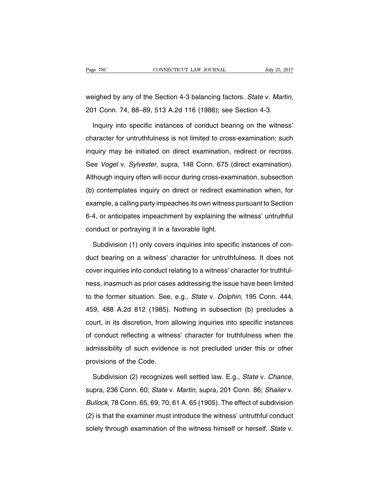weighed by any of the Section 4-3 balancing factors. State v. Martin, 201 Conn. 74, 88–89, 513 A.2d 116 (1986); see Section 4-3.

Inquiry into specific instances of conduct bearing on the witness' character for untruthfulness is not limited to cross-examination; such inquiry may be initiated on direct examination, redirect or recross. See Vogel v. Sylvester, supra, 148 Conn. 675 (direct examination). Although inquiry often will occur during cross-examination, subsection (b) contemplates inquiry on direct or redirect examination when, for example, a calling party impeaches its own witness pursuant to Section 6-4, or anticipates impeachment by explaining the witness' untruthful conduct or portraying it in a favorable light.

Subdivision (1) only covers inquiries into specific instances of conduct bearing on a witness' character for untruthfulness. It does not cover inquiries into conduct relating to a witness' character for truthfulness, inasmuch as prior cases addressing the issue have been limited to the former situation. See, e.g., State v. Dolphin, 195 Conn. 444, 459, 488 A.2d 812 (1985). Nothing in subsection (b) precludes a court, in its discretion, from allowing inquiries into specific instances of conduct reflecting a witness' character for truthfulness when the admissibility of such evidence is not precluded under this or other provisions of the Code.

Subdivision (2) recognizes well settled law. E.g., State v. Chance, supra, 236 Conn. 60; State v. Martin, supra, 201 Conn. 86; Shailer v. Bullock, 78 Conn. 65, 69, 70, 61 A. 65 (1905). The effect of subdivision (2) is that the examiner must introduce the witness' untruthful conduct solely through examination of the witness himself or herself. State v.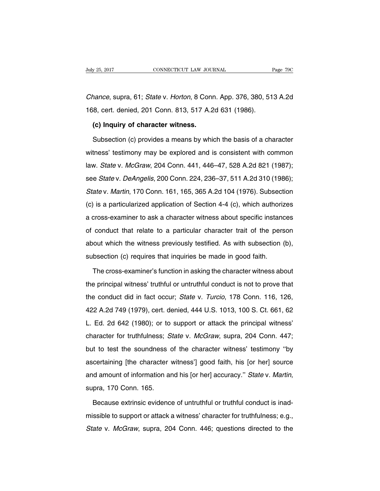Chance, supra, 61; State v. Horton, 8 Conn. App. 376, 380, 513 A.2d 168, cert. denied, 201 Conn. 813, 517 A.2d 631 (1986).

### **(c) Inquiry of character witness.**

Subsection (c) provides a means by which the basis of a character witness' testimony may be explored and is consistent with common law. State v. McGraw, 204 Conn. 441, 446–47, 528 A.2d 821 (1987); see State v. DeAngelis, 200 Conn. 224, 236–37, 511 A.2d 310 (1986); State v. Martin, 170 Conn. 161, 165, 365 A.2d 104 (1976). Subsection (c) is a particularized application of Section 4-4 (c), which authorizes a cross-examiner to ask a character witness about specific instances of conduct that relate to a particular character trait of the person about which the witness previously testified. As with subsection (b), subsection (c) requires that inquiries be made in good faith.

The cross-examiner's function in asking the character witness about the principal witness' truthful or untruthful conduct is not to prove that the conduct did in fact occur; State v. Turcio, 178 Conn. 116, 126, 422 A.2d 749 (1979), cert. denied, 444 U.S. 1013, 100 S. Ct. 661, 62 L. Ed. 2d 642 (1980); or to support or attack the principal witness' character for truthfulness; State v. McGraw, supra, 204 Conn. 447; but to test the soundness of the character witness' testimony ''by ascertaining [the character witness'] good faith, his [or her] source and amount of information and his [or her] accuracy." State v. Martin, supra, 170 Conn. 165.

Because extrinsic evidence of untruthful or truthful conduct is inadmissible to support or attack a witness' character for truthfulness; e.g., State v. McGraw, supra, 204 Conn. 446; questions directed to the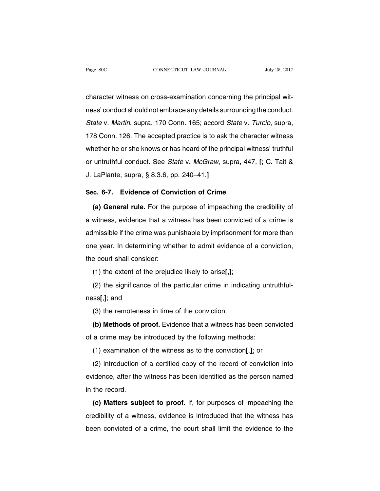character witness on cross-examination concerning the principal witness' conduct should not embrace any details surrounding the conduct. State v. Martin, supra, 170 Conn. 165; accord State v. Turcio, supra, 178 Conn. 126. The accepted practice is to ask the character witness whether he or she knows or has heard of the principal witness' truthful or untruthful conduct. See State v. McGraw, supra, 447. **[**; C. Tait & J. LaPlante, supra, § 8.3.6, pp. 240–41.**]**

# **Sec. 6-7. Evidence of Conviction of Crime**

**(a) General rule.** For the purpose of impeaching the credibility of a witness, evidence that a witness has been convicted of a crime is admissible if the crime was punishable by imprisonment for more than one year. In determining whether to admit evidence of a conviction, the court shall consider:

(1) the extent of the prejudice likely to arise**[**,**]**;

(2) the significance of the particular crime in indicating untruthfulness**[**,**]**; and

(3) the remoteness in time of the conviction.

**(b) Methods of proof.** Evidence that a witness has been convicted of a crime may be introduced by the following methods:

(1) examination of the witness as to the conviction**[**,**]**; or

(2) introduction of a certified copy of the record of conviction into evidence, after the witness has been identified as the person named in the record.

**(c) Matters subject to proof.** If, for purposes of impeaching the credibility of a witness, evidence is introduced that the witness has been convicted of a crime, the court shall limit the evidence to the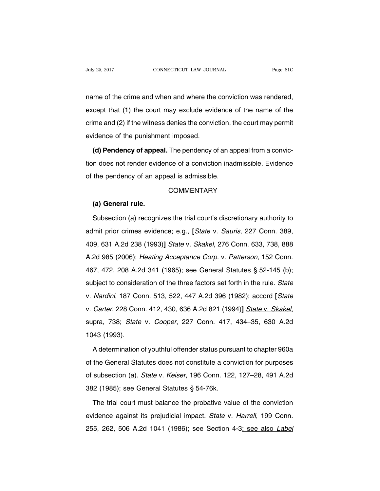name of the crime and when and where the conviction was rendered, except that (1) the court may exclude evidence of the name of the crime and (2) if the witness denies the conviction, the court may permit evidence of the punishment imposed.

**(d) Pendency of appeal.** The pendency of an appeal from a conviction does not render evidence of a conviction inadmissible. Evidence of the pendency of an appeal is admissible.

# **COMMENTARY**

#### **(a) General rule.**

Subsection (a) recognizes the trial court's discretionary authority to admit prior crimes evidence; e.g., **[**State v. Sauris, 227 Conn. 389, 409, 631 A.2d 238 (1993)**]** State v. Skakel, 276 Conn. 633, 738, 888 A.2d 985 (2006); Heating Acceptance Corp. v. Patterson, 152 Conn. 467, 472, 208 A.2d 341 (1965); see General Statutes § 52-145 (b); subject to consideration of the three factors set forth in the rule. State v. Nardini, 187 Conn. 513, 522, 447 A.2d 396 (1982); accord **[**State v. Carter, 228 Conn. 412, 430, 636 A.2d 821 (1994)**]** State v. Skakel, supra, 738; State v. Cooper, 227 Conn. 417, 434–35, 630 A.2d 1043 (1993).

A determination of youthful offender status pursuant to chapter 960a of the General Statutes does not constitute a conviction for purposes of subsection (a). State v. Keiser, 196 Conn. 122, 127–28, 491 A.2d 382 (1985); see General Statutes § 54-76k.

The trial court must balance the probative value of the conviction evidence against its prejudicial impact. State v. Harrell, 199 Conn. 255, 262, 506 A.2d 1041 (1986); see Section 4-3; see also Label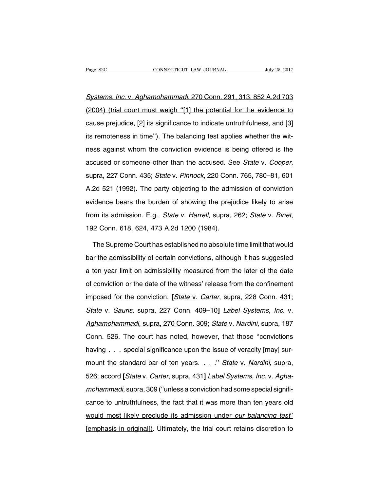Systems, Inc. v. Aghamohammadi, 270 Conn. 291, 313, 852 A.2d 703 (2004) (trial court must weigh ''[1] the potential for the evidence to cause prejudice, [2] its significance to indicate untruthfulness, and [3] its remoteness in time"). The balancing test applies whether the witness against whom the conviction evidence is being offered is the accused or someone other than the accused. See State v. Cooper, supra, 227 Conn. 435; State v. Pinnock, 220 Conn. 765, 780–81, 601 A.2d 521 (1992). The party objecting to the admission of conviction evidence bears the burden of showing the prejudice likely to arise from its admission. E.g., State v. Harrell, supra, 262; State v. Binet, 192 Conn. 618, 624, 473 A.2d 1200 (1984).

The Supreme Court has established no absolute time limit that would bar the admissibility of certain convictions, although it has suggested a ten year limit on admissibility measured from the later of the date of conviction or the date of the witness' release from the confinement imposed for the conviction. **[**State v. Carter, supra, 228 Conn. 431; State v. Sauris, supra, 227 Conn. 409-10] *Label Systems, Inc. v.* Aghamohammadi, supra, 270 Conn. 309; State v. Nardini, supra, 187 Conn. 526. The court has noted, however, that those ''convictions having . . . special significance upon the issue of veracity [may] surmount the standard bar of ten years. . . ." State v. Nardini, supra, 526; accord **[**State v. Carter, supra, 431**]** Label Systems, Inc. v. Aghamohammadi, supra, 309 (''unless a conviction had some special significance to untruthfulness, the fact that it was more than ten years old would most likely preclude its admission under our balancing test' [emphasis in original]). Ultimately, the trial court retains discretion to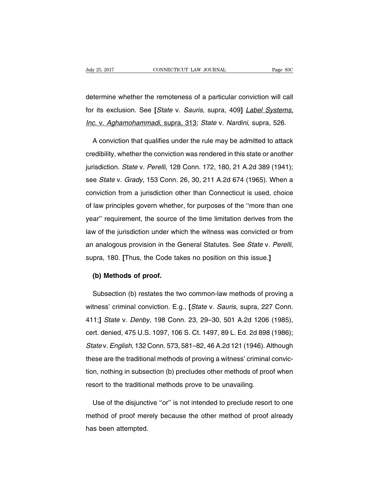determine whether the remoteness of a particular conviction will call for its exclusion. See **[**State v. Sauris, supra, 409**]** Label Systems, Inc. v. Aghamohammadi, supra, 313; State v. Nardini, supra, 526.

A conviction that qualifies under the rule may be admitted to attack credibility, whether the conviction was rendered in this state or another jurisdiction. State v. Perelli, 128 Conn. 172, 180, 21 A.2d 389 (1941); see State v. Grady, 153 Conn. 26, 30, 211 A.2d 674 (1965). When a conviction from a jurisdiction other than Connecticut is used, choice of law principles govern whether, for purposes of the ''more than one year'' requirement, the source of the time limitation derives from the law of the jurisdiction under which the witness was convicted or from an analogous provision in the General Statutes. See State v. Perelli, supra, 180. **[**Thus, the Code takes no position on this issue.**]**

# **(b) Methods of proof.**

Subsection (b) restates the two common-law methods of proving a witness' criminal conviction. E.g., **[**State v. Sauris, supra, 227 Conn. 411;**]** State v. Denby, 198 Conn. 23, 29–30, 501 A.2d 1206 (1985), cert. denied, 475 U.S. 1097, 106 S. Ct. 1497, 89 L. Ed. 2d 898 (1986); State v. English, 132 Conn. 573, 581–82, 46 A.2d 121 (1946). Although these are the traditional methods of proving a witness' criminal conviction, nothing in subsection (b) precludes other methods of proof when resort to the traditional methods prove to be unavailing.

Use of the disjunctive ''or'' is not intended to preclude resort to one method of proof merely because the other method of proof already has been attempted.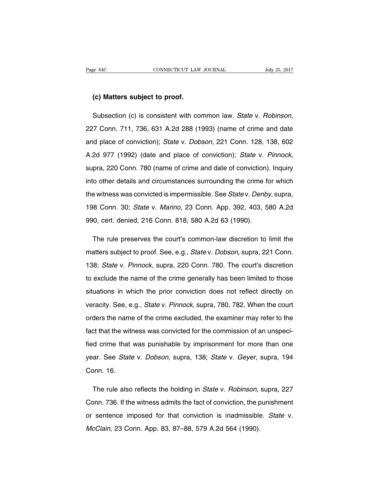#### **(c) Matters subject to proof.**

Subsection (c) is consistent with common law. State v. Robinson, 227 Conn. 711, 736, 631 A.2d 288 (1993) (name of crime and date and place of conviction); State v. Dobson, 221 Conn. 128, 138, 602 A.2d 977 (1992) (date and place of conviction); State v. Pinnock, supra, 220 Conn. 780 (name of crime and date of conviction). Inquiry into other details and circumstances surrounding the crime for which the witness was convicted is impermissible. See State v. Denby, supra, 198 Conn. 30; State v. Marino, 23 Conn. App. 392, 403, 580 A.2d 990, cert. denied, 216 Conn. 818, 580 A.2d 63 (1990).

The rule preserves the court's common-law discretion to limit the matters subject to proof. See, e.g., State v. Dobson, supra, 221 Conn. 138; State v. Pinnock, supra, 220 Conn. 780. The court's discretion to exclude the name of the crime generally has been limited to those situations in which the prior conviction does not reflect directly on veracity. See, e.g., State v. Pinnock, supra, 780, 782. When the court orders the name of the crime excluded, the examiner may refer to the fact that the witness was convicted for the commission of an unspecified crime that was punishable by imprisonment for more than one year. See State v. Dobson, supra, 138; State v. Geyer, supra, 194 Conn. 16.

The rule also reflects the holding in *State v. Robinson*, supra, 227 Conn. 736. If the witness admits the fact of conviction, the punishment or sentence imposed for that conviction is inadmissible. State v. McClain, 23 Conn. App. 83, 87–88, 579 A.2d 564 (1990).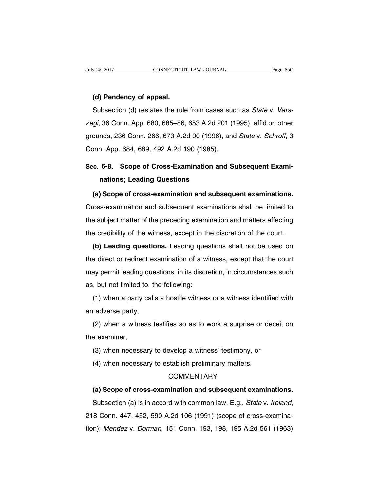#### **(d) Pendency of appeal.**

Subsection (d) restates the rule from cases such as State v. Varszegi, 36 Conn. App. 680, 685–86, 653 A.2d 201 (1995), aff'd on other grounds, 236 Conn. 266, 673 A.2d 90 (1996), and State v. Schroff, 3 Conn. App. 684, 689, 492 A.2d 190 (1985).

# **Sec. 6-8. Scope of Cross-Examination and Subsequent Examinations; Leading Questions**

**(a) Scope of cross-examination and subsequent examinations.** Cross-examination and subsequent examinations shall be limited to the subject matter of the preceding examination and matters affecting the credibility of the witness, except in the discretion of the court.

**(b) Leading questions.** Leading questions shall not be used on the direct or redirect examination of a witness, except that the court may permit leading questions, in its discretion, in circumstances such as, but not limited to, the following:

(1) when a party calls a hostile witness or a witness identified with an adverse party,

(2) when a witness testifies so as to work a surprise or deceit on the examiner,

- (3) when necessary to develop a witness' testimony, or
- (4) when necessary to establish preliminary matters.

# **COMMENTARY**

#### **(a) Scope of cross-examination and subsequent examinations.**

Subsection (a) is in accord with common law. E.g., State v. Ireland, 218 Conn. 447, 452, 590 A.2d 106 (1991) (scope of cross-examination); Mendez v. Dorman, 151 Conn. 193, 198, 195 A.2d 561 (1963)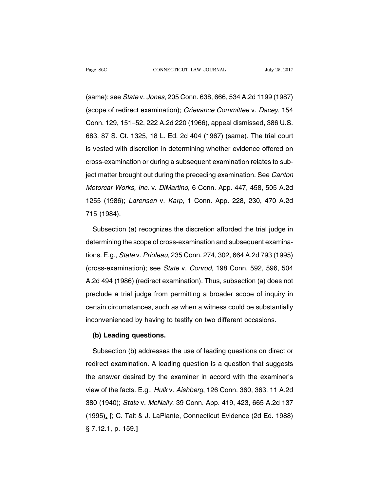(same); see State v. Jones, 205 Conn. 638, 666, 534 A.2d 1199 (1987) (scope of redirect examination); Grievance Committee v. Dacey, 154 Conn. 129, 151–52, 222 A.2d 220 (1966), appeal dismissed, 386 U.S. 683, 87 S. Ct. 1325, 18 L. Ed. 2d 404 (1967) (same). The trial court is vested with discretion in determining whether evidence offered on cross-examination or during a subsequent examination relates to subject matter brought out during the preceding examination. See Canton Motorcar Works, Inc. v. DiMartino, 6 Conn. App. 447, 458, 505 A.2d 1255 (1986); Larensen v. Karp, 1 Conn. App. 228, 230, 470 A.2d 715 (1984).

Subsection (a) recognizes the discretion afforded the trial judge in determining the scope of cross-examination and subsequent examinations. E.g., State v. Prioleau, 235 Conn. 274, 302, 664 A.2d 793 (1995) (cross-examination); see State v. Conrod, 198 Conn. 592, 596, 504 A.2d 494 (1986) (redirect examination). Thus, subsection (a) does not preclude a trial judge from permitting a broader scope of inquiry in certain circumstances, such as when a witness could be substantially inconvenienced by having to testify on two different occasions.

#### **(b) Leading questions.**

Subsection (b) addresses the use of leading questions on direct or redirect examination. A leading question is a question that suggests the answer desired by the examiner in accord with the examiner's view of the facts. E.g., Hulk v. Aishberg, 126 Conn. 360, 363, 11 A.2d 380 (1940); State v. McNally, 39 Conn. App. 419, 423, 665 A.2d 137 (1995). **[**; C. Tait & J. LaPlante, Connecticut Evidence (2d Ed. 1988) § 7.12.1, p. 159.**]**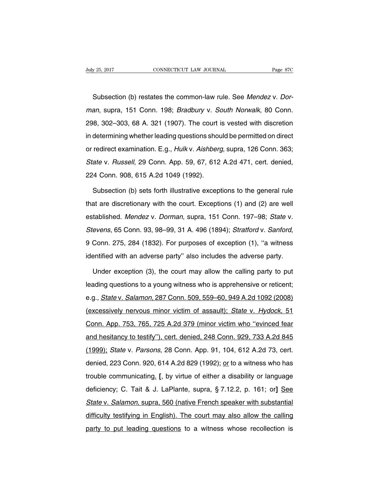Subsection (b) restates the common-law rule. See Mendez v. Dorman, supra, 151 Conn. 198; Bradbury v. South Norwalk, 80 Conn. 298, 302–303, 68 A. 321 (1907). The court is vested with discretion in determining whether leading questions should be permitted on direct or redirect examination. E.g., Hulk v. Aishberg, supra, 126 Conn. 363; State v. Russell, 29 Conn. App. 59, 67, 612 A.2d 471, cert. denied, 224 Conn. 908, 615 A.2d 1049 (1992).

Subsection (b) sets forth illustrative exceptions to the general rule that are discretionary with the court. Exceptions (1) and (2) are well established. Mendez v. Dorman, supra, 151 Conn. 197–98; State v. Stevens, 65 Conn. 93, 98–99, 31 A. 496 (1894); Stratford v. Sanford, 9 Conn. 275, 284 (1832). For purposes of exception (1), ''a witness identified with an adverse party'' also includes the adverse party.

Under exception (3), the court may allow the calling party to put leading questions to a young witness who is apprehensive or reticent; e.g., State v. Salamon, 287 Conn. 509, 559–60, 949 A.2d 1092 (2008) (excessively nervous minor victim of assault); State v. Hydock, 51 Conn. App. 753, 765, 725 A.2d 379 (minor victim who ''evinced fear and hesitancy to testify''), cert. denied, 248 Conn. 929, 733 A.2d 845 (1999); State v. Parsons, 28 Conn. App. 91, 104, 612 A.2d 73, cert. denied, 223 Conn. 920, 614 A.2d 829 (1992); or to a witness who has trouble communicating. **[**, by virtue of either a disability or language deficiency; C. Tait & J. LaPlante, supra, § 7.12.2, p. 161; or**]** See State v. Salamon, supra, 560 (native French speaker with substantial difficulty testifying in English). The court may also allow the calling party to put leading questions to a witness whose recollection is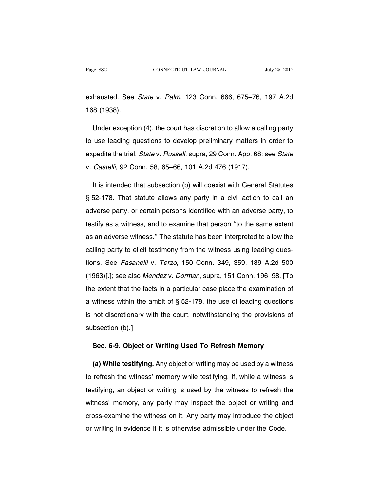exhausted. See State v. Palm, 123 Conn. 666, 675–76, 197 A.2d 168 (1938).

Under exception (4), the court has discretion to allow a calling party to use leading questions to develop preliminary matters in order to expedite the trial. State v. Russell, supra, 29 Conn. App. 68; see State v. Castelli, 92 Conn. 58, 65–66, 101 A.2d 476 (1917).

It is intended that subsection (b) will coexist with General Statutes § 52-178. That statute allows any party in a civil action to call an adverse party, or certain persons identified with an adverse party, to testify as a witness, and to examine that person ''to the same extent as an adverse witness.'' The statute has been interpreted to allow the calling party to elicit testimony from the witness using leading questions. See Fasanelli v. Terzo, 150 Conn. 349, 359, 189 A.2d 500 (1963)**[**.**]**; see also Mendez v. Dorman, supra, 151 Conn. 196–98. **[**To the extent that the facts in a particular case place the examination of a witness within the ambit of § 52-178, the use of leading questions is not discretionary with the court, notwithstanding the provisions of subsection (b).**]**

#### **Sec. 6-9. Object or Writing Used To Refresh Memory**

**(a) While testifying.** Any object or writing may be used by a witness to refresh the witness' memory while testifying. If, while a witness is testifying, an object or writing is used by the witness to refresh the witness' memory, any party may inspect the object or writing and cross-examine the witness on it. Any party may introduce the object or writing in evidence if it is otherwise admissible under the Code.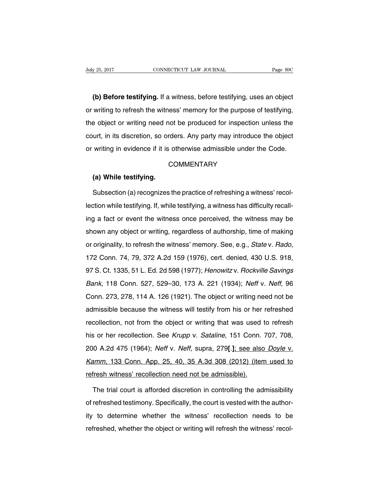**(b) Before testifying.** If a witness, before testifying, uses an object or writing to refresh the witness' memory for the purpose of testifying, the object or writing need not be produced for inspection unless the court, in its discretion, so orders. Any party may introduce the object or writing in evidence if it is otherwise admissible under the Code.

# **COMMENTARY**

#### **(a) While testifying.**

Subsection (a) recognizes the practice of refreshing a witness' recollection while testifying. If, while testifying, a witness has difficulty recalling a fact or event the witness once perceived, the witness may be shown any object or writing, regardless of authorship, time of making or originality, to refresh the witness' memory. See, e.g., State v. Rado, 172 Conn. 74, 79, 372 A.2d 159 (1976), cert. denied, 430 U.S. 918, 97 S. Ct. 1335, 51 L. Ed. 2d 598 (1977); Henowitz v. Rockville Savings Bank, 118 Conn. 527, 529–30, 173 A. 221 (1934); Neff v. Neff, 96 Conn. 273, 278, 114 A. 126 (1921). The object or writing need not be admissible because the witness will testify from his or her refreshed recollection, not from the object or writing that was used to refresh his or her recollection. See Krupp v. Sataline, 151 Conn. 707, 708, 200 A.2d 475 (1964); Neff v. Neff, supra, 279**[**.**]**; see also Doyle v. Kamm, 133 Conn. App. 25, 40, 35 A.3d 308 (2012) (item used to refresh witness' recollection need not be admissible).

The trial court is afforded discretion in controlling the admissibility of refreshed testimony. Specifically, the court is vested with the authority to determine whether the witness' recollection needs to be refreshed, whether the object or writing will refresh the witness' recol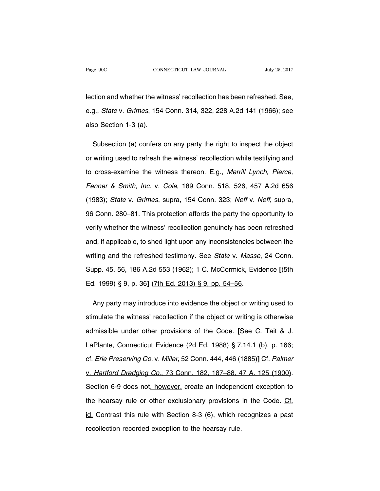lection and whether the witness' recollection has been refreshed. See, e.g., State v. Grimes, 154 Conn. 314, 322, 228 A.2d 141 (1966); see also Section 1-3 (a).

Subsection (a) confers on any party the right to inspect the object or writing used to refresh the witness' recollection while testifying and to cross-examine the witness thereon. E.g., Merrill Lynch, Pierce, Fenner & Smith, Inc. v. Cole, 189 Conn. 518, 526, 457 A.2d 656 (1983); State v. Grimes, supra, 154 Conn. 323; Neff v. Neff, supra, 96 Conn. 280–81. This protection affords the party the opportunity to verify whether the witness' recollection genuinely has been refreshed and, if applicable, to shed light upon any inconsistencies between the writing and the refreshed testimony. See State v. Masse, 24 Conn. Supp. 45, 56, 186 A.2d 553 (1962); 1 C. McCormick, Evidence **[**(5th Ed. 1999) § 9, p. 36**]** (7th Ed. 2013) § 9, pp. 54–56.

Any party may introduce into evidence the object or writing used to stimulate the witness' recollection if the object or writing is otherwise admissible under other provisions of the Code. **[**See C. Tait & J. LaPlante, Connecticut Evidence (2d Ed. 1988) § 7.14.1 (b), p. 166; cf. Erie Preserving Co. v. Miller, 52 Conn. 444, 446 (1885)**]** Cf. Palmer v. Hartford Dredging Co., 73 Conn. 182, 187–88, 47 A. 125 (1900). Section 6-9 does not, however, create an independent exception to the hearsay rule or other exclusionary provisions in the Code. Cf. id. Contrast this rule with Section 8-3 (6), which recognizes a past recollection recorded exception to the hearsay rule.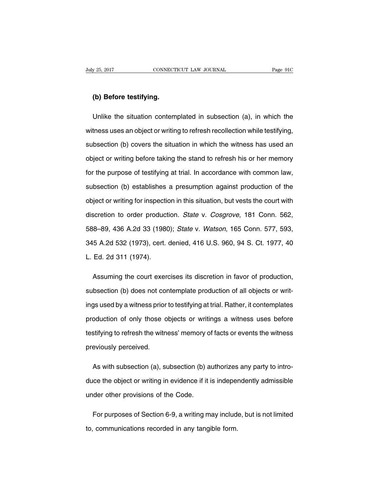### **(b) Before testifying.**

Unlike the situation contemplated in subsection (a), in which the witness uses an object or writing to refresh recollection while testifying, subsection (b) covers the situation in which the witness has used an object or writing before taking the stand to refresh his or her memory for the purpose of testifying at trial. In accordance with common law, subsection (b) establishes a presumption against production of the object or writing for inspection in this situation, but vests the court with discretion to order production. State v. Cosgrove, 181 Conn. 562, 588–89, 436 A.2d 33 (1980); State v. Watson, 165 Conn. 577, 593, 345 A.2d 532 (1973), cert. denied, 416 U.S. 960, 94 S. Ct. 1977, 40 L. Ed. 2d 311 (1974).

Assuming the court exercises its discretion in favor of production, subsection (b) does not contemplate production of all objects or writings used by a witness prior to testifying at trial. Rather, it contemplates production of only those objects or writings a witness uses before testifying to refresh the witness' memory of facts or events the witness previously perceived.

As with subsection (a), subsection (b) authorizes any party to introduce the object or writing in evidence if it is independently admissible under other provisions of the Code.

For purposes of Section 6-9, a writing may include, but is not limited to, communications recorded in any tangible form.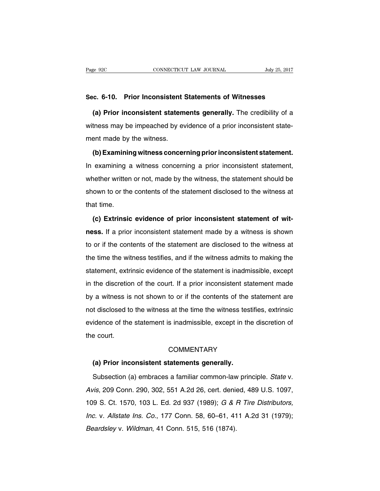#### **Sec. 6-10. Prior Inconsistent Statements of Witnesses**

**(a) Prior inconsistent statements generally.** The credibility of a witness may be impeached by evidence of a prior inconsistent statement made by the witness.

**(b)Examining witness concerning priorinconsistent statement.** In examining a witness concerning a prior inconsistent statement, whether written or not, made by the witness, the statement should be shown to or the contents of the statement disclosed to the witness at that time.

**(c) Extrinsic evidence of prior inconsistent statement of witness.** If a prior inconsistent statement made by a witness is shown to or if the contents of the statement are disclosed to the witness at the time the witness testifies, and if the witness admits to making the statement, extrinsic evidence of the statement is inadmissible, except in the discretion of the court. If a prior inconsistent statement made by a witness is not shown to or if the contents of the statement are not disclosed to the witness at the time the witness testifies, extrinsic evidence of the statement is inadmissible, except in the discretion of the court.

### **COMMENTARY**

#### **(a) Prior inconsistent statements generally.**

Subsection (a) embraces a familiar common-law principle. State v. Avis, 209 Conn. 290, 302, 551 A.2d 26, cert. denied, 489 U.S. 1097, 109 S. Ct. 1570, 103 L. Ed. 2d 937 (1989); G & R Tire Distributors, Inc. v. Allstate Ins. Co., 177 Conn. 58, 60–61, 411 A.2d 31 (1979); Beardsley v. Wildman, 41 Conn. 515, 516 (1874).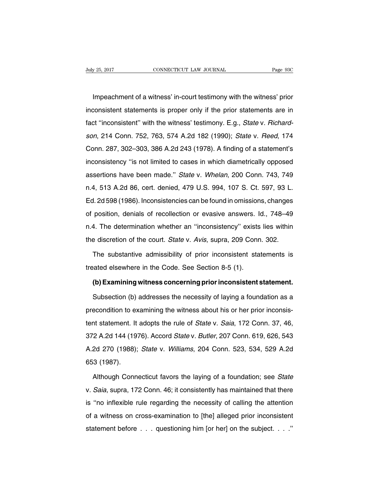Impeachment of a witness' in-court testimony with the witness' prior inconsistent statements is proper only if the prior statements are in fact "inconsistent" with the witness' testimony. E.g., State v. Richardson, 214 Conn. 752, 763, 574 A.2d 182 (1990); State v. Reed, 174 Conn. 287, 302–303, 386 A.2d 243 (1978). A finding of a statement's inconsistency ''is not limited to cases in which diametrically opposed assertions have been made.'' State v. Whelan, 200 Conn. 743, 749 n.4, 513 A.2d 86, cert. denied, 479 U.S. 994, 107 S. Ct. 597, 93 L. Ed. 2d 598 (1986). Inconsistencies can be found in omissions, changes of position, denials of recollection or evasive answers. Id., 748–49 n.4. The determination whether an ''inconsistency'' exists lies within the discretion of the court. State v. Avis, supra, 209 Conn. 302.

The substantive admissibility of prior inconsistent statements is treated elsewhere in the Code. See Section 8-5 (1).

#### **(b)Examining witness concerning priorinconsistent statement.**

Subsection (b) addresses the necessity of laying a foundation as a precondition to examining the witness about his or her prior inconsistent statement. It adopts the rule of State v. Saia, 172 Conn. 37, 46, 372 A.2d 144 (1976). Accord State v. Butler, 207 Conn. 619, 626, 543 A.2d 270 (1988); State v. Williams, 204 Conn. 523, 534, 529 A.2d 653 (1987).

Although Connecticut favors the laying of a foundation; see State v. Saia, supra, 172 Conn. 46; it consistently has maintained that there is ''no inflexible rule regarding the necessity of calling the attention of a witness on cross-examination to [the] alleged prior inconsistent statement before . . . questioning him [or her] on the subject. . . .''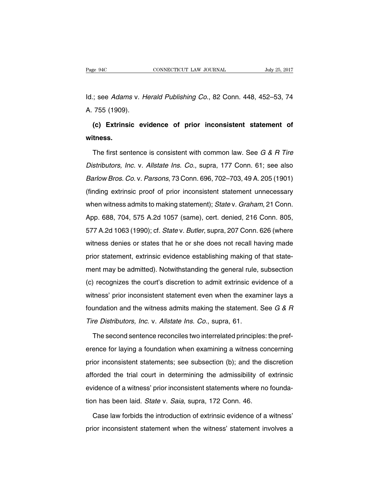Id.; see Adams v. Herald Publishing Co., 82 Conn. 448, 452–53, 74 A. 755 (1909).

**(c) Extrinsic evidence of prior inconsistent statement of witness.**

The first sentence is consistent with common law. See G & R Tire Distributors, Inc. v. Allstate Ins. Co., supra, 177 Conn. 61; see also Barlow Bros. Co. v. Parsons, 73 Conn. 696, 702–703, 49 A. 205 (1901) (finding extrinsic proof of prior inconsistent statement unnecessary when witness admits to making statement); State v. Graham, 21 Conn. App. 688, 704, 575 A.2d 1057 (same), cert. denied, 216 Conn. 805, 577 A.2d 1063 (1990); cf. State v. Butler, supra, 207 Conn. 626 (where witness denies or states that he or she does not recall having made prior statement, extrinsic evidence establishing making of that statement may be admitted). Notwithstanding the general rule, subsection (c) recognizes the court's discretion to admit extrinsic evidence of a witness' prior inconsistent statement even when the examiner lays a foundation and the witness admits making the statement. See G & R Tire Distributors, Inc. v. Allstate Ins. Co., supra, 61.

The second sentence reconciles two interrelated principles: the preference for laying a foundation when examining a witness concerning prior inconsistent statements; see subsection (b); and the discretion afforded the trial court in determining the admissibility of extrinsic evidence of a witness' prior inconsistent statements where no foundation has been laid. State v. Saia, supra, 172 Conn. 46.

Case law forbids the introduction of extrinsic evidence of a witness' prior inconsistent statement when the witness' statement involves a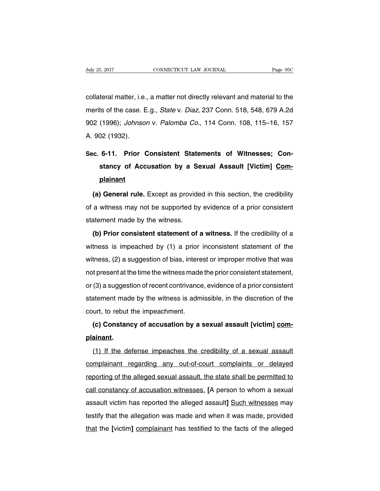collateral matter, i.e., a matter not directly relevant and material to the merits of the case. E.g., State v. Diaz, 237 Conn. 518, 548, 679 A.2d 902 (1996); Johnson v. Palomba Co., 114 Conn. 108, 115–16, 157 A. 902 (1932).

# **Sec. 6-11. Prior Consistent Statements of Witnesses; Constancy of Accusation by a Sexual Assault [Victim] Complainant**

**(a) General rule.** Except as provided in this section, the credibility of a witness may not be supported by evidence of a prior consistent statement made by the witness.

**(b) Prior consistent statement of a witness.** If the credibility of a witness is impeached by (1) a prior inconsistent statement of the witness, (2) a suggestion of bias, interest or improper motive that was not present at the time the witness made the prior consistent statement, or (3) a suggestion of recent contrivance, evidence of a prior consistent statement made by the witness is admissible, in the discretion of the court, to rebut the impeachment.

# **(c) Constancy of accusation by a sexual assault [victim] complainant.**

(1) If the defense impeaches the credibility of a sexual assault complainant regarding any out-of-court complaints or delayed reporting of the alleged sexual assault, the state shall be permitted to call constancy of accusation witnesses. **[**A person to whom a sexual assault victim has reported the alleged assault**]** Such witnesses may testify that the allegation was made and when it was made, provided that the **[**victim**]** complainant has testified to the facts of the alleged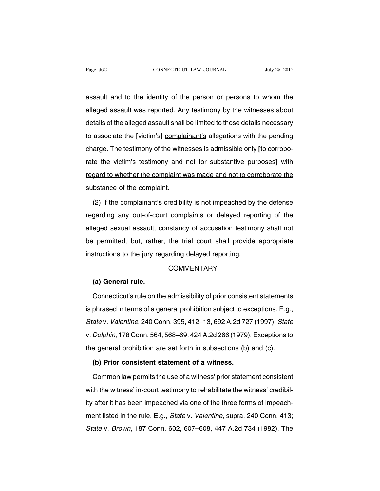assault and to the identity of the person or persons to whom the alleged assault was reported. Any testimony by the witnesses about details of the alleged assault shall be limited to those details necessary to associate the **[**victim's**]** complainant's allegations with the pending charge. The testimony of the witnesses is admissible only **[**to corroborate the victim's testimony and not for substantive purposes**]** with regard to whether the complaint was made and not to corroborate the substance of the complaint.

(2) If the complainant's credibility is not impeached by the defense regarding any out-of-court complaints or delayed reporting of the alleged sexual assault, constancy of accusation testimony shall not be permitted, but, rather, the trial court shall provide appropriate instructions to the jury regarding delayed reporting.

### **COMMENTARY**

#### **(a) General rule.**

Connecticut's rule on the admissibility of prior consistent statements is phrased in terms of a general prohibition subject to exceptions. E.g., State v. Valentine, 240 Conn. 395, 412–13, 692 A.2d 727 (1997); State v. Dolphin, 178 Conn. 564, 568–69, 424 A.2d 266 (1979). Exceptions to the general prohibition are set forth in subsections (b) and (c).

#### **(b) Prior consistent statement of a witness.**

Common law permits the use of a witness' prior statement consistent with the witness' in-court testimony to rehabilitate the witness' credibility after it has been impeached via one of the three forms of impeachment listed in the rule. E.g., State v. Valentine, supra, 240 Conn. 413; State v. Brown, 187 Conn. 602, 607–608, 447 A.2d 734 (1982). The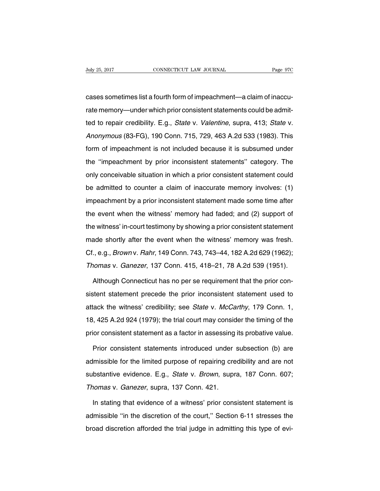cases sometimes list a fourth form of impeachment—a claim of inaccurate memory—under which prior consistent statements could be admitted to repair credibility. E.g., State v. Valentine, supra, 413; State v. Anonymous (83-FG), 190 Conn. 715, 729, 463 A.2d 533 (1983). This form of impeachment is not included because it is subsumed under the ''impeachment by prior inconsistent statements'' category. The only conceivable situation in which a prior consistent statement could be admitted to counter a claim of inaccurate memory involves: (1) impeachment by a prior inconsistent statement made some time after the event when the witness' memory had faded; and (2) support of the witness' in-court testimony by showing a prior consistent statement made shortly after the event when the witness' memory was fresh.

Cf., e.g., Brown v. Rahr, 149 Conn. 743, 743–44, 182 A.2d 629 (1962); Thomas v. Ganezer, 137 Conn. 415, 418–21, 78 A.2d 539 (1951).

Although Connecticut has no per se requirement that the prior consistent statement precede the prior inconsistent statement used to attack the witness' credibility; see State v. McCarthy, 179 Conn. 1, 18, 425 A.2d 924 (1979); the trial court may consider the timing of the prior consistent statement as a factor in assessing its probative value.

Prior consistent statements introduced under subsection (b) are admissible for the limited purpose of repairing credibility and are not substantive evidence. E.g., State v. Brown, supra, 187 Conn. 607; Thomas v. Ganezer, supra, 137 Conn. 421.

In stating that evidence of a witness' prior consistent statement is admissible ''in the discretion of the court,'' Section 6-11 stresses the broad discretion afforded the trial judge in admitting this type of evi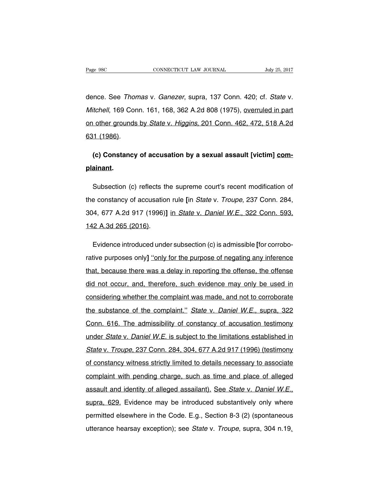dence. See Thomas v. Ganezer, supra, 137 Conn. 420; cf. State v. Mitchell, 169 Conn. 161, 168, 362 A.2d 808 (1975), overruled in part on other grounds by State v. Higgins, 201 Conn. 462, 472, 518 A.2d 631 (1986).

# **(c) Constancy of accusation by a sexual assault [victim] complainant.**

Subsection (c) reflects the supreme court's recent modification of the constancy of accusation rule **[**in State v. Troupe, 237 Conn. 284, 304, 677 A.2d 917 (1996)**]** in State v. Daniel W.E., 322 Conn. 593, 142 A.3d 265 (2016).

Evidence introduced under subsection (c) is admissible **[**for corroborative purposes only] "only for the purpose of negating any inference that, because there was a delay in reporting the offense, the offense did not occur, and, therefore, such evidence may only be used in considering whether the complaint was made, and not to corroborate the substance of the complaint." State v. Daniel W.E., supra, 322 Conn. 616. The admissibility of constancy of accusation testimony under State v. Daniel W.E. is subject to the limitations established in State v. Troupe, 237 Conn. 284, 304, 677 A.2d 917 (1996) (testimony of constancy witness strictly limited to details necessary to associate complaint with pending charge, such as time and place of alleged assault and identity of alleged assailant). See State v. Daniel W.E., supra, 629. Evidence may be introduced substantively only where permitted elsewhere in the Code. E.g., Section 8-3 (2) (spontaneous utterance hearsay exception); see State v. Troupe, supra, 304 n.19.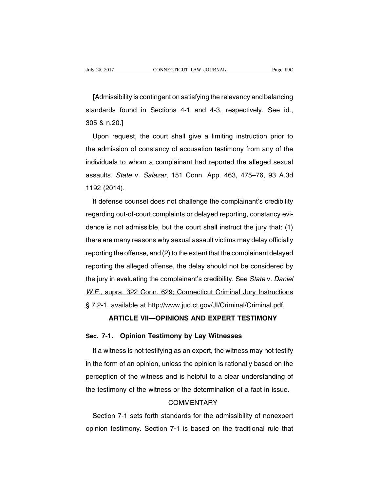**[**Admissibility is contingent on satisfying the relevancy and balancing standards found in Sections 4-1 and 4-3, respectively. See id., 305 & n.20.**]**

Upon request, the court shall give a limiting instruction prior to the admission of constancy of accusation testimony from any of the individuals to whom a complainant had reported the alleged sexual assaults. State v. Salazar, 151 Conn. App. 463, 475–76, 93 A.3d 1192 (2014).

If defense counsel does not challenge the complainant's credibility regarding out-of-court complaints or delayed reporting, constancy evidence is not admissible, but the court shall instruct the jury that: (1) there are many reasons why sexual assault victims may delay officially reporting the offense, and (2) to the extent that the complainant delayed reporting the alleged offense, the delay should not be considered by the jury in evaluating the complainant's credibility. See State v. Daniel W.E., supra, 322 Conn. 629; Connecticut Criminal Jury Instructions § 7.2-1, available at http://www.jud.ct.gov/JI/Criminal/Criminal.pdf.

# **ARTICLE VII—OPINIONS AND EXPERT TESTIMONY**

### **Sec. 7-1. Opinion Testimony by Lay Witnesses**

If a witness is not testifying as an expert, the witness may not testify in the form of an opinion, unless the opinion is rationally based on the perception of the witness and is helpful to a clear understanding of the testimony of the witness or the determination of a fact in issue.

# **COMMENTARY**

Section 7-1 sets forth standards for the admissibility of nonexpert opinion testimony. Section 7-1 is based on the traditional rule that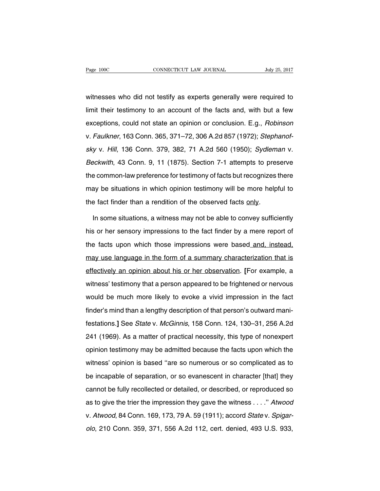witnesses who did not testify as experts generally were required to limit their testimony to an account of the facts and, with but a few exceptions, could not state an opinion or conclusion. E.g., Robinson v. Faulkner, 163 Conn. 365, 371–72, 306 A.2d 857 (1972); Stephanofsky v. Hill, 136 Conn. 379, 382, 71 A.2d 560 (1950); Sydleman v. Beckwith, 43 Conn. 9, 11 (1875). Section 7-1 attempts to preserve the common-law preference for testimony of facts but recognizes there may be situations in which opinion testimony will be more helpful to the fact finder than a rendition of the observed facts only.

In some situations, a witness may not be able to convey sufficiently his or her sensory impressions to the fact finder by a mere report of the facts upon which those impressions were based and, instead, may use language in the form of a summary characterization that is effectively an opinion about his or her observation. **[**For example, a witness' testimony that a person appeared to be frightened or nervous would be much more likely to evoke a vivid impression in the fact finder's mind than a lengthy description of that person's outward manifestations.**]** See State v. McGinnis, 158 Conn. 124, 130–31, 256 A.2d 241 (1969). As a matter of practical necessity, this type of nonexpert opinion testimony may be admitted because the facts upon which the witness' opinion is based ''are so numerous or so complicated as to be incapable of separation, or so evanescent in character [that] they cannot be fully recollected or detailed, or described, or reproduced so as to give the trier the impression they gave the witness . . . .'' Atwood v. Atwood, 84 Conn. 169, 173, 79 A. 59 (1911); accord State v. Spigarolo, 210 Conn. 359, 371, 556 A.2d 112, cert. denied, 493 U.S. 933,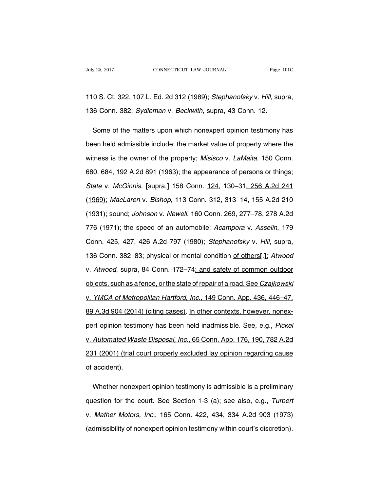# 110 S. Ct. 322, 107 L. Ed. 2d 312 (1989); Stephanofsky v. Hill, supra, 136 Conn. 382; Sydleman v. Beckwith, supra, 43 Conn. 12.

Some of the matters upon which nonexpert opinion testimony has been held admissible include: the market value of property where the witness is the owner of the property; Misisco v. LaMaita, 150 Conn. 680, 684, 192 A.2d 891 (1963); the appearance of persons or things; State v. McGinnis, **[**supra,**]** 158 Conn. 124, 130–31, 256 A.2d 241 (1969); MacLaren v. Bishop, 113 Conn. 312, 313–14, 155 A.2d 210 (1931); sound; Johnson v. Newell, 160 Conn. 269, 277–78, 278 A.2d 776 (1971); the speed of an automobile; Acampora v. Asselin, 179 Conn. 425, 427, 426 A.2d 797 (1980); Stephanofsky v. Hill, supra, 136 Conn. 382–83; physical or mental condition of others**[**.**]**; Atwood v. Atwood, supra, 84 Conn. 172–74; and safety of common outdoor objects, such as a fence, or the state of repair of a road. See Czajkowski v. YMCA of Metropolitan Hartford, Inc., 149 Conn. App. 436, 446–47, 89 A.3d 904 (2014) (citing cases). In other contexts, however, nonexpert opinion testimony has been held inadmissible. See, e.g., Pickel v. Automated Waste Disposal, Inc., 65 Conn. App. 176, 190, 782 A.2d 231 (2001) (trial court properly excluded lay opinion regarding cause of accident).

Whether nonexpert opinion testimony is admissible is a preliminary question for the court. See Section 1-3 (a); see also, e.g., Turbert v. Mather Motors, Inc., 165 Conn. 422, 434, 334 A.2d 903 (1973) (admissibility of nonexpert opinion testimony within court's discretion).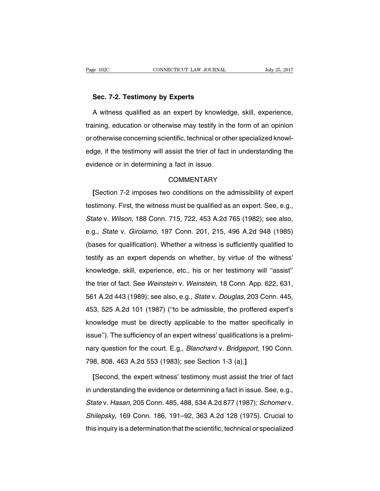#### **Sec. 7-2. Testimony by Experts**

A witness qualified as an expert by knowledge, skill, experience, training, education or otherwise may testify in the form of an opinion or otherwise concerning scientific, technical or other specialized knowledge, if the testimony will assist the trier of fact in understanding the evidence or in determining a fact in issue.

#### **COMMENTARY**

**[**Section 7-2 imposes two conditions on the admissibility of expert testimony. First, the witness must be qualified as an expert. See, e.g., State v. Wilson, 188 Conn. 715, 722, 453 A.2d 765 (1982); see also, e.g., State v. Girolamo, 197 Conn. 201, 215, 496 A.2d 948 (1985) (bases for qualification). Whether a witness is sufficiently qualified to testify as an expert depends on whether, by virtue of the witness' knowledge, skill, experience, etc., his or her testimony will ''assist'' the trier of fact. See Weinstein v. Weinstein, 18 Conn. App. 622, 631, 561 A.2d 443 (1989); see also, e.g., State v. Douglas, 203 Conn. 445, 453, 525 A.2d 101 (1987) (''to be admissible, the proffered expert's knowledge must be directly applicable to the matter specifically in issue''). The sufficiency of an expert witness' qualifications is a preliminary question for the court. E.g., Blanchard v. Bridgeport, 190 Conn. 798, 808, 463 A.2d 553 (1983); see Section 1-3 (a).**]**

**[**Second, the expert witness' testimony must assist the trier of fact in understanding the evidence or determining a fact in issue. See, e.g., State v. Hasan, 205 Conn. 485, 488, 534 A.2d 877 (1987); Schomer v. Shilepsky, 169 Conn. 186, 191–92, 363 A.2d 128 (1975). Crucial to this inquiry is a determination that the scientific, technical or specialized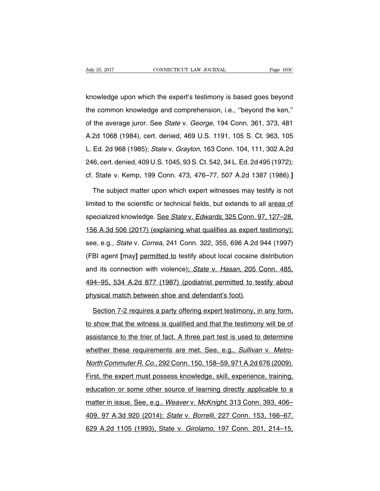knowledge upon which the expert's testimony is based goes beyond the common knowledge and comprehension, i.e., ''beyond the ken,'' of the average juror. See State v. George, 194 Conn. 361, 373, 481 A.2d 1068 (1984), cert. denied, 469 U.S. 1191, 105 S. Ct. 963, 105 L. Ed. 2d 968 (1985); State v. Grayton, 163 Conn. 104, 111, 302 A.2d 246, cert. denied, 409 U.S. 1045, 93 S. Ct. 542, 34 L. Ed. 2d 495 (1972); cf. State v. Kemp, 199 Conn. 473, 476–77, 507 A.2d 1387 (1986).**]**

The subject matter upon which expert witnesses may testify is not limited to the scientific or technical fields, but extends to all areas of specialized knowledge. See State v. Edwards, 325 Conn. 97, 127-28, 156 A.3d 506 (2017) (explaining what qualifies as expert testimony); see, e.g., State v. Correa, 241 Conn. 322, 355, 696 A.2d 944 (1997) (FBI agent **[**may**]** permitted to testify about local cocaine distribution and its connection with violence); State v. Hasan, 205 Conn. 485, 494–95, 534 A.2d 877 (1987) (podiatrist permitted to testify about physical match between shoe and defendant's foot).

Section 7-2 requires a party offering expert testimony, in any form, to show that the witness is qualified and that the testimony will be of assistance to the trier of fact. A three part test is used to determine whether these requirements are met. See, e.g., Sullivan v. Metro-North Commuter R. Co., 292 Conn. 150, 158–59, 971 A.2d 676 (2009). First, the expert must possess knowledge, skill, experience, training, education or some other source of learning directly applicable to a matter in issue. See, e.g., Weaver v. McKnight, 313 Conn. 393, 406– 409, 97 A.3d 920 (2014); State v. Borrelli, 227 Conn. 153, 166–67, 629 A.2d 1105 (1993), State v. Girolamo, 197 Conn. 201, 214–15,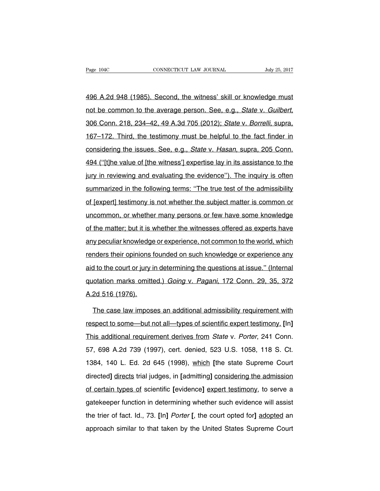496 A.2d 948 (1985). Second, the witness' skill or knowledge must not be common to the average person. See, e.g., State v. Guilbert, 306 Conn. 218, 234–42, 49 A.3d 705 (2012); State v. Borrelli, supra, 167–172. Third, the testimony must be helpful to the fact finder in considering the issues. See, e.g., State v. Hasan, supra, 205 Conn. 494 (''[t]he value of [the witness'] expertise lay in its assistance to the jury in reviewing and evaluating the evidence"). The inquiry is often summarized in the following terms: "The true test of the admissibility of [expert] testimony is not whether the subject matter is common or uncommon, or whether many persons or few have some knowledge of the matter; but it is whether the witnesses offered as experts have any peculiar knowledge or experience, not common to the world, which renders their opinions founded on such knowledge or experience any aid to the court or jury in determining the questions at issue.'' (Internal quotation marks omitted.) Going v. Pagani, 172 Conn. 29, 35, 372 A.2d 516 (1976).

The case law imposes an additional admissibility requirement with respect to some—but not all—types of scientific expert testimony. **[**In**]** This additional requirement derives from State v. Porter, 241 Conn. 57, 698 A.2d 739 (1997), cert. denied, 523 U.S. 1058, 118 S. Ct. 1384, 140 L. Ed. 2d 645 (1998), which **[**the state Supreme Court directed**]** directs trial judges, in **[**admitting**]** considering the admission of certain types of scientific **[**evidence**]** expert testimony, to serve a gatekeeper function in determining whether such evidence will assist the trier of fact. Id., 73. **[**In**]** Porter **[**, the court opted for**]** adopted an approach similar to that taken by the United States Supreme Court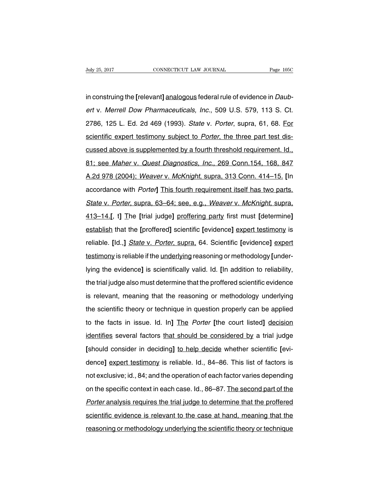in construing the **[**relevant**]** analogous federal rule of evidence in Daubert v. Merrell Dow Pharmaceuticals, Inc., 509 U.S. 579, 113 S. Ct. 2786, 125 L. Ed. 2d 469 (1993). State v. Porter, supra, 61, 68. For scientific expert testimony subject to Porter, the three part test discussed above is supplemented by a fourth threshold requirement. Id., 81; see Maher v. Quest Diagnostics, Inc., 269 Conn.154, 168, 847 A.2d 978 (2004); Weaver v. McKnight, supra, 313 Conn. 414–15. **[**In accordance with Porter**]** This fourth requirement itself has two parts. State v. Porter, supra, 63–64; see, e.g., Weaver v. McKnight, supra, 413–14.**[**, t**]** The **[**trial judge**]** proffering party first must **[**determine**]** establish that the **[**proffered**]** scientific **[**evidence**]** expert testimony is reliable. **[**Id.,**]** State v. Porter, supra, 64. Scientific **[**evidence**]** expert testimony is reliable if the underlying reasoning or methodology **[**underlying the evidence**]** is scientifically valid. Id. **[**In addition to reliability, the trial judge also must determine that the proffered scientific evidence is relevant, meaning that the reasoning or methodology underlying the scientific theory or technique in question properly can be applied to the facts in issue. Id. In**]** The Porter **[**the court listed**]** decision identifies several factors that should be considered by a trial judge **[**should consider in deciding**]** to help decide whether scientific **[**evidence**]** expert testimony is reliable. Id., 84–86. This list of factors is not exclusive; id., 84; and the operation of each factor varies depending on the specific context in each case. Id., 86–87. The second part of the Porter analysis requires the trial judge to determine that the proffered scientific evidence is relevant to the case at hand, meaning that the reasoning or methodology underlying the scientific theory or technique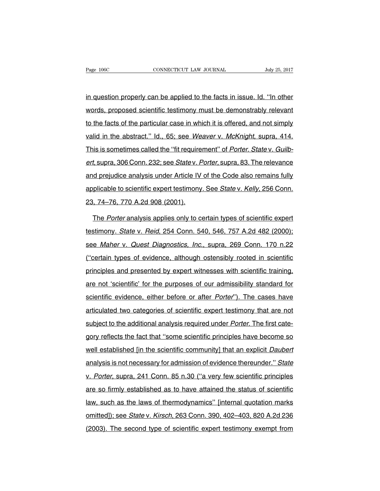in question properly can be applied to the facts in issue. Id. ''In other words, proposed scientific testimony must be demonstrably relevant to the facts of the particular case in which it is offered, and not simply valid in the abstract." Id., 65; see Weaver v. McKnight, supra, 414. This is sometimes called the "fit requirement" of Porter. State v. Guilbert, supra, 306 Conn. 232; see State v. Porter, supra, 83. The relevance and prejudice analysis under Article IV of the Code also remains fully applicable to scientific expert testimony. See State v. Kelly, 256 Conn. 23, 74–76, 770 A.2d 908 (2001).

The Porter analysis applies only to certain types of scientific expert testimony. State v. Reid, 254 Conn. 540, 546, 757 A.2d 482 (2000); see Maher v. Quest Diagnostics, Inc., supra, 269 Conn. 170 n.22 (''certain types of evidence, although ostensibly rooted in scientific principles and presented by expert witnesses with scientific training, are not 'scientific' for the purposes of our admissibility standard for scientific evidence, either before or after *Porter*"). The cases have articulated two categories of scientific expert testimony that are not subject to the additional analysis required under *Porter*. The first category reflects the fact that ''some scientific principles have become so well established [in the scientific community] that an explicit Daubert analysis is not necessary for admission of evidence thereunder.'' State v. Porter, supra, 241 Conn. 85 n.30 (''a very few scientific principles are so firmly established as to have attained the status of scientific law, such as the laws of thermodynamics'' [internal quotation marks omitted]); see State v. Kirsch, 263 Conn. 390, 402–403, 820 A.2d 236 (2003). The second type of scientific expert testimony exempt from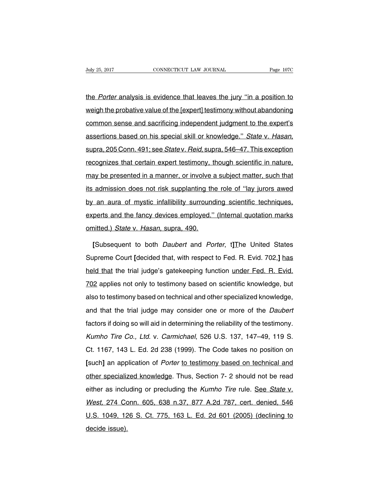the Porter analysis is evidence that leaves the jury "in a position to weigh the probative value of the [expert] testimony without abandoning common sense and sacrificing independent judgment to the expert's assertions based on his special skill or knowledge." State v. Hasan, supra, 205 Conn. 491; see State v. Reid, supra, 546–47. This exception recognizes that certain expert testimony, though scientific in nature, may be presented in a manner, or involve a subject matter, such that its admission does not risk supplanting the role of ''lay jurors awed by an aura of mystic infallibility surrounding scientific techniques, experts and the fancy devices employed." (Internal quotation marks omitted.) State v. Hasan, supra, 490.

**[**Subsequent to both Daubert and Porter, t**]**The United States Supreme Court **[**decided that, with respect to Fed. R. Evid. 702,**]** has held that the trial judge's gatekeeping function under Fed. R. Evid. 702 applies not only to testimony based on scientific knowledge, but also to testimony based on technical and other specialized knowledge, and that the trial judge may consider one or more of the Daubert factors if doing so will aid in determining the reliability of the testimony. Kumho Tire Co., Ltd. v. Carmichael, 526 U.S. 137, 147–49, 119 S. Ct. 1167, 143 L. Ed. 2d 238 (1999). The Code takes no position on **[**such**]** an application of Porter to testimony based on technical and other specialized knowledge. Thus, Section 7- 2 should not be read either as including or precluding the Kumho Tire rule. See State v. West, 274 Conn. 605, 638 n.37, 877 A.2d 787, cert. denied, 546 U.S. 1049, 126 S. Ct. 775, 163 L. Ed. 2d 601 (2005) (declining to decide issue).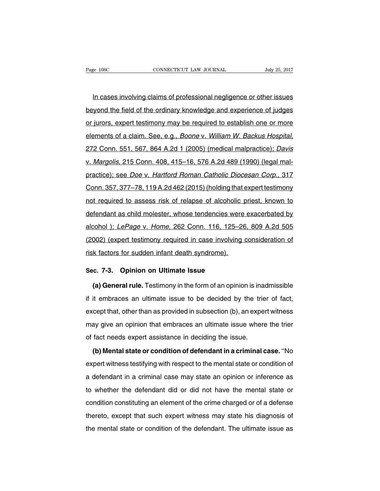In cases involving claims of professional negligence or other issues beyond the field of the ordinary knowledge and experience of judges or jurors, expert testimony may be required to establish one or more elements of a claim. See, e.g., Boone v. William W. Backus Hospital, 272 Conn. 551, 567, 864 A.2d 1 (2005) (medical malpractice); Davis v. Margolis, 215 Conn. 408, 415–16, 576 A.2d 489 (1990) (legal malpractice); see Doe v. Hartford Roman Catholic Diocesan Corp., 317 Conn. 357, 377–78, 119 A.2d 462 (2015) (holding that expert testimony not required to assess risk of relapse of alcoholic priest, known to defendant as child molester, whose tendencies were exacerbated by alcohol ); LePage v. Home, 262 Conn. 116, 125–26, 809 A.2d 505 (2002) (expert testimony required in case involving consideration of risk factors for sudden infant death syndrome).

## **Sec. 7-3. Opinion on Ultimate Issue**

**(a) General rule.** Testimony in the form of an opinion is inadmissible if it embraces an ultimate issue to be decided by the trier of fact, except that, other than as provided in subsection (b), an expert witness may give an opinion that embraces an ultimate issue where the trier of fact needs expert assistance in deciding the issue.

**(b) Mental state or condition of defendant in a criminal case.** ''No expert witness testifying with respect to the mental state or condition of a defendant in a criminal case may state an opinion or inference as to whether the defendant did or did not have the mental state or condition constituting an element of the crime charged or of a defense thereto, except that such expert witness may state his diagnosis of the mental state or condition of the defendant. The ultimate issue as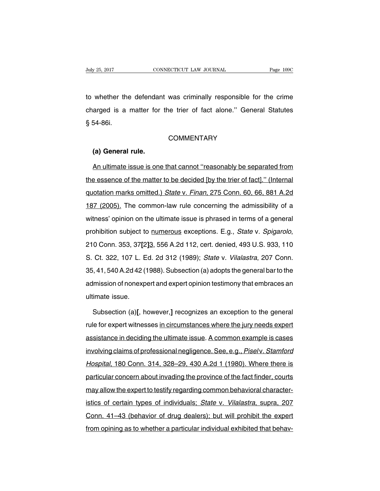to whether the defendant was criminally responsible for the crime charged is a matter for the trier of fact alone.'' General Statutes § 54-86i.

#### **COMMENTARY**

#### **(a) General rule.**

An ultimate issue is one that cannot ''reasonably be separated from the essence of the matter to be decided [by the trier of fact].'' (Internal quotation marks omitted.) State v. Finan, 275 Conn. 60, 66, 881 A.2d 187 (2005). The common-law rule concerning the admissibility of a witness' opinion on the ultimate issue is phrased in terms of a general prohibition subject to numerous exceptions. E.g., State v. Spigarolo, 210 Conn. 353, 37**[**2**]**3, 556 A.2d 112, cert. denied, 493 U.S. 933, 110 S. Ct. 322, 107 L. Ed. 2d 312 (1989); State v. Vilalastra, 207 Conn. 35, 41, 540 A.2d 42 (1988).Subsection (a) adopts the general barto the admission of nonexpert and expert opinion testimony that embraces an ultimate issue.

Subsection (a)**[**, however,**]** recognizes an exception to the general rule for expert witnesses in circumstances where the jury needs expert assistance in deciding the ultimate issue. A common example is cases involving claims of professional negligence. See, e.g., Pisel v. Stamford Hospital, 180 Conn. 314, 328–29, 430 A.2d 1 (1980). Where there is particular concern about invading the province of the fact finder, courts may allow the expert to testify regarding common behavioral characteristics of certain types of individuals; State v. Vilalastra, supra, 207 Conn. 41–43 (behavior of drug dealers); but will prohibit the expert from opining as to whether a particular individual exhibited that behav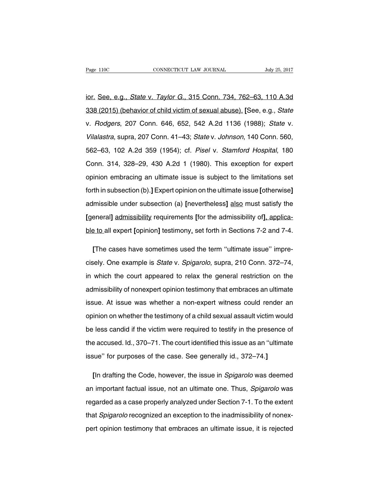ior. See, e.g., State v. Taylor G., 315 Conn. 734, 762–63, 110 A.3d 338 (2015) (behavior of child victim of sexual abuse). **[**See, e.g., State v. Rodgers, 207 Conn. 646, 652, 542 A.2d 1136 (1988); State v. Vilalastra, supra, 207 Conn. 41–43; State v. Johnson, 140 Conn. 560, 562–63, 102 A.2d 359 (1954); cf. Pisel v. Stamford Hospital, 180 Conn. 314, 328–29, 430 A.2d 1 (1980). This exception for expert opinion embracing an ultimate issue is subject to the limitations set forth in subsection (b).**]** Expert opinion on the ultimate issue **[**otherwise**]** admissible under subsection (a) **[**nevertheless**]** also must satisfy the **[**general**]** admissibility requirements **[**for the admissibility of**]**, applicable to all expert **[**opinion**]** testimony, set forth in Sections 7-2 and 7-4.

**[**The cases have sometimes used the term ''ultimate issue'' imprecisely. One example is State v. Spigarolo, supra, 210 Conn. 372–74, in which the court appeared to relax the general restriction on the admissibility of nonexpert opinion testimony that embraces an ultimate issue. At issue was whether a non-expert witness could render an opinion on whether the testimony of a child sexual assault victim would be less candid if the victim were required to testify in the presence of the accused. Id., 370–71. The court identified this issue as an ''ultimate issue'' for purposes of the case. See generally id., 372–74.**]**

**[**In drafting the Code, however, the issue in Spigarolo was deemed an important factual issue, not an ultimate one. Thus, Spigarolo was regarded as a case properly analyzed under Section 7-1. To the extent that Spigarolo recognized an exception to the inadmissibility of nonexpert opinion testimony that embraces an ultimate issue, it is rejected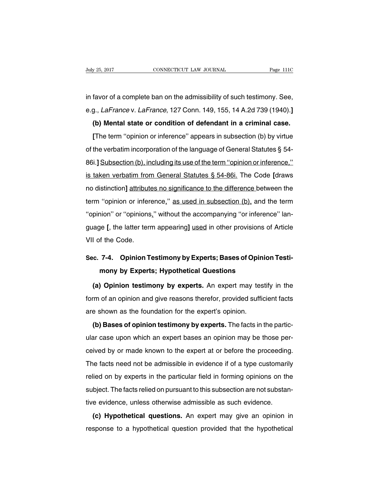in favor of a complete ban on the admissibility of such testimony. See, e.g., LaFrance v. LaFrance, 127 Conn. 149, 155, 14 A.2d 739 (1940).**]**

## **(b) Mental state or condition of defendant in a criminal case.**

**[**The term ''opinion or inference'' appears in subsection (b) by virtue of the verbatim incorporation of the language of General Statutes § 54- 86i.**]** Subsection (b), including its use of the term ''opinion or inference,'' is taken verbatim from General Statutes § 54-86i. The Code **[**draws no distinction**]** attributes no significance to the difference between the term "opinion or inference," as used in subsection (b), and the term ''opinion'' or ''opinions,'' without the accompanying ''or inference'' language **[**, the latter term appearing**]** used in other provisions of Article VII of the Code.

# **Sec. 7-4. Opinion Testimony by Experts; Bases of Opinion Testimony by Experts; Hypothetical Questions**

**(a) Opinion testimony by experts.** An expert may testify in the form of an opinion and give reasons therefor, provided sufficient facts are shown as the foundation for the expert's opinion.

**(b) Bases of opinion testimony by experts.** The facts in the particular case upon which an expert bases an opinion may be those perceived by or made known to the expert at or before the proceeding. The facts need not be admissible in evidence if of a type customarily relied on by experts in the particular field in forming opinions on the subject. The facts relied on pursuant to this subsection are not substantive evidence, unless otherwise admissible as such evidence.

**(c) Hypothetical questions.** An expert may give an opinion in response to a hypothetical question provided that the hypothetical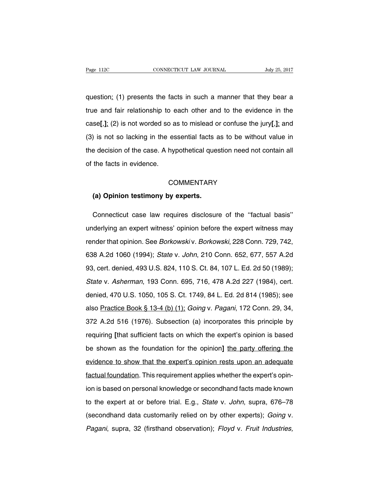question: (1) presents the facts in such a manner that they bear a true and fair relationship to each other and to the evidence in the case**[**,**]**; (2) is not worded so as to mislead or confuse the jury**[**,**]**; and (3) is not so lacking in the essential facts as to be without value in the decision of the case. A hypothetical question need not contain all of the facts in evidence.

#### **COMMENTARY**

#### **(a) Opinion testimony by experts.**

Connecticut case law requires disclosure of the ''factual basis'' underlying an expert witness' opinion before the expert witness may render that opinion. See Borkowski v. Borkowski, 228 Conn. 729, 742, 638 A.2d 1060 (1994); State v. John, 210 Conn. 652, 677, 557 A.2d 93, cert. denied, 493 U.S. 824, 110 S. Ct. 84, 107 L. Ed. 2d 50 (1989); State v. Asherman, 193 Conn. 695, 716, 478 A.2d 227 (1984), cert. denied, 470 U.S. 1050, 105 S. Ct. 1749, 84 L. Ed. 2d 814 (1985); see also Practice Book § 13-4 (b) (1); Going v. Pagani, 172 Conn. 29, 34, 372 A.2d 516 (1976). Subsection (a) incorporates this principle by requiring **[**that sufficient facts on which the expert's opinion is based be shown as the foundation for the opinion**]** the party offering the evidence to show that the expert's opinion rests upon an adequate factual foundation. This requirement applies whether the expert's opinion is based on personal knowledge or secondhand facts made known to the expert at or before trial. E.g., State v. John, supra, 676–78 (secondhand data customarily relied on by other experts); Going v. Pagani, supra, 32 (firsthand observation); Floyd v. Fruit Industries,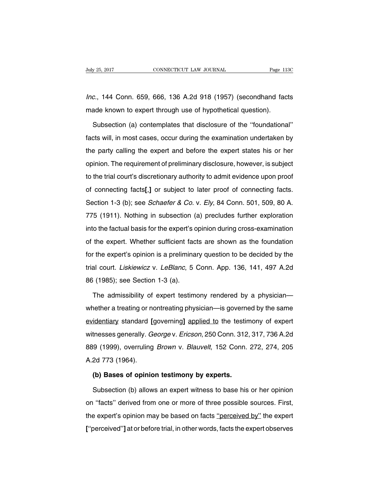Inc., 144 Conn. 659, 666, 136 A.2d 918 (1957) (secondhand facts made known to expert through use of hypothetical question).

Subsection (a) contemplates that disclosure of the ''foundational'' facts will, in most cases, occur during the examination undertaken by the party calling the expert and before the expert states his or her opinion. The requirement of preliminary disclosure, however, is subject to the trial court's discretionary authority to admit evidence upon proof of connecting facts**[**,**]** or subject to later proof of connecting facts. Section 1-3 (b); see *Schaefer & Co. v. Ely*, 84 Conn. 501, 509, 80 A. 775 (1911). Nothing in subsection (a) precludes further exploration into the factual basis for the expert's opinion during cross-examination of the expert. Whether sufficient facts are shown as the foundation for the expert's opinion is a preliminary question to be decided by the trial court. Liskiewicz v. LeBlanc, 5 Conn. App. 136, 141, 497 A.2d 86 (1985); see Section 1-3 (a).

The admissibility of expert testimony rendered by a physician whether a treating or nontreating physician—is governed by the same evidentiary standard **[**governing**]** applied to the testimony of expert witnesses generally. George v. Ericson, 250 Conn. 312, 317, 736 A.2d 889 (1999), overruling Brown v. Blauvelt, 152 Conn. 272, 274, 205 A.2d 773 (1964).

## **(b) Bases of opinion testimony by experts.**

Subsection (b) allows an expert witness to base his or her opinion on ''facts'' derived from one or more of three possible sources. First, the expert's opinion may be based on facts "perceived by" the expert **[**''perceived''**]** at or before trial, in other words, facts the expert observes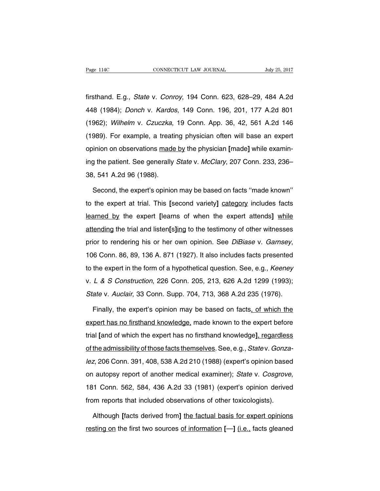firsthand. E.g., State v. Conroy, 194 Conn. 623, 628–29, 484 A.2d 448 (1984); Donch v. Kardos, 149 Conn. 196, 201, 177 A.2d 801 (1962); Wilhelm v. Czuczka, 19 Conn. App. 36, 42, 561 A.2d 146 (1989). For example, a treating physician often will base an expert opinion on observations made by the physician **[**made**]** while examining the patient. See generally State v. McClary, 207 Conn. 233, 236-38, 541 A.2d 96 (1988).

Second, the expert's opinion may be based on facts ''made known'' to the expert at trial. This **[**second variety**]** category includes facts learned by the expert **[**learns of when the expert attends**]** while attending the trial and listen**[**s**]**ing to the testimony of other witnesses prior to rendering his or her own opinion. See DiBiase v. Garnsey, 106 Conn. 86, 89, 136 A. 871 (1927). It also includes facts presented to the expert in the form of a hypothetical question. See, e.g., Keeney v. L & S Construction, 226 Conn. 205, 213, 626 A.2d 1299 (1993); State v. Auclair, 33 Conn. Supp. 704, 713, 368 A.2d 235 (1976).

Finally, the expert's opinion may be based on facts, of which the expert has no firsthand knowledge, made known to the expert before trial **[**and of which the expert has no firsthand knowledge**]**, regardless of the admissibility of those facts themselves. See, e.g., State v. Gonzalez, 206 Conn. 391, 408, 538 A.2d 210 (1988) (expert's opinion based on autopsy report of another medical examiner); State v. Cosgrove, 181 Conn. 562, 584, 436 A.2d 33 (1981) (expert's opinion derived from reports that included observations of other toxicologists).

Although **[**facts derived from**]** the factual basis for expert opinions resting on the first two sources of information **[**—**]** (i.e., facts gleaned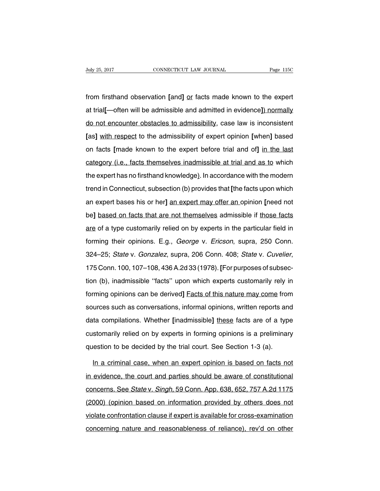from firsthand observation **[**and**]** or facts made known to the expert at trial**[**—often will be admissible and admitted in evidence**]**) normally do not encounter obstacles to admissibility, case law is inconsistent **[**as**]** with respect to the admissibility of expert opinion **[**when**]** based on facts **[**made known to the expert before trial and of**]** in the last category (i.e., facts themselves inadmissible at trial and as to which the expert has no firsthand knowledge). In accordance with the modern trend in Connecticut, subsection (b) provides that **[**the facts upon which an expert bases his or her**]** an expert may offer an opinion **[**need not be**]** based on facts that are not themselves admissible if those facts are of a type customarily relied on by experts in the particular field in forming their opinions. E.g., George v. Ericson, supra, 250 Conn. 324–25; State v. Gonzalez, supra, 206 Conn. 408; State v. Cuvelier, 175 Conn. 100, 107–108, 436A.2d 33 (1978).**[**For purposes of subsection (b), inadmissible ''facts'' upon which experts customarily rely in forming opinions can be derived**]** Facts of this nature may come from sources such as conversations, informal opinions, written reports and data compilations. Whether **[**inadmissible**]** these facts are of a type customarily relied on by experts in forming opinions is a preliminary question to be decided by the trial court. See Section 1-3 (a).

In a criminal case, when an expert opinion is based on facts not in evidence, the court and parties should be aware of constitutional concerns. See State v. Singh, 59 Conn. App. 638, 652, 757 A.2d 1175 (2000) (opinion based on information provided by others does not violate confrontation clause if expert is available for cross-examination concerning nature and reasonableness of reliance), rev'd on other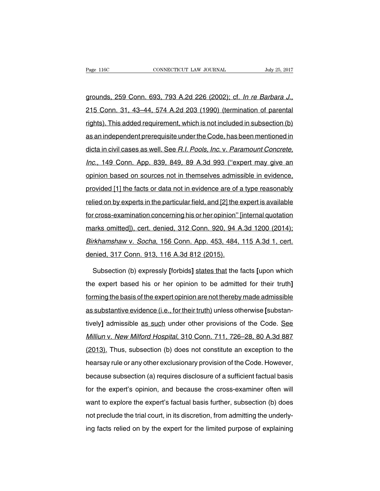grounds, 259 Conn. 693, 793 A.2d 226 (2002); cf. In re Barbara J., 215 Conn. 31, 43–44, 574 A.2d 203 (1990) (termination of parental rights). This added requirement, which is not included in subsection (b) as an independent prerequisite under the Code, has been mentioned in dicta in civil cases as well. See R.I. Pools, Inc. v. Paramount Concrete, Inc., 149 Conn. App. 839, 849, 89 A.3d 993 (''expert may give an opinion based on sources not in themselves admissible in evidence, provided [1] the facts or data not in evidence are of a type reasonably relied on by experts in the particular field, and [2] the expert is available for cross-examination concerning his or her opinion'' [internal quotation marks omitted]), cert. denied, 312 Conn. 920, 94 A.3d 1200 (2014); Birkhamshaw v. Socha, 156 Conn. App. 453, 484, 115 A.3d 1, cert. denied, 317 Conn. 913, 116 A.3d 812 (2015).

Subsection (b) expressly **[**forbids**]** states that the facts **[**upon which the expert based his or her opinion to be admitted for their truth**]** forming the basis of the expert opinion are not thereby made admissible as substantive evidence (i.e., for their truth) unless otherwise **[**substantively**]** admissible as such under other provisions of the Code. See Milliun v. New Milford Hospital, 310 Conn. 711, 726–28, 80 A.3d 887 (2013). Thus, subsection (b) does not constitute an exception to the hearsay rule or any other exclusionary provision of the Code. However, because subsection (a) requires disclosure of a sufficient factual basis for the expert's opinion, and because the cross-examiner often will want to explore the expert's factual basis further, subsection (b) does not preclude the trial court, in its discretion, from admitting the underlying facts relied on by the expert for the limited purpose of explaining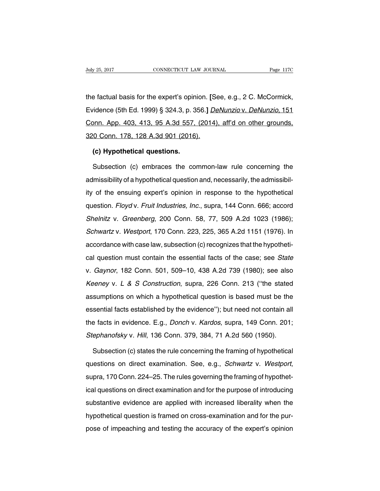the factual basis for the expert's opinion. **[**See, e.g., 2 C. McCormick, Evidence (5th Ed. 1999) § 324.3, p. 356.**]** DeNunzio v. DeNunzio, 151 Conn. App. 403, 413, 95 A.3d 557, (2014), aff'd on other grounds, 320 Conn. 178, 128 A.3d 901 (2016).

## **(c) Hypothetical questions.**

Subsection (c) embraces the common-law rule concerning the admissibility of a hypothetical question and, necessarily, the admissibility of the ensuing expert's opinion in response to the hypothetical question. Floyd v. Fruit Industries, Inc., supra, 144 Conn. 666; accord Shelnitz v. Greenberg, 200 Conn. 58, 77, 509 A.2d 1023 (1986); Schwartz v. Westport, 170 Conn. 223, 225, 365 A.2d 1151 (1976). In accordance with case law, subsection (c) recognizes that the hypothetical question must contain the essential facts of the case; see State v. Gaynor, 182 Conn. 501, 509–10, 438 A.2d 739 (1980); see also Keeney v. L & S Construction, supra, 226 Conn. 213 (''the stated assumptions on which a hypothetical question is based must be the essential facts established by the evidence''); but need not contain all the facts in evidence. E.g., Donch v. Kardos, supra, 149 Conn. 201; Stephanofsky v. Hill, 136 Conn. 379, 384, 71 A.2d 560 (1950).

Subsection (c) states the rule concerning the framing of hypothetical questions on direct examination. See, e.g., Schwartz v. Westport, supra, 170 Conn. 224–25. The rules governing the framing of hypothetical questions on direct examination and for the purpose of introducing substantive evidence are applied with increased liberality when the hypothetical question is framed on cross-examination and for the purpose of impeaching and testing the accuracy of the expert's opinion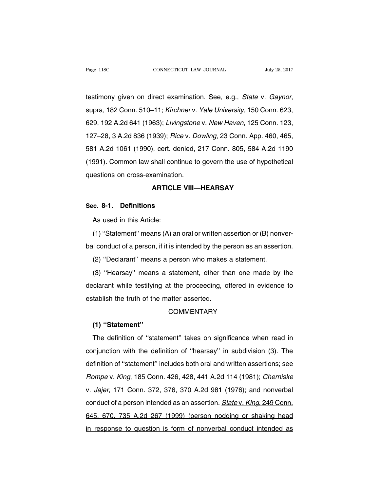testimony given on direct examination. See, e.g., State v. Gaynor, supra, 182 Conn. 510–11; Kirchner v. Yale University, 150 Conn. 623, 629, 192 A.2d 641 (1963); Livingstone v. New Haven, 125 Conn. 123, 127–28, 3 A.2d 836 (1939); Rice v. Dowling, 23 Conn. App. 460, 465, 581 A.2d 1061 (1990), cert. denied, 217 Conn. 805, 584 A.2d 1190 (1991). Common law shall continue to govern the use of hypothetical questions on cross-examination.

## **ARTICLE VIII—HEARSAY**

### **Sec. 8-1. Definitions**

As used in this Article:

(1) ''Statement'' means (A) an oral or written assertion or (B) nonverbal conduct of a person, if it is intended by the person as an assertion.

(2) ''Declarant'' means a person who makes a statement.

(3) ''Hearsay'' means a statement, other than one made by the declarant while testifying at the proceeding, offered in evidence to establish the truth of the matter asserted.

## **COMMENTARY**

## **(1) ''Statement''**

The definition of ''statement'' takes on significance when read in conjunction with the definition of ''hearsay'' in subdivision (3). The definition of ''statement'' includes both oral and written assertions; see Rompe v. King, 185 Conn. 426, 428, 441 A.2d 114 (1981); Cherniske v. Jajer, 171 Conn. 372, 376, 370 A.2d 981 (1976); and nonverbal conduct of a person intended as an assertion. State v. King, 249 Conn. 645, 670, 735 A.2d 267 (1999) (person nodding or shaking head in response to question is form of nonverbal conduct intended as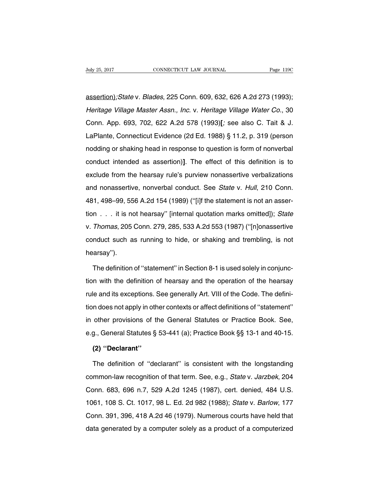assertion);State v. Blades, 225 Conn. 609, 632, 626 A.2d 273 (1993); Heritage Village Master Assn., Inc. v. Heritage Village Water Co., 30 Conn. App. 693, 702, 622 A.2d 578 (1993)**[**; see also C. Tait & J. LaPlante, Connecticut Evidence (2d Ed. 1988) § 11.2, p. 319 (person nodding or shaking head in response to question is form of nonverbal conduct intended as assertion)**]**. The effect of this definition is to exclude from the hearsay rule's purview nonassertive verbalizations and nonassertive, nonverbal conduct. See State v. Hull, 210 Conn. 481, 498–99, 556 A.2d 154 (1989) (''[i]f the statement is not an assertion . . . it is not hearsay'' [internal quotation marks omitted]); State v. Thomas, 205 Conn. 279, 285, 533 A.2d 553 (1987) (''[n]onassertive conduct such as running to hide, or shaking and trembling, is not hearsay'').

The definition of ''statement'' in Section 8-1 is used solely in conjunction with the definition of hearsay and the operation of the hearsay rule and its exceptions. See generally Art. VIII of the Code. The definition does not apply in other contexts or affect definitions of ''statement'' in other provisions of the General Statutes or Practice Book. See, e.g., General Statutes § 53-441 (a); Practice Book §§ 13-1 and 40-15.

## **(2) ''Declarant''**

The definition of ''declarant'' is consistent with the longstanding common-law recognition of that term. See, e.g., State v. Jarzbek, 204 Conn. 683, 696 n.7, 529 A.2d 1245 (1987), cert. denied, 484 U.S. 1061, 108 S. Ct. 1017, 98 L. Ed. 2d 982 (1988); State v. Barlow, 177 Conn. 391, 396, 418 A.2d 46 (1979). Numerous courts have held that data generated by a computer solely as a product of a computerized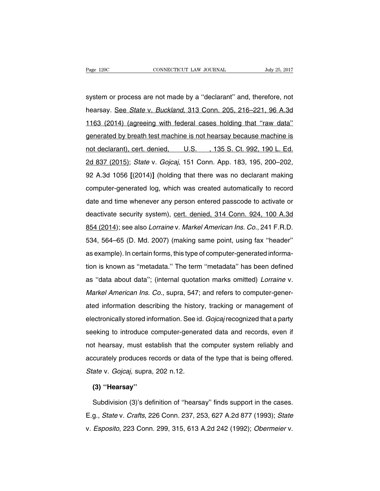system or process are not made by a ''declarant'' and, therefore, not hearsay. See State v. Buckland, 313 Conn. 205, 216-221, 96 A.3d 1163 (2014) (agreeing with federal cases holding that ''raw data'' generated by breath test machine is not hearsay because machine is not declarant), cert. denied, U.S., 135 S. Ct. 992, 190 L. Ed. 2d 837 (2015); State v. Gojcaj, 151 Conn. App. 183, 195, 200–202, 92 A.3d 1056 **[**(2014)**]** (holding that there was no declarant making computer-generated log, which was created automatically to record date and time whenever any person entered passcode to activate or deactivate security system), cert. denied, 314 Conn. 924, 100 A.3d 854 (2014); see also Lorraine v. Markel American Ins. Co., 241 F.R.D. 534, 564–65 (D. Md. 2007) (making same point, using fax ''header'' as example). In certain forms, this type of computer-generated information is known as ''metadata.'' The term ''metadata'' has been defined as ''data about data''; (internal quotation marks omitted) Lorraine v. Markel American Ins. Co., supra, 547; and refers to computer-generated information describing the history, tracking or management of electronically stored information. See id. Gojcaj recognized that a party seeking to introduce computer-generated data and records, even if not hearsay, must establish that the computer system reliably and accurately produces records or data of the type that is being offered. State v. Gojcaj, supra, 202 n.12.

#### **(3) ''Hearsay''**

Subdivision (3)'s definition of ''hearsay'' finds support in the cases. E.g., State v. Crafts, 226 Conn. 237, 253, 627 A.2d 877 (1993); State v. Esposito, 223 Conn. 299, 315, 613 A.2d 242 (1992); Obermeier v.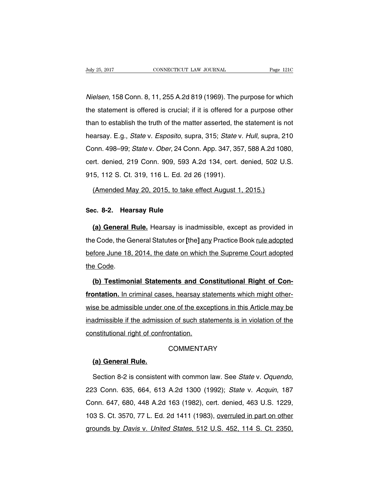Nielsen, 158 Conn. 8, 11, 255 A.2d 819 (1969). The purpose for which the statement is offered is crucial; if it is offered for a purpose other than to establish the truth of the matter asserted, the statement is not hearsay. E.g., State v. Esposito, supra, 315; State v. Hull, supra, 210 Conn. 498–99; State v. Ober, 24 Conn. App. 347, 357, 588 A.2d 1080, cert. denied, 219 Conn. 909, 593 A.2d 134, cert. denied, 502 U.S. 915, 112 S. Ct. 319, 116 L. Ed. 2d 26 (1991).

#### (Amended May 20, 2015, to take effect August 1, 2015.)

#### **Sec. 8-2. Hearsay Rule**

**(a) General Rule.** Hearsay is inadmissible, except as provided in the Code, the General Statutes or **[**the**]** any Practice Book rule adopted before June 18, 2014, the date on which the Supreme Court adopted the Code.

**(b) Testimonial Statements and Constitutional Right of Confrontation.** In criminal cases, hearsay statements which might otherwise be admissible under one of the exceptions in this Article may be inadmissible if the admission of such statements is in violation of the constitutional right of confrontation.

## **COMMENTARY**

## **(a) General Rule.**

Section 8-2 is consistent with common law. See State v. Oquendo, 223 Conn. 635, 664, 613 A.2d 1300 (1992); State v. Acquin, 187 Conn. 647, 680, 448 A.2d 163 (1982), cert. denied, 463 U.S. 1229, 103 S. Ct. 3570, 77 L. Ed. 2d 1411 (1983), overruled in part on other grounds by Davis v. United States, 512 U.S. 452, 114 S. Ct. 2350,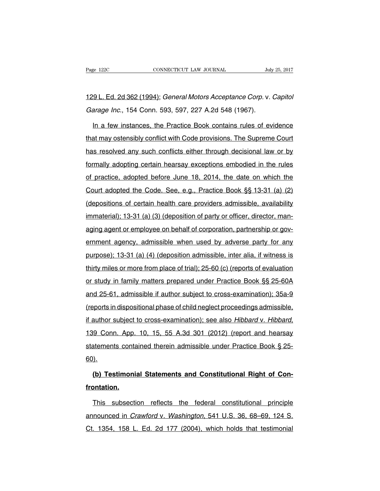# 129 L. Ed. 2d 362 (1994); General Motors Acceptance Corp. v. Capitol Garage Inc., 154 Conn. 593, 597, 227 A.2d 548 (1967).

In a few instances, the Practice Book contains rules of evidence that may ostensibly conflict with Code provisions. The Supreme Court has resolved any such conflicts either through decisional law or by formally adopting certain hearsay exceptions embodied in the rules of practice, adopted before June 18, 2014, the date on which the Court adopted the Code. See, e.g., Practice Book §§ 13-31 (a) (2) (depositions of certain health care providers admissible, availability immaterial); 13-31 (a) (3) (deposition of party or officer, director, managing agent or employee on behalf of corporation, partnership or government agency, admissible when used by adverse party for any purpose); 13-31 (a) (4) (deposition admissible, inter alia, if witness is thirty miles or more from place of trial); 25-60 (c) (reports of evaluation or study in family matters prepared under Practice Book §§ 25-60A and 25-61, admissible if author subject to cross-examination); 35a-9 (reports in dispositional phase of child neglect proceedings admissible, if author subject to cross-examination); see also Hibbard v. Hibbard, 139 Conn. App. 10, 15, 55 A.3d 301 (2012) (report and hearsay statements contained therein admissible under Practice Book § 25- 60).

**(b) Testimonial Statements and Constitutional Right of Confrontation.**

This subsection reflects the federal constitutional principle announced in Crawford v. Washington, 541 U.S. 36, 68–69, 124 S. Ct. 1354, 158 L. Ed. 2d 177 (2004), which holds that testimonial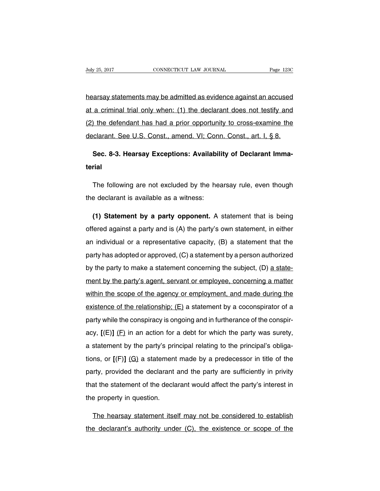hearsay statements may be admitted as evidence against an accused at a criminal trial only when: (1) the declarant does not testify and (2) the defendant has had a prior opportunity to cross-examine the declarant. See U.S. Const., amend. VI; Conn. Const., art. I, § 8.

# **Sec. 8-3. Hearsay Exceptions: Availability of Declarant Immaterial**

The following are not excluded by the hearsay rule, even though the declarant is available as a witness:

**(1) Statement by a party opponent.** A statement that is being offered against a party and is (A) the party's own statement, in either an individual or a representative capacity, (B) a statement that the party has adopted or approved, (C) a statement by a person authorized by the party to make a statement concerning the subject, (D) a statement by the party's agent, servant or employee, concerning a matter within the scope of the agency or employment, and made during the existence of the relationship;  $(E)$  a statement by a coconspirator of a party while the conspiracy is ongoing and in furtherance of the conspiracy,  $[(E)]$   $(E)$  in an action for a debt for which the party was surety, a statement by the party's principal relating to the principal's obligations, or **[**(F)**]** (G) a statement made by a predecessor in title of the party, provided the declarant and the party are sufficiently in privity that the statement of the declarant would affect the party's interest in the property in question.

The hearsay statement itself may not be considered to establish the declarant's authority under (C), the existence or scope of the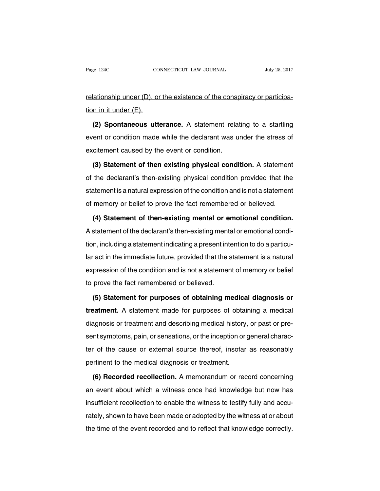relationship under (D), or the existence of the conspiracy or participation in it under (E).

**(2) Spontaneous utterance.** A statement relating to a startling event or condition made while the declarant was under the stress of excitement caused by the event or condition.

**(3) Statement of then existing physical condition.** A statement of the declarant's then-existing physical condition provided that the statement is a natural expression of the condition and is not a statement of memory or belief to prove the fact remembered or believed.

**(4) Statement of then-existing mental or emotional condition.** A statement of the declarant's then-existing mental or emotional condition, including a statement indicating a present intention to do a particular act in the immediate future, provided that the statement is a natural expression of the condition and is not a statement of memory or belief to prove the fact remembered or believed.

**(5) Statement for purposes of obtaining medical diagnosis or treatment.** A statement made for purposes of obtaining a medical diagnosis or treatment and describing medical history, or past or present symptoms, pain, or sensations, or the inception or general character of the cause or external source thereof, insofar as reasonably pertinent to the medical diagnosis or treatment.

**(6) Recorded recollection.** A memorandum or record concerning an event about which a witness once had knowledge but now has insufficient recollection to enable the witness to testify fully and accurately, shown to have been made or adopted by the witness at or about the time of the event recorded and to reflect that knowledge correctly.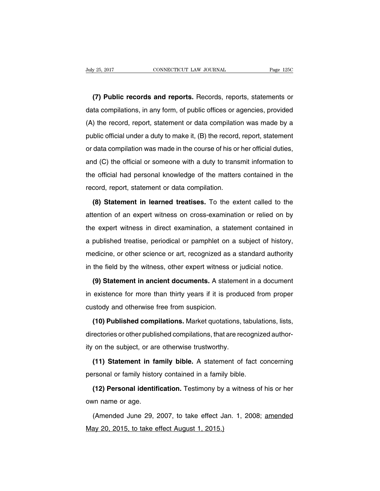**(7) Public records and reports.** Records, reports, statements or data compilations, in any form, of public offices or agencies, provided (A) the record, report, statement or data compilation was made by a public official under a duty to make it, (B) the record, report, statement or data compilation was made in the course of his or her official duties, and (C) the official or someone with a duty to transmit information to the official had personal knowledge of the matters contained in the record, report, statement or data compilation.

**(8) Statement in learned treatises.** To the extent called to the attention of an expert witness on cross-examination or relied on by the expert witness in direct examination, a statement contained in a published treatise, periodical or pamphlet on a subject of history, medicine, or other science or art, recognized as a standard authority in the field by the witness, other expert witness or judicial notice.

**(9) Statement in ancient documents.** A statement in a document in existence for more than thirty years if it is produced from proper custody and otherwise free from suspicion.

**(10) Published compilations.** Market quotations, tabulations, lists, directories or other published compilations, that are recognized authority on the subject, or are otherwise trustworthy.

**(11) Statement in family bible.** A statement of fact concerning personal or family history contained in a family bible.

**(12) Personal identification.** Testimony by a witness of his or her own name or age.

(Amended June 29, 2007, to take effect Jan. 1, 2008; amended May 20, 2015, to take effect August 1, 2015.)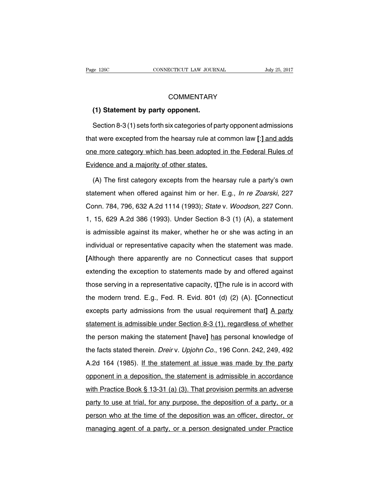## **COMMENTARY**

## **(1) Statement by party opponent.**

Section 8-3 (1) sets forth six categories of party opponent admissions that were excepted from the hearsay rule at common law **[**:**]** and adds one more category which has been adopted in the Federal Rules of Evidence and a majority of other states.

(A) The first category excepts from the hearsay rule a party's own statement when offered against him or her. E.g., In re Zoarski, 227 Conn. 784, 796, 632 A.2d 1114 (1993); State v. Woodson, 227 Conn. 1, 15, 629 A.2d 386 (1993). Under Section 8-3 (1) (A), a statement is admissible against its maker, whether he or she was acting in an individual or representative capacity when the statement was made. **[**Although there apparently are no Connecticut cases that support extending the exception to statements made by and offered against those serving in a representative capacity, t**]**The rule is in accord with the modern trend. E.g., Fed. R. Evid. 801 (d) (2) (A). **[**Connecticut excepts party admissions from the usual requirement that**]** A party statement is admissible under Section 8-3 (1), regardless of whether the person making the statement **[**have**]** has personal knowledge of the facts stated therein. Dreir v. Upjohn Co., 196 Conn. 242, 249, 492 A.2d 164 (1985). If the statement at issue was made by the party opponent in a deposition, the statement is admissible in accordance with Practice Book § 13-31 (a) (3). That provision permits an adverse party to use at trial, for any purpose, the deposition of a party, or a person who at the time of the deposition was an officer, director, or managing agent of a party, or a person designated under Practice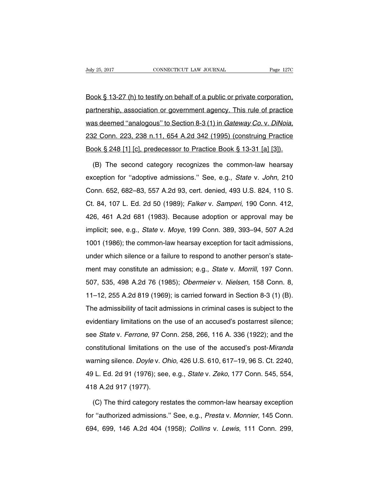Book § 13-27 (h) to testify on behalf of a public or private corporation, partnership, association or government agency. This rule of practice was deemed "analogous" to Section 8-3 (1) in Gateway Co. v. DiNoia, 232 Conn. 223, 238 n.11, 654 A.2d 342 (1995) (construing Practice Book § 248 [1] [c], predecessor to Practice Book § 13-31 [a] [3]).

(B) The second category recognizes the common-law hearsay exception for "adoptive admissions." See, e.g., State v. John, 210 Conn. 652, 682–83, 557 A.2d 93, cert. denied, 493 U.S. 824, 110 S. Ct. 84, 107 L. Ed. 2d 50 (1989); Falker v. Samperi, 190 Conn. 412, 426, 461 A.2d 681 (1983). Because adoption or approval may be implicit; see, e.g., State v. Moye, 199 Conn. 389, 393–94, 507 A.2d 1001 (1986); the common-law hearsay exception for tacit admissions, under which silence or a failure to respond to another person's statement may constitute an admission; e.g., State v. Morrill, 197 Conn. 507, 535, 498 A.2d 76 (1985); Obermeier v. Nielsen, 158 Conn. 8, 11–12, 255 A.2d 819 (1969); is carried forward in Section 8-3 (1) (B). The admissibility of tacit admissions in criminal cases is subject to the evidentiary limitations on the use of an accused's postarrest silence; see State v. Ferrone, 97 Conn. 258, 266, 116 A. 336 (1922); and the constitutional limitations on the use of the accused's post-Miranda warning silence. Doyle v. Ohio, 426 U.S. 610, 617–19, 96 S. Ct. 2240, 49 L. Ed. 2d 91 (1976); see, e.g., State v. Zeko, 177 Conn. 545, 554, 418 A.2d 917 (1977).

(C) The third category restates the common-law hearsay exception for ''authorized admissions.'' See, e.g., Presta v. Monnier, 145 Conn. 694, 699, 146 A.2d 404 (1958); Collins v. Lewis, 111 Conn. 299,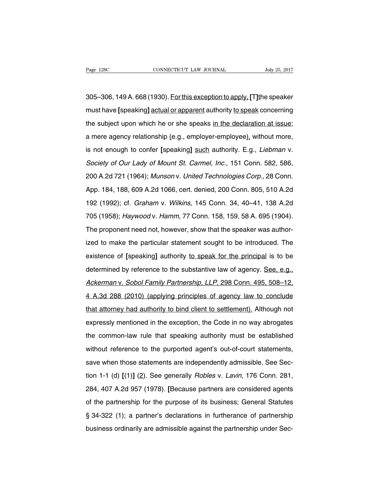305–306, 149A. 668 (1930). Forthis exception to apply,**[**T**]**the speaker must have **[**speaking**]** actual or apparent authority to speak concerning the subject upon which he or she speaks in the declaration at issue; a mere agency relationship (e.g., employer-employee), without more, is not enough to confer **[**speaking**]** such authority. E.g., Liebman v. Society of Our Lady of Mount St. Carmel, Inc., 151 Conn. 582, 586, 200 A.2d 721 (1964); Munson v. United Technologies Corp., 28 Conn. App. 184, 188, 609 A.2d 1066, cert. denied, 200 Conn. 805, 510 A.2d 192 (1992); cf. Graham v. Wilkins, 145 Conn. 34, 40–41, 138 A.2d 705 (1958); Haywood v. Hamm, 77 Conn. 158, 159, 58 A. 695 (1904). The proponent need not, however, show that the speaker was authorized to make the particular statement sought to be introduced. The existence of **[**speaking**]** authority to speak for the principal is to be determined by reference to the substantive law of agency. See, e.g., Ackerman v. Sobol Family Partnership, LLP, 298 Conn. 495, 508–12, 4 A.3d 288 (2010) (applying principles of agency law to conclude that attorney had authority to bind client to settlement). Although not expressly mentioned in the exception, the Code in no way abrogates the common-law rule that speaking authority must be established without reference to the purported agent's out-of-court statements, save when those statements are independently admissible. See Section 1-1 (d) **[**(1)**]** (2). See generally Robles v. Lavin, 176 Conn. 281, 284, 407 A.2d 957 (1978). **[**Because partners are considered agents of the partnership for the purpose of its business; General Statutes § 34-322 (1); a partner's declarations in furtherance of partnership business ordinarily are admissible against the partnership under Sec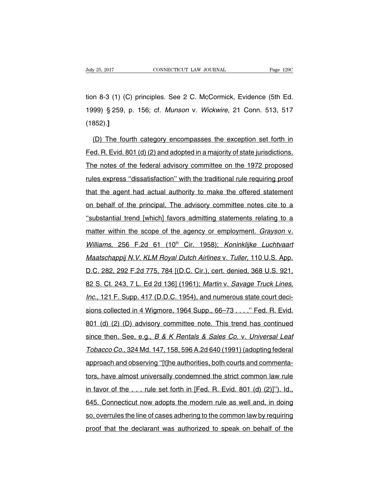tion 8-3 (1) (C) principles. See 2 C. McCormick, Evidence (5th Ed. 1999) § 259, p. 156; cf. Munson v. Wickwire, 21 Conn. 513, 517 (1852).**]**

(D) The fourth category encompasses the exception set forth in Fed. R. Evid. 801 (d) (2) and adopted in a majority of state jurisdictions. The notes of the federal advisory committee on the 1972 proposed rules express ''dissatisfaction'' with the traditional rule requiring proof that the agent had actual authority to make the offered statement on behalf of the principal. The advisory committee notes cite to a ''substantial trend [which] favors admitting statements relating to a matter within the scope of the agency or employment. Grayson v. Williams, 256 F.2d 61 (10<sup>th</sup> Cir. 1958); Koninklijke Luchtvaart Maatschappij N.V. KLM Royal Dutch Airlines v. Tuller, 110 U.S. App. D.C. 282, 292 F.2d 775, 784 [(D.C. Cir.), cert. denied, 368 U.S. 921, 82 S. Ct. 243, 7 L. Ed 2d 136] (1961); Martin v. Savage Truck Lines, Inc., 121 F. Supp. 417 (D.D.C. 1954), and numerous state court decisions collected in 4 Wigmore, 1964 Supp., 66–73 . . . . " Fed. R. Evid. 801 (d) (2) (D) advisory committee note. This trend has continued since then. See, e.g., B & K Rentals & Sales Co. v. Universal Leaf Tobacco Co., 324 Md. 147, 158, 596 A.2d 640 (1991) (adopting federal approach and observing ''[t]he authorities, both courts and commentators, have almost universally condemned the strict common law rule in favor of the  $\ldots$  rule set forth in [Fed. R. Evid. 801 (d) (2)]"). Id., 645. Connecticut now adopts the modern rule as well and, in doing so, overrules the line of cases adhering to the common law by requiring proof that the declarant was authorized to speak on behalf of the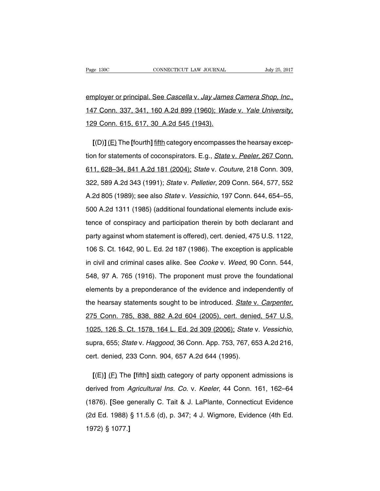employer or principal. See Cascella v. Jay James Camera Shop, Inc., 147 Conn. 337, 341, 160 A.2d 899 (1960); Wade v. Yale University, 129 Conn. 615, 617, 30\_A.2d 545 (1943).

**[**(D)**]** (E) The **[**fourth**]** fifth category encompasses the hearsay exception for statements of coconspirators. E.g., *State v. Peeler*, 267 Conn. 611, 628–34, 841 A.2d 181 (2004); State v. Couture, 218 Conn. 309, 322, 589 A.2d 343 (1991); State v. Pelletier, 209 Conn. 564, 577, 552 A.2d 805 (1989); see also State v. Vessichio, 197 Conn. 644, 654–55, 500 A.2d 1311 (1985) (additional foundational elements include existence of conspiracy and participation therein by both declarant and party against whom statement is offered), cert. denied, 475 U.S. 1122, 106 S. Ct. 1642, 90 L. Ed. 2d 187 (1986). The exception is applicable in civil and criminal cases alike. See Cooke v. Weed, 90 Conn. 544, 548, 97 A. 765 (1916). The proponent must prove the foundational elements by a preponderance of the evidence and independently of the hearsay statements sought to be introduced. State v. Carpenter, 275 Conn. 785, 838, 882 A.2d 604 (2005), cert. denied, 547 U.S. 1025, 126 S. Ct. 1578, 164 L. Ed. 2d 309 (2006); State v. Vessichio, supra, 655; State v. Haggood, 36 Conn. App. 753, 767, 653 A.2d 216, cert. denied, 233 Conn. 904, 657 A.2d 644 (1995).

**[**(E)**]** (F) The **[**fifth**]** sixth category of party opponent admissions is derived from Agricultural Ins. Co. v. Keeler, 44 Conn. 161, 162-64 (1876). **[**See generally C. Tait & J. LaPlante, Connecticut Evidence (2d Ed. 1988) § 11.5.6 (d), p. 347; 4 J. Wigmore, Evidence (4th Ed. 1972) § 1077.**]**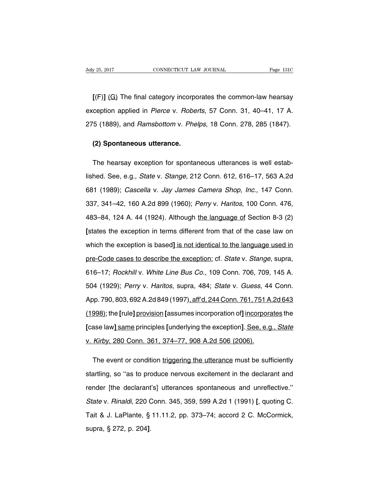**[**(F)**]** (G) The final category incorporates the common-law hearsay exception applied in Pierce v. Roberts, 57 Conn. 31, 40–41, 17 A. 275 (1889), and Ramsbottom v. Phelps, 18 Conn. 278, 285 (1847).

#### **(2) Spontaneous utterance.**

The hearsay exception for spontaneous utterances is well established. See, e.g., State v. Stange, 212 Conn. 612, 616–17, 563 A.2d 681 (1989); Cascella v. Jay James Camera Shop, Inc., 147 Conn. 337, 341–42, 160 A.2d 899 (1960); Perry v. Haritos, 100 Conn. 476, 483–84, 124 A. 44 (1924). Although the language of Section 8-3 (2) **[**states the exception in terms different from that of the case law on which the exception is based**]** is not identical to the language used in pre-Code cases to describe the exception; cf. State v. Stange, supra, 616–17; Rockhill v. White Line Bus Co., 109 Conn. 706, 709, 145 A. 504 (1929); Perry v. Haritos, supra, 484; State v. Guess, 44 Conn. App. 790, 803, 692 A.2d 849 (1997), aff'd, 244 Conn. 761, 751 A.2d 643 (1998); the **[**rule**]** provision **[**assumes incorporation of**]** incorporates the **[**case law**]** same principles **[**underlying the exception**]**. See, e.g., State v. Kirby, 280 Conn. 361, 374–77, 908 A.2d 506 (2006).

The event or condition triggering the utterance must be sufficiently startling, so ''as to produce nervous excitement in the declarant and render [the declarant's] utterances spontaneous and unreflective.'' State v. Rinaldi, 220 Conn. 345, 359, 599 A.2d 1 (1991) **[**, quoting C. Tait & J. LaPlante, § 11.11.2, pp. 373–74; accord 2 C. McCormick, supra, § 272, p. 204**]**.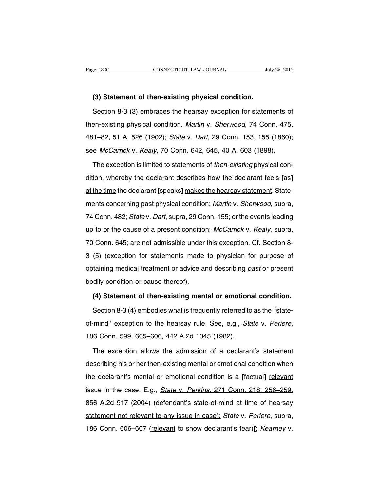#### **(3) Statement of then-existing physical condition.**

Section 8-3 (3) embraces the hearsay exception for statements of then-existing physical condition. Martin v. Sherwood, 74 Conn. 475, 481–82, 51 A. 526 (1902); State v. Dart, 29 Conn. 153, 155 (1860); see McCarrick v. Kealy, 70 Conn. 642, 645, 40 A. 603 (1898).

The exception is limited to statements of then-existing physical condition, whereby the declarant describes how the declarant feels **[**as**]** at the time the declarant **[**speaks**]** makes the hearsay statement. Statements concerning past physical condition; Martin v. Sherwood, supra, 74 Conn. 482; State v. Dart, supra, 29 Conn. 155; or the events leading up to or the cause of a present condition; McCarrick v. Kealy, supra, 70 Conn. 645; are not admissible under this exception. Cf. Section 8- 3 (5) (exception for statements made to physician for purpose of obtaining medical treatment or advice and describing past or present bodily condition or cause thereof).

## **(4) Statement of then-existing mental or emotional condition.**

Section 8-3 (4) embodies what is frequently referred to as the ''stateof-mind" exception to the hearsay rule. See, e.g., State v. Periere, 186 Conn. 599, 605–606, 442 A.2d 1345 (1982).

The exception allows the admission of a declarant's statement describing his or her then-existing mental or emotional condition when the declarant's mental or emotional condition is a **[**factual**]** relevant issue in the case. E.g., *State v. Perkins*, 271 Conn. 218, 256–259, 856 A.2d 917 (2004) (defendant's state-of-mind at time of hearsay statement not relevant to any issue in case); State v. Periere, supra, 186 Conn. 606–607 (relevant to show declarant's fear)**[**; Kearney v.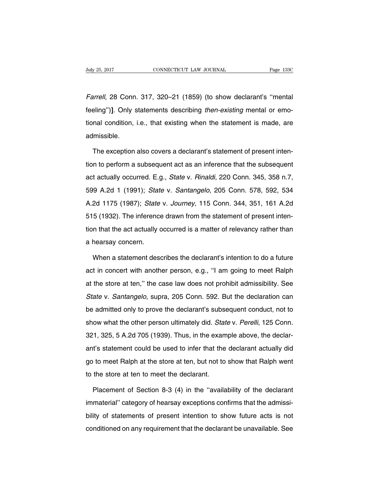Farrell, 28 Conn. 317, 320–21 (1859) (to show declarant's ''mental feeling'')**]**. Only statements describing then-existing mental or emotional condition, i.e., that existing when the statement is made, are admissible.

The exception also covers a declarant's statement of present intention to perform a subsequent act as an inference that the subsequent act actually occurred. E.g., State v. Rinaldi, 220 Conn. 345, 358 n.7, 599 A.2d 1 (1991); State v. Santangelo, 205 Conn. 578, 592, 534 A.2d 1175 (1987); State v. Journey, 115 Conn. 344, 351, 161 A.2d 515 (1932). The inference drawn from the statement of present intention that the act actually occurred is a matter of relevancy rather than a hearsay concern.

When a statement describes the declarant's intention to do a future act in concert with another person, e.g., ''I am going to meet Ralph at the store at ten,'' the case law does not prohibit admissibility. See State v. Santangelo, supra, 205 Conn. 592. But the declaration can be admitted only to prove the declarant's subsequent conduct, not to show what the other person ultimately did. State v. Perelli, 125 Conn. 321, 325, 5 A.2d 705 (1939). Thus, in the example above, the declarant's statement could be used to infer that the declarant actually did go to meet Ralph at the store at ten, but not to show that Ralph went to the store at ten to meet the declarant.

Placement of Section 8-3 (4) in the ''availability of the declarant immaterial'' category of hearsay exceptions confirms that the admissibility of statements of present intention to show future acts is not conditioned on any requirement that the declarant be unavailable. See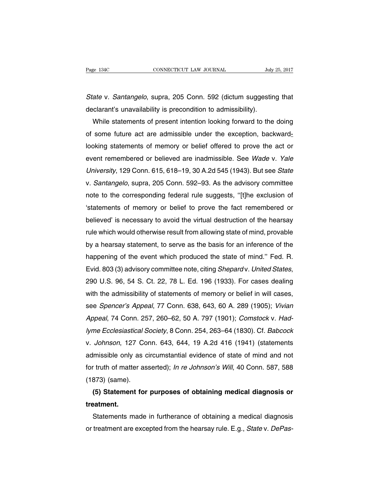State v. Santangelo, supra, 205 Conn. 592 (dictum suggesting that declarant's unavailability is precondition to admissibility).

While statements of present intention looking forward to the doing of some future act are admissible under the exception, backwardlooking statements of memory or belief offered to prove the act or event remembered or believed are inadmissible. See Wade v. Yale University, 129 Conn. 615, 618–19, 30 A.2d 545 (1943). But see State v. Santangelo, supra, 205 Conn. 592–93. As the advisory committee note to the corresponding federal rule suggests, ''[t]he exclusion of 'statements of memory or belief to prove the fact remembered or believed' is necessary to avoid the virtual destruction of the hearsay rule which would otherwise result from allowing state of mind, provable by a hearsay statement, to serve as the basis for an inference of the happening of the event which produced the state of mind.'' Fed. R. Evid. 803 (3) advisory committee note, citing Shepard v. United States, 290 U.S. 96, 54 S. Ct. 22, 78 L. Ed. 196 (1933). For cases dealing with the admissibility of statements of memory or belief in will cases, see Spencer's Appeal, 77 Conn. 638, 643, 60 A. 289 (1905); Vivian Appeal, 74 Conn. 257, 260–62, 50 A. 797 (1901); Comstock v. Hadlyme Ecclesiastical Society, 8 Conn. 254, 263–64 (1830). Cf. Babcock v. Johnson, 127 Conn. 643, 644, 19 A.2d 416 (1941) (statements admissible only as circumstantial evidence of state of mind and not for truth of matter asserted); In re Johnson's Will, 40 Conn. 587, 588 (1873) (same).

# **(5) Statement for purposes of obtaining medical diagnosis or treatment.**

Statements made in furtherance of obtaining a medical diagnosis or treatment are excepted from the hearsay rule. E.g., State v. DePas-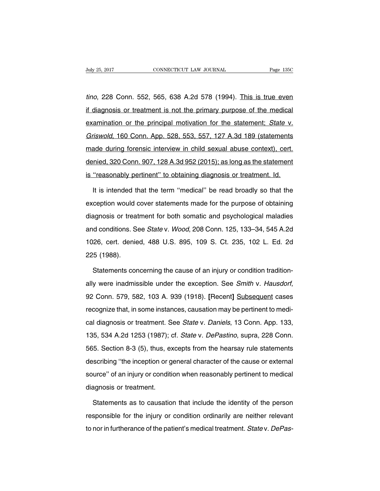tino, 228 Conn. 552, 565, 638 A.2d 578 (1994). This is true even if diagnosis or treatment is not the primary purpose of the medical examination or the principal motivation for the statement; State v. Griswold, 160 Conn. App. 528, 553, 557, 127 A.3d 189 (statements made during forensic interview in child sexual abuse context), cert. denied, 320 Conn. 907, 128 A.3d 952 (2015); as long as the statement is "reasonably pertinent" to obtaining diagnosis or treatment. Id.

It is intended that the term ''medical'' be read broadly so that the exception would cover statements made for the purpose of obtaining diagnosis or treatment for both somatic and psychological maladies and conditions. See State v. Wood, 208 Conn. 125, 133–34, 545 A.2d 1026, cert. denied, 488 U.S. 895, 109 S. Ct. 235, 102 L. Ed. 2d 225 (1988).

Statements concerning the cause of an injury or condition traditionally were inadmissible under the exception. See Smith v. Hausdorf, 92 Conn. 579, 582, 103 A. 939 (1918). **[**Recent**]** Subsequent cases recognize that, in some instances, causation may be pertinent to medical diagnosis or treatment. See State v. Daniels, 13 Conn. App. 133, 135, 534 A.2d 1253 (1987); cf. State v. DePastino, supra, 228 Conn. 565. Section 8-3 (5), thus, excepts from the hearsay rule statements describing ''the inception or general character of the cause or external source'' of an injury or condition when reasonably pertinent to medical diagnosis or treatment.

Statements as to causation that include the identity of the person responsible for the injury or condition ordinarily are neither relevant to nor in furtherance of the patient's medical treatment. State v. DePas-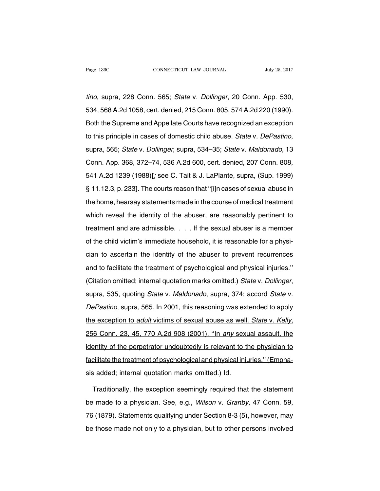tino, supra, 228 Conn. 565; State v. Dollinger, 20 Conn. App. 530, 534, 568 A.2d 1058, cert. denied, 215 Conn. 805, 574 A.2d 220 (1990). Both the Supreme and Appellate Courts have recognized an exception to this principle in cases of domestic child abuse. State v. DePastino, supra, 565; State v. Dollinger, supra, 534–35; State v. Maldonado, 13 Conn. App. 368, 372–74, 536 A.2d 600, cert. denied, 207 Conn. 808, 541 A.2d 1239 (1988)**[**; see C. Tait & J. LaPlante, supra, (Sup. 1999) § 11.12.3, p. 233**]**. The courts reason that ''[i]n cases of sexual abuse in the home, hearsay statements made in the course of medical treatment which reveal the identity of the abuser, are reasonably pertinent to treatment and are admissible. . . . If the sexual abuser is a member of the child victim's immediate household, it is reasonable for a physician to ascertain the identity of the abuser to prevent recurrences and to facilitate the treatment of psychological and physical injuries.'' (Citation omitted; internal quotation marks omitted.) State v. Dollinger, supra, 535, quoting State v. Maldonado, supra, 374; accord State v. DePastino, supra, 565. In 2001, this reasoning was extended to apply the exception to adult victims of sexual abuse as well. State v. Kelly, 256 Conn. 23, 45, 770 A.2d 908 (2001). ''In any sexual assault, the identity of the perpetrator undoubtedly is relevant to the physician to facilitate the treatment of psychological and physical injuries.'' (Emphasis added; internal quotation marks omitted.) Id.

Traditionally, the exception seemingly required that the statement be made to a physician. See, e.g., Wilson v. Granby, 47 Conn. 59, 76 (1879). Statements qualifying under Section 8-3 (5), however, may be those made not only to a physician, but to other persons involved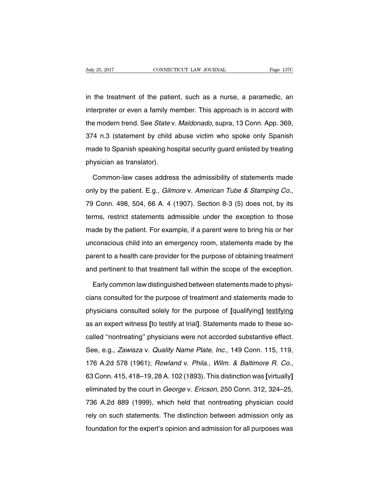in the treatment of the patient, such as a nurse, a paramedic, an interpreter or even a family member. This approach is in accord with the modern trend. See State v. Maldonado, supra, 13 Conn. App. 369, 374 n.3 (statement by child abuse victim who spoke only Spanish made to Spanish speaking hospital security guard enlisted by treating physician as translator).

Common-law cases address the admissibility of statements made only by the patient. E.g., Gilmore v. American Tube & Stamping Co., 79 Conn. 498, 504, 66 A. 4 (1907). Section 8-3 (5) does not, by its terms, restrict statements admissible under the exception to those made by the patient. For example, if a parent were to bring his or her unconscious child into an emergency room, statements made by the parent to a health care provider for the purpose of obtaining treatment and pertinent to that treatment fall within the scope of the exception.

Early common law distinguished between statements made to physicians consulted for the purpose of treatment and statements made to physicians consulted solely for the purpose of **[**qualifying**]** testifying as an expert witness **[**to testify at trial**]**. Statements made to these socalled ''nontreating'' physicians were not accorded substantive effect. See, e.g., Zawisza v. Quality Name Plate, Inc., 149 Conn. 115, 119, 176 A.2d 578 (1961); Rowland v. Phila., Wilm. & Baltimore R. Co., 63 Conn. 415, 418–19, 28 A. 102 (1893). This distinction was **[**virtually**]** eliminated by the court in *George v. Ericson*, 250 Conn. 312, 324–25, 736 A.2d 889 (1999), which held that nontreating physician could rely on such statements. The distinction between admission only as foundation for the expert's opinion and admission for all purposes was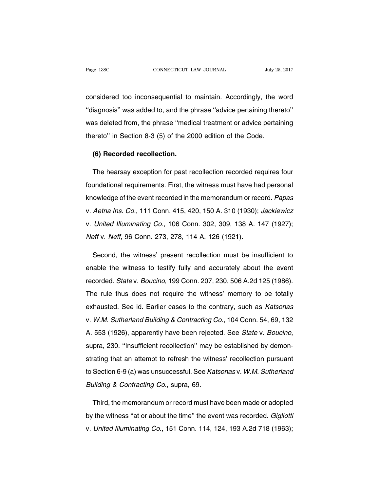considered too inconsequential to maintain. Accordingly, the word ''diagnosis'' was added to, and the phrase ''advice pertaining thereto'' was deleted from, the phrase ''medical treatment or advice pertaining thereto'' in Section 8-3 (5) of the 2000 edition of the Code.

## **(6) Recorded recollection.**

The hearsay exception for past recollection recorded requires four foundational requirements. First, the witness must have had personal knowledge of the event recorded in the memorandum or record. Papas v. Aetna Ins. Co., 111 Conn. 415, 420, 150 A. 310 (1930); Jackiewicz v. United Illuminating Co., 106 Conn. 302, 309, 138 A. 147 (1927); Neff v. Neff, 96 Conn. 273, 278, 114 A. 126 (1921).

Second, the witness' present recollection must be insufficient to enable the witness to testify fully and accurately about the event recorded. State v. Boucino, 199 Conn. 207, 230, 506 A.2d 125 (1986). The rule thus does not require the witness' memory to be totally exhausted. See id. Earlier cases to the contrary, such as Katsonas v. W.M. Sutherland Building & Contracting Co., 104 Conn. 54, 69, 132 A. 553 (1926), apparently have been rejected. See State v. Boucino, supra, 230. ''Insufficient recollection'' may be established by demonstrating that an attempt to refresh the witness' recollection pursuant to Section 6-9 (a) was unsuccessful. See Katsonas v. W.M. Sutherland Building & Contracting Co., supra, 69.

Third, the memorandum or record must have been made or adopted by the witness "at or about the time" the event was recorded. Gigliotti v. United Illuminating Co., 151 Conn. 114, 124, 193 A.2d 718 (1963);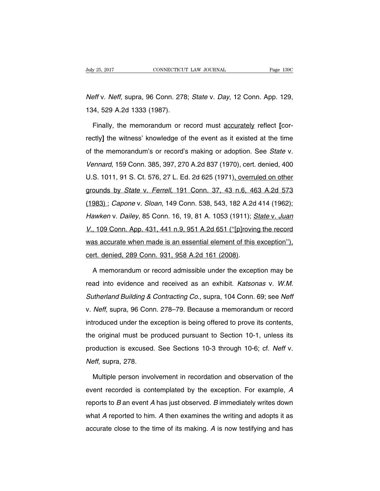Neff v. Neff, supra, 96 Conn. 278; State v. Day, 12 Conn. App. 129, 134, 529 A.2d 1333 (1987).

Finally, the memorandum or record must accurately reflect **[**correctly**]** the witness' knowledge of the event as it existed at the time of the memorandum's or record's making or adoption. See State v. Vennard, 159 Conn. 385, 397, 270 A.2d 837 (1970), cert. denied, 400 U.S. 1011, 91 S. Ct. 576, 27 L. Ed. 2d 625 (1971), overruled on other grounds by State v. Ferrell, 191 Conn. 37, 43 n.6, 463 A.2d 573 (1983) ; Capone v. Sloan, 149 Conn. 538, 543, 182 A.2d 414 (1962); Hawken v. Dailey, 85 Conn. 16, 19, 81 A. 1053 (1911); State v. Juan V., 109 Conn. App. 431, 441 n.9, 951 A.2d 651 (''[p]roving the record was accurate when made is an essential element of this exception''), cert. denied, 289 Conn. 931, 958 A.2d 161 (2008).

A memorandum or record admissible under the exception may be read into evidence and received as an exhibit. Katsonas v. W.M. Sutherland Building & Contracting Co., supra, 104 Conn. 69; see Neff v. Neff, supra, 96 Conn. 278–79. Because a memorandum or record introduced under the exception is being offered to prove its contents, the original must be produced pursuant to Section 10-1, unless its production is excused. See Sections 10-3 through 10-6; cf. Neff v. Neff, supra, 278.

Multiple person involvement in recordation and observation of the event recorded is contemplated by the exception. For example, A reports to  $B$  an event  $A$  has just observed.  $B$  immediately writes down what A reported to him. A then examines the writing and adopts it as accurate close to the time of its making. A is now testifying and has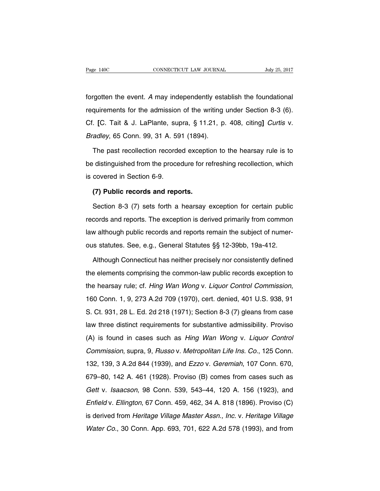forgotten the event. A may independently establish the foundational requirements for the admission of the writing under Section 8-3 (6). Cf. **[**C. Tait & J. LaPlante, supra, § 11.21, p. 408, citing**]** Curtis v. Bradley, 65 Conn. 99, 31 A. 591 (1894).

The past recollection recorded exception to the hearsay rule is to be distinguished from the procedure for refreshing recollection, which is covered in Section 6-9.

### **(7) Public records and reports.**

Section 8-3 (7) sets forth a hearsay exception for certain public records and reports. The exception is derived primarily from common law although public records and reports remain the subject of numerous statutes. See, e.g., General Statutes §§ 12-39bb, 19a-412.

Although Connecticut has neither precisely nor consistently defined the elements comprising the common-law public records exception to the hearsay rule; cf. Hing Wan Wong v. Liquor Control Commission, 160 Conn. 1, 9, 273 A.2d 709 (1970), cert. denied, 401 U.S. 938, 91 S. Ct. 931, 28 L. Ed. 2d 218 (1971); Section 8-3 (7) gleans from case law three distinct requirements for substantive admissibility. Proviso (A) is found in cases such as Hing Wan Wong v. Liquor Control Commission, supra, 9, Russo v. Metropolitan Life Ins. Co., 125 Conn. 132, 139, 3 A.2d 844 (1939), and Ezzo v. Geremiah, 107 Conn. 670, 679–80, 142 A. 461 (1928). Proviso (B) comes from cases such as Gett v. Isaacson, 98 Conn. 539, 543–44, 120 A. 156 (1923), and Enfield v. Ellington, 67 Conn. 459, 462, 34 A. 818 (1896). Proviso (C) is derived from Heritage Village Master Assn., Inc. v. Heritage Village Water Co., 30 Conn. App. 693, 701, 622 A.2d 578 (1993), and from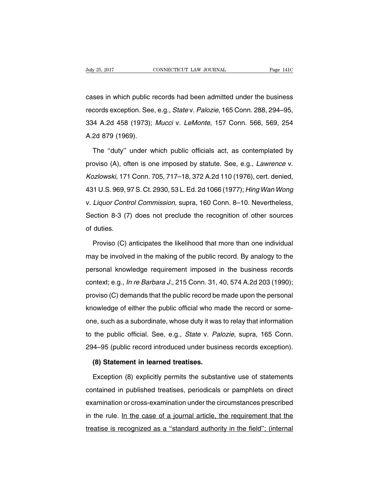cases in which public records had been admitted under the business records exception. See, e.g., State v. Palozie, 165 Conn. 288, 294–95, 334 A.2d 458 (1973); Mucci v. LeMonte, 157 Conn. 566, 569, 254 A.2d 879 (1969).

The ''duty'' under which public officials act, as contemplated by proviso (A), often is one imposed by statute. See, e.g., Lawrence v. Kozlowski, 171 Conn. 705, 717–18, 372 A.2d 110 (1976), cert. denied, 431 U.S. 969, 97S. Ct. 2930, 53 L.Ed. 2d 1066 (1977); Hing Wan Wong v. Liquor Control Commission, supra, 160 Conn. 8–10. Nevertheless, Section 8-3 (7) does not preclude the recognition of other sources of duties.

Proviso (C) anticipates the likelihood that more than one individual may be involved in the making of the public record. By analogy to the personal knowledge requirement imposed in the business records context; e.g., In re Barbara J., 215 Conn. 31, 40, 574 A.2d 203 (1990); proviso (C) demands that the public record be made upon the personal knowledge of either the public official who made the record or someone, such as a subordinate, whose duty it was to relay that information to the public official. See, e.g., State v. Palozie, supra, 165 Conn. 294–95 (public record introduced under business records exception).

#### **(8) Statement in learned treatises.**

Exception (8) explicitly permits the substantive use of statements contained in published treatises, periodicals or pamphlets on direct examination or cross-examination under the circumstances prescribed in the rule. In the case of a journal article, the requirement that the treatise is recognized as a ''standard authority in the field''; (internal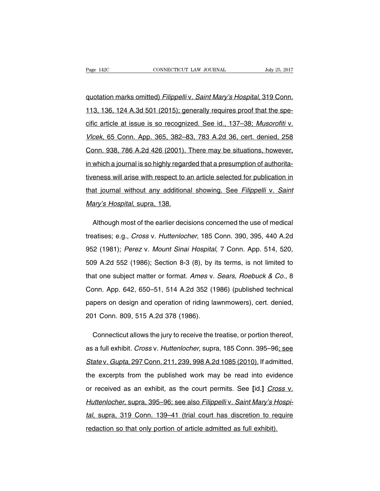quotation marks omitted) Filippelli v. Saint Mary's Hospital, 319 Conn. 113, 136, 124 A.3d 501 (2015); generally requires proof that the specific article at issue is so recognized. See id., 137–38; Musorofiti v. Vlcek, 65 Conn. App. 365, 382–83, 783 A.2d 36, cert. denied, 258 Conn. 938, 786 A.2d 426 (2001). There may be situations, however, in which a journal is so highly regarded that a presumption of authoritativeness will arise with respect to an article selected for publication in that journal without any additional showing. See Filippelli v. Saint Mary's Hospital, supra, 138.

Although most of the earlier decisions concerned the use of medical treatises; e.g., Cross v. Huttenlocher, 185 Conn. 390, 395, 440 A.2d 952 (1981); Perez v. Mount Sinai Hospital, 7 Conn. App. 514, 520, 509 A.2d 552 (1986); Section 8-3 (8), by its terms, is not limited to that one subject matter or format. Ames v. Sears, Roebuck & Co., 8 Conn. App. 642, 650–51, 514 A.2d 352 (1986) (published technical papers on design and operation of riding lawnmowers), cert. denied, 201 Conn. 809, 515 A.2d 378 (1986).

Connecticut allows the jury to receive the treatise, or portion thereof, as a full exhibit. Cross v. Huttenlocher, supra, 185 Conn. 395–96; see State v. Gupta, 297 Conn. 211, 239, 998 A.2d 1085 (2010). If admitted, the excerpts from the published work may be read into evidence or received as an exhibit, as the court permits. See **[**id.**]** Cross v. Huttenlocher, supra, 395–96; see also Filippelli v. Saint Mary's Hospital, supra, 319 Conn. 139–41 (trial court has discretion to require redaction so that only portion of article admitted as full exhibit).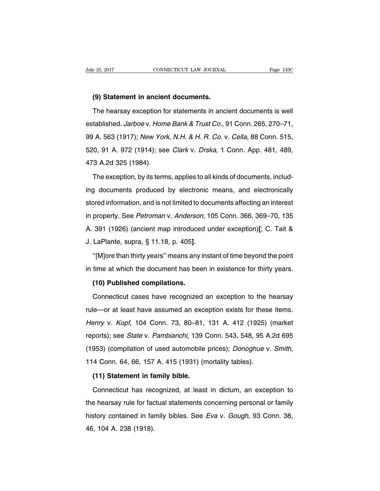#### **(9) Statement in ancient documents.**

The hearsay exception for statements in ancient documents is well established. Jarboe v. Home Bank & Trust Co., 91 Conn. 265, 270–71, 99 A. 563 (1917); New York, N.H. & H. R. Co. v. Cella, 88 Conn. 515, 520, 91 A. 972 (1914); see Clark v. Drska, 1 Conn. App. 481, 489, 473 A.2d 325 (1984).

The exception, by its terms, applies to all kinds of documents, including documents produced by electronic means, and electronically stored information, and is not limited to documents affecting an interest in property. See Petroman v. Anderson, 105 Conn. 366, 369–70, 135 A. 391 (1926) (ancient map introduced under exception)**[**; C. Tait & J. LaPlante, supra, § 11.18, p. 405**]**.

''[M]ore than thirty years'' means any instant of time beyond the point in time at which the document has been in existence for thirty years.

#### **(10) Published compilations.**

Connecticut cases have recognized an exception to the hearsay rule—or at least have assumed an exception exists for these items. Henry v. Kopf, 104 Conn. 73, 80–81, 131 A. 412 (1925) (market reports); see State v. Pambianchi, 139 Conn. 543, 548, 95 A.2d 695 (1953) (compilation of used automobile prices); Donoghue v. Smith, 114 Conn. 64, 66, 157 A. 415 (1931) (mortality tables).

#### **(11) Statement in family bible.**

Connecticut has recognized, at least in dictum, an exception to the hearsay rule for factual statements concerning personal or family history contained in family bibles. See Eva v. Gough, 93 Conn. 38, 46, 104 A. 238 (1918).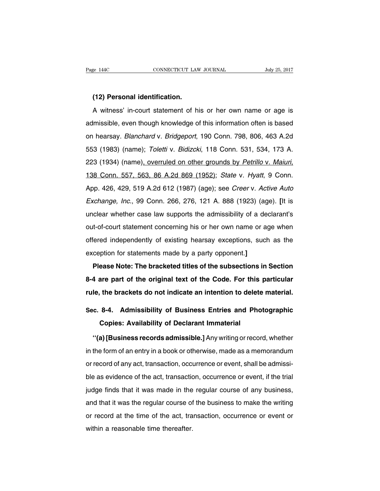#### **(12) Personal identification.**

A witness' in-court statement of his or her own name or age is admissible, even though knowledge of this information often is based on hearsay. Blanchard v. Bridgeport, 190 Conn. 798, 806, 463 A.2d 553 (1983) (name); Toletti v. Bidizcki, 118 Conn. 531, 534, 173 A. 223 (1934) (name), overruled on other grounds by Petrillo v. Maiuri, 138 Conn. 557, 563, 86 A.2d 869 (1952); State v. Hyatt, 9 Conn. App. 426, 429, 519 A.2d 612 (1987) (age); see Creer v. Active Auto Exchange, Inc., 99 Conn. 266, 276, 121 A. 888 (1923) (age). **[**It is unclear whether case law supports the admissibility of a declarant's out-of-court statement concerning his or her own name or age when offered independently of existing hearsay exceptions, such as the exception for statements made by a party opponent.**]**

**Please Note: The bracketed titles of the subsections in Section 8-4 are part of the original text of the Code. For this particular rule, the brackets do not indicate an intention to delete material.**

# **Sec. 8-4. Admissibility of Business Entries and Photographic Copies: Availability of Declarant Immaterial**

**''(a) [Business records admissible.]** Any writing orrecord, whether in the form of an entry in a book or otherwise, made as a memorandum or record of any act, transaction, occurrence or event, shall be admissible as evidence of the act, transaction, occurrence or event, if the trial judge finds that it was made in the regular course of any business, and that it was the regular course of the business to make the writing or record at the time of the act, transaction, occurrence or event or within a reasonable time thereafter.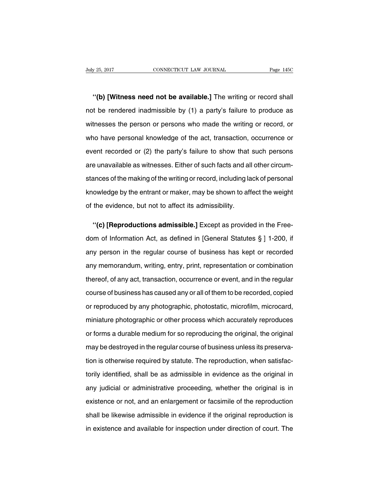**''(b) [Witness need not be available.]** The writing or record shall not be rendered inadmissible by (1) a party's failure to produce as witnesses the person or persons who made the writing or record, or who have personal knowledge of the act, transaction, occurrence or event recorded or (2) the party's failure to show that such persons are unavailable as witnesses. Either of such facts and all other circumstances of the making of the writing or record, including lack of personal knowledge by the entrant or maker, may be shown to affect the weight of the evidence, but not to affect its admissibility.

**''(c) [Reproductions admissible.]** Except as provided in the Freedom of Information Act, as defined in [General Statutes § ] 1-200, if any person in the regular course of business has kept or recorded any memorandum, writing, entry, print, representation or combination thereof, of any act, transaction, occurrence or event, and in the regular course of business has caused any or all of them to be recorded, copied or reproduced by any photographic, photostatic, microfilm, microcard, miniature photographic or other process which accurately reproduces or forms a durable medium for so reproducing the original, the original may be destroyed in the regular course of business unless its preservation is otherwise required by statute. The reproduction, when satisfactorily identified, shall be as admissible in evidence as the original in any judicial or administrative proceeding, whether the original is in existence or not, and an enlargement or facsimile of the reproduction shall be likewise admissible in evidence if the original reproduction is in existence and available for inspection under direction of court. The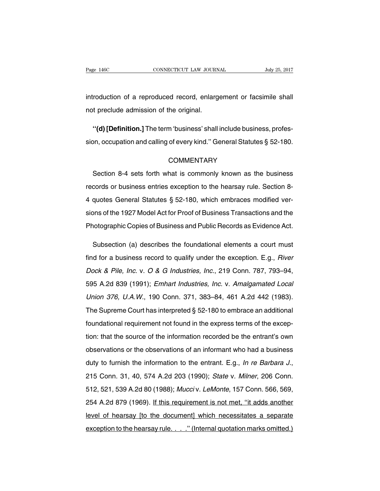introduction of a reproduced record, enlargement or facsimile shall not preclude admission of the original.

**''(d) [Definition.]** The term 'business' shall include business, profession, occupation and calling of every kind.'' General Statutes § 52-180.

# **COMMENTARY**

Section 8-4 sets forth what is commonly known as the business records or business entries exception to the hearsay rule. Section 8- 4 quotes General Statutes § 52-180, which embraces modified versions of the 1927 Model Act for Proof of Business Transactions and the Photographic Copies of Business and Public Records as Evidence Act.

Subsection (a) describes the foundational elements a court must find for a business record to qualify under the exception. E.g., River Dock & Pile, Inc. v. O & G Industries, Inc., 219 Conn. 787, 793–94, 595 A.2d 839 (1991); Emhart Industries, Inc. v. Amalgamated Local Union 376, U.A.W., 190 Conn. 371, 383–84, 461 A.2d 442 (1983). The Supreme Court has interpreted § 52-180 to embrace an additional foundational requirement not found in the express terms of the exception: that the source of the information recorded be the entrant's own observations or the observations of an informant who had a business duty to furnish the information to the entrant. E.g., In re Barbara J., 215 Conn. 31, 40, 574 A.2d 203 (1990); State v. Milner, 206 Conn. 512, 521, 539 A.2d 80 (1988); Mucci v. LeMonte, 157 Conn. 566, 569, 254 A.2d 879 (1969). If this requirement is not met, ''it adds another level of hearsay [to the document] which necessitates a separate exception to the hearsay rule. . . . " (Internal quotation marks omitted.)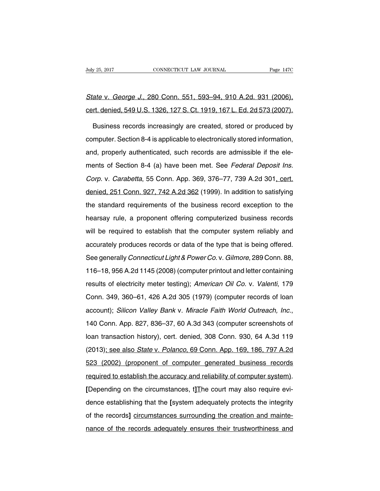# State v. George J., 280 Conn. 551, 593–94, 910 A.2d. 931 (2006), cert. denied, 549 U.S. 1326, 127 S. Ct. 1919, 167 L. Ed. 2d 573 (2007).

Business records increasingly are created, stored or produced by computer. Section 8-4 is applicable to electronically stored information, and, properly authenticated, such records are admissible if the elements of Section 8-4 (a) have been met. See Federal Deposit Ins. Corp. v. Carabetta, 55 Conn. App. 369, 376-77, 739 A.2d 301, cert. denied, 251 Conn. 927, 742 A.2d 362 (1999). In addition to satisfying the standard requirements of the business record exception to the hearsay rule, a proponent offering computerized business records will be required to establish that the computer system reliably and accurately produces records or data of the type that is being offered. See generally Connecticut Light & Power Co. v. Gilmore, 289 Conn. 88, 116–18, 956 A.2d 1145 (2008) (computer printout and letter containing results of electricity meter testing); American Oil Co. v. Valenti, 179 Conn. 349, 360–61, 426 A.2d 305 (1979) (computer records of loan account); Silicon Valley Bank v. Miracle Faith World Outreach, Inc., 140 Conn. App. 827, 836–37, 60 A.3d 343 (computer screenshots of loan transaction history), cert. denied, 308 Conn. 930, 64 A.3d 119 (2013); see also State v. Polanco, 69 Conn. App. 169, 186, 797 A.2d 523 (2002) (proponent of computer generated business records required to establish the accuracy and reliability of computer system). **[**Depending on the circumstances, t**]**The court may also require evidence establishing that the **[**system adequately protects the integrity of the records**]** circumstances surrounding the creation and maintenance of the records adequately ensures their trustworthiness and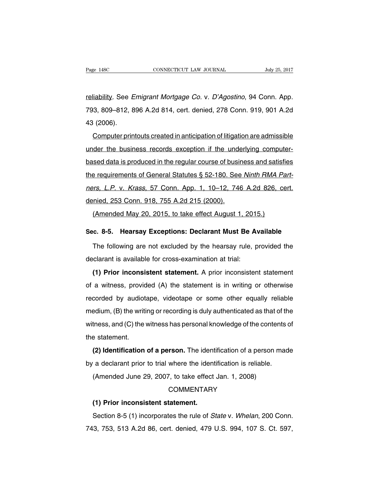reliability. See Emigrant Mortgage Co. v. D'Agostino, 94 Conn. App. 793, 809–812, 896 A.2d 814, cert. denied, 278 Conn. 919, 901 A.2d 43 (2006).

Computer printouts created in anticipation of litigation are admissible under the business records exception if the underlying computerbased data is produced in the regular course of business and satisfies the requirements of General Statutes § 52-180. See Ninth RMA Partners, L.P. v. Krass, 57 Conn. App. 1, 10–12, 746 A.2d 826, cert. denied, 253 Conn. 918, 755 A.2d 215 (2000).

(Amended May 20, 2015, to take effect August 1, 2015.)

# **Sec. 8-5. Hearsay Exceptions: Declarant Must Be Available**

The following are not excluded by the hearsay rule, provided the declarant is available for cross-examination at trial:

**(1) Prior inconsistent statement.** A prior inconsistent statement of a witness, provided (A) the statement is in writing or otherwise recorded by audiotape, videotape or some other equally reliable medium, (B) the writing or recording is duly authenticated as that of the witness, and (C) the witness has personal knowledge of the contents of the statement.

**(2) Identification of a person.** The identification of a person made by a declarant prior to trial where the identification is reliable.

(Amended June 29, 2007, to take effect Jan. 1, 2008)

# **COMMENTARY**

#### **(1) Prior inconsistent statement.**

Section 8-5 (1) incorporates the rule of State v. Whelan, 200 Conn. 743, 753, 513 A.2d 86, cert. denied, 479 U.S. 994, 107 S. Ct. 597,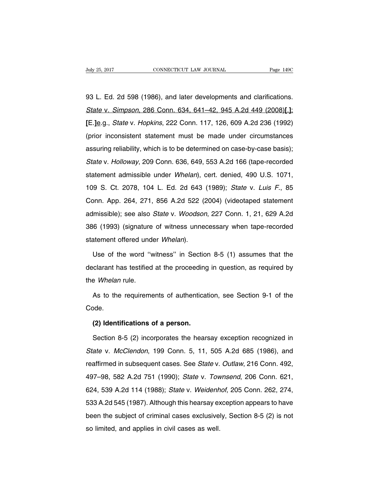93 L. Ed. 2d 598 (1986), and later developments and clarifications. State v. Simpson, 286 Conn. 634, 641–42, 945 A.2d 449 (2008)**[**.**]**; **[**E.**]**e.g., State v. Hopkins, 222 Conn. 117, 126, 609 A.2d 236 (1992) (prior inconsistent statement must be made under circumstances assuring reliability, which is to be determined on case-by-case basis); State v. Holloway, 209 Conn. 636, 649, 553 A.2d 166 (tape-recorded statement admissible under Whelan), cert. denied, 490 U.S. 1071, 109 S. Ct. 2078, 104 L. Ed. 2d 643 (1989); State v. Luis F., 85 Conn. App. 264, 271, 856 A.2d 522 (2004) (videotaped statement admissible); see also *State* v. *Woodson*, 227 Conn. 1, 21, 629 A.2d 386 (1993) (signature of witness unnecessary when tape-recorded statement offered under Whelan).

Use of the word ''witness'' in Section 8-5 (1) assumes that the declarant has testified at the proceeding in question, as required by the Whelan rule.

As to the requirements of authentication, see Section 9-1 of the Code.

### **(2) Identifications of a person.**

Section 8-5 (2) incorporates the hearsay exception recognized in State v. McClendon, 199 Conn. 5, 11, 505 A.2d 685 (1986), and reaffirmed in subsequent cases. See State v. Outlaw, 216 Conn. 492, 497–98, 582 A.2d 751 (1990); State v. Townsend, 206 Conn. 621, 624, 539 A.2d 114 (1988); State v. Weidenhof, 205 Conn. 262, 274, 533 A.2d 545 (1987). Although this hearsay exception appears to have been the subject of criminal cases exclusively, Section 8-5 (2) is not so limited, and applies in civil cases as well.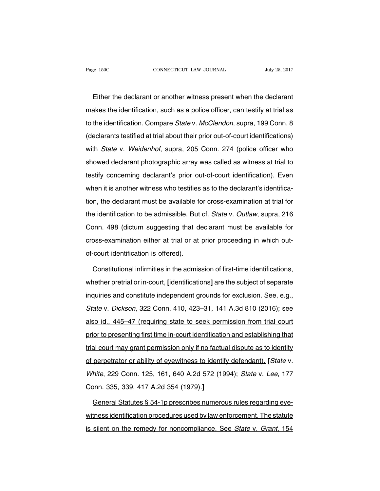Either the declarant or another witness present when the declarant makes the identification, such as a police officer, can testify at trial as to the identification. Compare State v. McClendon, supra, 199 Conn. 8 (declarants testified at trial about their prior out-of-court identifications) with State v. Weidenhof, supra, 205 Conn. 274 (police officer who showed declarant photographic array was called as witness at trial to testify concerning declarant's prior out-of-court identification). Even when it is another witness who testifies as to the declarant's identification, the declarant must be available for cross-examination at trial for the identification to be admissible. But cf. State v. Outlaw, supra, 216 Conn. 498 (dictum suggesting that declarant must be available for cross-examination either at trial or at prior proceeding in which outof-court identification is offered).

Constitutional infirmities in the admission of first-time identifications, whether pretrial or in-court, **[**identifications**]** are the subject of separate inquiries and constitute independent grounds for exclusion. See, e.g., State v. Dickson, 322 Conn. 410, 423–31, 141 A.3d 810 (2016); see also id., 445–47 (requiring state to seek permission from trial court prior to presenting first time in-court identification and establishing that trial court may grant permission only if no factual dispute as to identity of perpetrator or ability of eyewitness to identify defendant). **[**State v. White, 229 Conn. 125, 161, 640 A.2d 572 (1994); State v. Lee, 177 Conn. 335, 339, 417 A.2d 354 (1979).**]**

General Statutes § 54-1p prescribes numerous rules regarding eyewitness identification procedures used by law enforcement. The statute is silent on the remedy for noncompliance. See State v. Grant, 154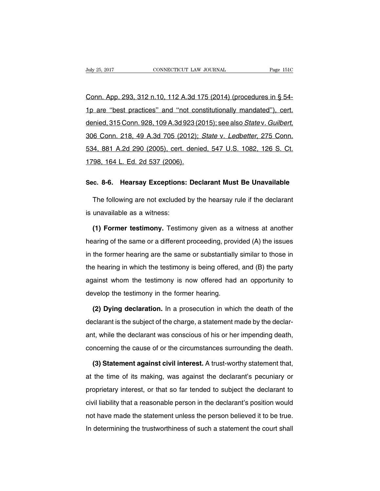Conn. App. 293, 312 n.10, 112 A.3d 175 (2014) (procedures in § 54- 1p are ''best practices'' and ''not constitutionally mandated''), cert. denied, 315 Conn. 928, 109 A.3d 923 (2015); see also State v. Guilbert, 306 Conn. 218, 49 A.3d 705 (2012); State v. Ledbetter, 275 Conn. 534, 881 A.2d 290 (2005), cert. denied, 547 U.S. 1082, 126 S. Ct. 1798, 164 L. Ed. 2d 537 (2006).

#### **Sec. 8-6. Hearsay Exceptions: Declarant Must Be Unavailable**

The following are not excluded by the hearsay rule if the declarant is unavailable as a witness:

**(1) Former testimony.** Testimony given as a witness at another hearing of the same or a different proceeding, provided (A) the issues in the former hearing are the same or substantially similar to those in the hearing in which the testimony is being offered, and (B) the party against whom the testimony is now offered had an opportunity to develop the testimony in the former hearing.

**(2) Dying declaration.** In a prosecution in which the death of the declarant is the subject of the charge, a statement made by the declarant, while the declarant was conscious of his or her impending death, concerning the cause of or the circumstances surrounding the death.

**(3) Statement against civil interest.** A trust-worthy statement that, at the time of its making, was against the declarant's pecuniary or proprietary interest, or that so far tended to subject the declarant to civil liability that a reasonable person in the declarant's position would not have made the statement unless the person believed it to be true. In determining the trustworthiness of such a statement the court shall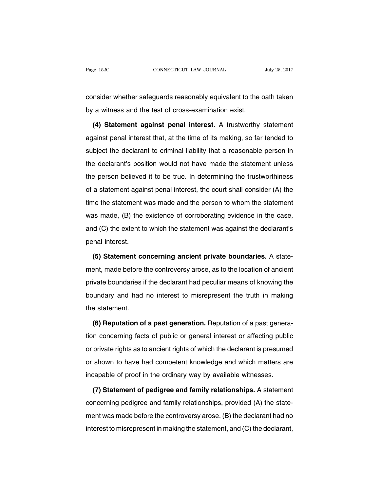consider whether safeguards reasonably equivalent to the oath taken by a witness and the test of cross-examination exist.

**(4) Statement against penal interest.** A trustworthy statement against penal interest that, at the time of its making, so far tended to subject the declarant to criminal liability that a reasonable person in the declarant's position would not have made the statement unless the person believed it to be true. In determining the trustworthiness of a statement against penal interest, the court shall consider (A) the time the statement was made and the person to whom the statement was made, (B) the existence of corroborating evidence in the case, and (C) the extent to which the statement was against the declarant's penal interest.

**(5) Statement concerning ancient private boundaries.** A statement, made before the controversy arose, as to the location of ancient private boundaries if the declarant had peculiar means of knowing the boundary and had no interest to misrepresent the truth in making the statement.

**(6) Reputation of a past generation.** Reputation of a past generation concerning facts of public or general interest or affecting public or private rights as to ancient rights of which the declarant is presumed or shown to have had competent knowledge and which matters are incapable of proof in the ordinary way by available witnesses.

**(7) Statement of pedigree and family relationships.** A statement concerning pedigree and family relationships, provided (A) the statement was made before the controversy arose, (B) the declarant had no interest to misrepresent in making the statement, and (C) the declarant,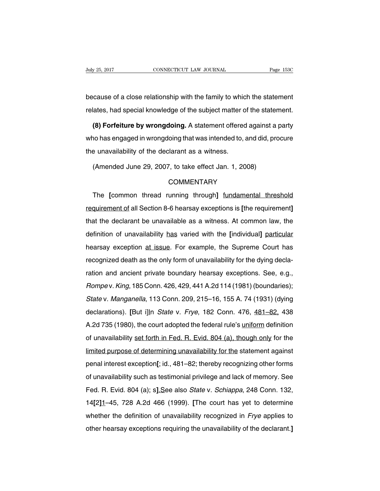because of a close relationship with the family to which the statement relates, had special knowledge of the subject matter of the statement.

**(8) Forfeiture by wrongdoing.** A statement offered against a party who has engaged in wrongdoing that was intended to, and did, procure the unavailability of the declarant as a witness.

(Amended June 29, 2007, to take effect Jan. 1, 2008)

# **COMMENTARY**

The **[**common thread running through**]** fundamental threshold requirement of all Section 8-6 hearsay exceptions is **[**the requirement**]** that the declarant be unavailable as a witness. At common law, the definition of unavailability has varied with the **[**individual**]** particular hearsay exception at issue. For example, the Supreme Court has recognized death as the only form of unavailability for the dying declaration and ancient private boundary hearsay exceptions. See, e.g., Rompe v.King, 185 Conn. 426, 429, 441A.2d 114 (1981) (boundaries); State v. Manganella, 113 Conn. 209, 215–16, 155 A. 74 (1931) (dying declarations). **[**But i]In State v. Frye, 182 Conn. 476, 481–82, 438 A.2d 735 (1980), the court adopted the federal rule's uniform definition of unavailability set forth in Fed. R. Evid. 804 (a), though only for the limited purpose of determining unavailability for the statement against penal interest exception**[**; id., 481–82; thereby recognizing other forms of unavailability such as testimonial privilege and lack of memory. See Fed. R. Evid. 804 (a); s**]**.See also State v. Schiappa, 248 Conn. 132, 14**[**2**]**1–45, 728 A.2d 466 (1999). **[**The court has yet to determine whether the definition of unavailability recognized in *Frye* applies to other hearsay exceptions requiring the unavailability of the declarant.**]**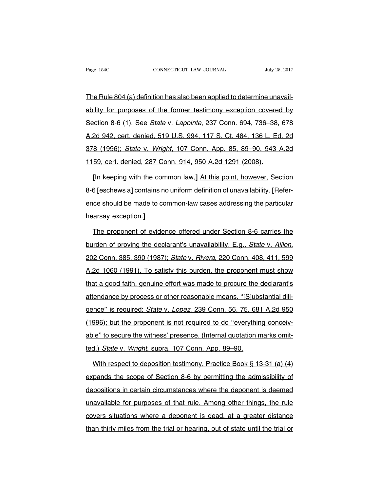The Rule 804 (a) definition has also been applied to determine unavailability for purposes of the former testimony exception covered by Section 8-6 (1). See State v. Lapointe, 237 Conn. 694, 736–38, 678 A.2d 942, cert. denied, 519 U.S. 994, 117 S. Ct. 484, 136 L. Ed. 2d 378 (1996); State v. Wright, 107 Conn. App. 85, 89–90, 943 A.2d 1159, cert. denied, 287 Conn. 914, 950 A.2d 1291 (2008).

**[**In keeping with the common law,**]** At this point, however, Section 8-6 **[**eschews a**]** contains no uniform definition of unavailability. **[**Reference should be made to common-law cases addressing the particular hearsay exception.**]**

The proponent of evidence offered under Section 8-6 carries the burden of proving the declarant's unavailability. E.g., State v. Aillon, 202 Conn. 385, 390 (1987); State v. Rivera, 220 Conn. 408, 411, 599 A.2d 1060 (1991). To satisfy this burden, the proponent must show that a good faith, genuine effort was made to procure the declarant's attendance by process or other reasonable means. ''[S]ubstantial diligence" is required; State v. Lopez, 239 Conn. 56, 75, 681 A.2d 950 (1996); but the proponent is not required to do ''everything conceivable'' to secure the witness' presence. (Internal quotation marks omitted.) State v. Wright, supra, 107 Conn. App. 89–90.

With respect to deposition testimony, Practice Book § 13-31 (a) (4) expands the scope of Section 8-6 by permitting the admissibility of depositions in certain circumstances where the deponent is deemed unavailable for purposes of that rule. Among other things, the rule covers situations where a deponent is dead, at a greater distance than thirty miles from the trial or hearing, out of state until the trial or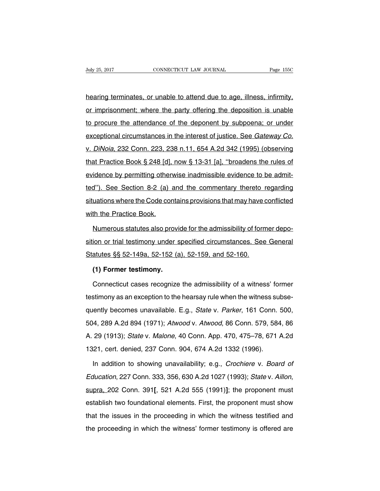hearing terminates, or unable to attend due to age, illness, infirmity, or imprisonment; where the party offering the deposition is unable to procure the attendance of the deponent by subpoena; or under exceptional circumstances in the interest of justice. See Gateway Co. v. DiNoia, 232 Conn. 223, 238 n.11, 654 A.2d 342 (1995) (observing that Practice Book § 248 [d], now § 13-31 [a], ''broadens the rules of evidence by permitting otherwise inadmissible evidence to be admitted''). See Section 8-2 (a) and the commentary thereto regarding situations where the Code contains provisions that may have conflicted with the Practice Book.

Numerous statutes also provide for the admissibility of former deposition or trial testimony under specified circumstances. See General Statutes §§ 52-149a, 52-152 (a), 52-159, and 52-160.

## **(1) Former testimony.**

Connecticut cases recognize the admissibility of a witness' former testimony as an exception to the hearsay rule when the witness subsequently becomes unavailable. E.g., State v. Parker, 161 Conn. 500, 504, 289 A.2d 894 (1971); Atwood v. Atwood, 86 Conn. 579, 584, 86 A. 29 (1913); State v. Malone, 40 Conn. App. 470, 475–78, 671 A.2d 1321, cert. denied, 237 Conn. 904, 674 A.2d 1332 (1996).

In addition to showing unavailability; e.g., Crochiere v. Board of Education, 227 Conn. 333, 356, 630 A.2d 1027 (1993); State v. Aillon, supra, 202 Conn. 391**[**, 521 A.2d 555 (1991)**]**; the proponent must establish two foundational elements. First, the proponent must show that the issues in the proceeding in which the witness testified and the proceeding in which the witness' former testimony is offered are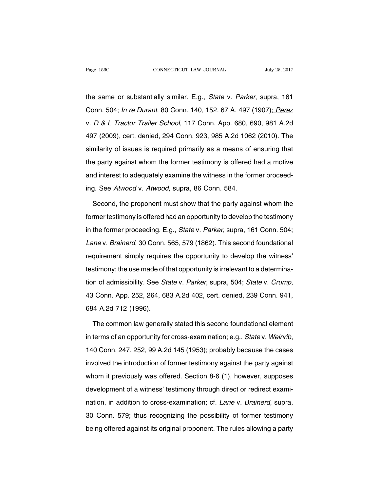the same or substantially similar. E.g., State v. Parker, supra, 161 Conn. 504; In re Durant, 80 Conn. 140, 152, 67 A. 497 (1907); Perez v. D & L Tractor Trailer School, 117 Conn. App. 680, 690, 981 A.2d 497 (2009), cert. denied, 294 Conn. 923, 985 A.2d 1062 (2010). The similarity of issues is required primarily as a means of ensuring that the party against whom the former testimony is offered had a motive and interest to adequately examine the witness in the former proceeding. See Atwood v. Atwood, supra, 86 Conn. 584.

Second, the proponent must show that the party against whom the former testimony is offered had an opportunity to develop the testimony in the former proceeding. E.g., State v. Parker, supra, 161 Conn. 504; Lane v. Brainerd, 30 Conn. 565, 579 (1862). This second foundational requirement simply requires the opportunity to develop the witness' testimony; the use made of that opportunity is irrelevant to a determination of admissibility. See State v. Parker, supra, 504; State v. Crump, 43 Conn. App. 252, 264, 683 A.2d 402, cert. denied, 239 Conn. 941, 684 A.2d 712 (1996).

The common law generally stated this second foundational element in terms of an opportunity for cross-examination; e.g., State v. Weinrib, 140 Conn. 247, 252, 99 A.2d 145 (1953); probably because the cases involved the introduction of former testimony against the party against whom it previously was offered. Section 8-6 (1), however, supposes development of a witness' testimony through direct or redirect examination, in addition to cross-examination; cf. Lane v. Brainerd, supra, 30 Conn. 579; thus recognizing the possibility of former testimony being offered against its original proponent. The rules allowing a party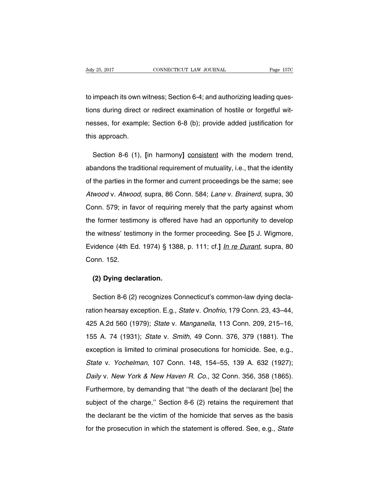to impeach its own witness; Section 6-4; and authorizing leading questions during direct or redirect examination of hostile or forgetful witnesses, for example; Section 6-8 (b); provide added justification for this approach.

Section 8-6 (1), **[**in harmony**]** consistent with the modern trend, abandons the traditional requirement of mutuality, i.e., that the identity of the parties in the former and current proceedings be the same; see Atwood v. Atwood, supra, 86 Conn. 584; Lane v. Brainerd, supra, 30 Conn. 579; in favor of requiring merely that the party against whom the former testimony is offered have had an opportunity to develop the witness' testimony in the former proceeding. See **[**5 J. Wigmore, Evidence (4th Ed. 1974) § 1388, p. 111; cf.**]** In re Durant, supra, 80 Conn. 152.

## **(2) Dying declaration.**

Section 8-6 (2) recognizes Connecticut's common-law dying declaration hearsay exception. E.g., State v. Onofrio, 179 Conn. 23, 43-44, 425 A.2d 560 (1979); State v. Manganella, 113 Conn. 209, 215–16, 155 A. 74 (1931); State v. Smith, 49 Conn. 376, 379 (1881). The exception is limited to criminal prosecutions for homicide. See, e.g., State v. Yochelman, 107 Conn. 148, 154–55, 139 A. 632 (1927); Daily v. New York & New Haven R. Co., 32 Conn. 356, 358 (1865). Furthermore, by demanding that ''the death of the declarant [be] the subject of the charge," Section 8-6 (2) retains the requirement that the declarant be the victim of the homicide that serves as the basis for the prosecution in which the statement is offered. See, e.g., State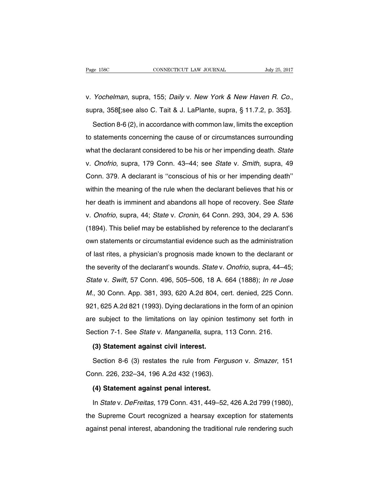v. Yochelman, supra, 155; Daily v. New York & New Haven R. Co., supra, 358**[**;see also C. Tait & J. LaPlante, supra, § 11.7.2, p. 353**]**.

Section 8-6 (2), in accordance with common law, limits the exception to statements concerning the cause of or circumstances surrounding what the declarant considered to be his or her impending death. State v. Onofrio, supra, 179 Conn. 43–44; see State v. Smith, supra, 49 Conn. 379. A declarant is ''conscious of his or her impending death'' within the meaning of the rule when the declarant believes that his or her death is imminent and abandons all hope of recovery. See State v. Onofrio, supra, 44; State v. Cronin, 64 Conn. 293, 304, 29 A. 536 (1894). This belief may be established by reference to the declarant's own statements or circumstantial evidence such as the administration of last rites, a physician's prognosis made known to the declarant or the severity of the declarant's wounds. State v. Onofrio, supra, 44–45; State v. Swift, 57 Conn. 496, 505–506, 18 A. 664 (1888); In re Jose M., 30 Conn. App. 381, 393, 620 A.2d 804, cert. denied, 225 Conn. 921, 625 A.2d 821 (1993). Dying declarations in the form of an opinion are subject to the limitations on lay opinion testimony set forth in Section 7-1. See State v. Manganella, supra, 113 Conn. 216.

#### **(3) Statement against civil interest.**

Section 8-6 (3) restates the rule from Ferguson v. Smazer, 151 Conn. 226, 232–34, 196 A.2d 432 (1963).

## **(4) Statement against penal interest.**

In State v. DeFreitas, 179 Conn. 431, 449–52, 426 A.2d 799 (1980), the Supreme Court recognized a hearsay exception for statements against penal interest, abandoning the traditional rule rendering such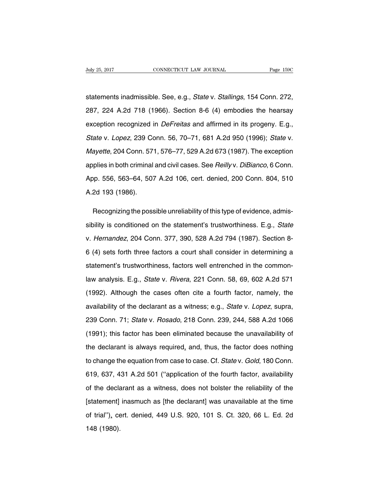statements inadmissible. See, e.g., State v. Stallings, 154 Conn. 272, 287, 224 A.2d 718 (1966). Section 8-6 (4) embodies the hearsay exception recognized in *DeFreitas* and affirmed in its progeny. E.g., State v. Lopez, 239 Conn. 56, 70–71, 681 A.2d 950 (1996); State v. Mayette, 204 Conn. 571, 576–77, 529 A.2d 673 (1987). The exception applies in both criminal and civil cases. See Reilly v. DiBianco, 6 Conn. App. 556, 563–64, 507 A.2d 106, cert. denied, 200 Conn. 804, 510 A.2d 193 (1986).

Recognizing the possible unreliability of this type of evidence, admissibility is conditioned on the statement's trustworthiness. E.g., State v. Hernandez, 204 Conn. 377, 390, 528 A.2d 794 (1987). Section 8- 6 (4) sets forth three factors a court shall consider in determining a statement's trustworthiness, factors well entrenched in the commonlaw analysis. E.g., State v. Rivera, 221 Conn. 58, 69, 602 A.2d 571 (1992). Although the cases often cite a fourth factor, namely, the availability of the declarant as a witness; e.g., State v. Lopez, supra, 239 Conn. 71; State v. Rosado, 218 Conn. 239, 244, 588 A.2d 1066 (1991); this factor has been eliminated because the unavailability of the declarant is always required, and, thus, the factor does nothing to change the equation from case to case. Cf. State v. Gold, 180 Conn. 619, 637, 431 A.2d 501 (''application of the fourth factor, availability of the declarant as a witness, does not bolster the reliability of the [statement] inasmuch as [the declarant] was unavailable at the time of trial''), cert. denied, 449 U.S. 920, 101 S. Ct. 320, 66 L. Ed. 2d 148 (1980).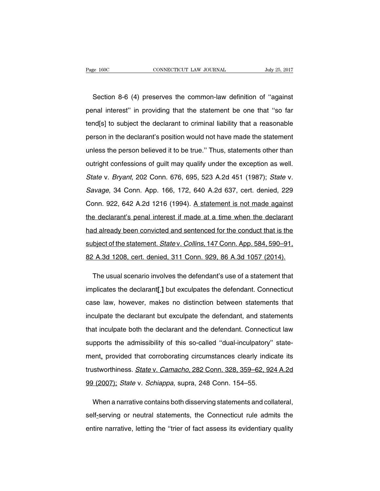Section 8-6 (4) preserves the common-law definition of ''against penal interest'' in providing that the statement be one that ''so far tend[s] to subject the declarant to criminal liability that a reasonable person in the declarant's position would not have made the statement unless the person believed it to be true.'' Thus, statements other than outright confessions of guilt may qualify under the exception as well. State v. Bryant, 202 Conn. 676, 695, 523 A.2d 451 (1987); State v. Savage, 34 Conn. App. 166, 172, 640 A.2d 637, cert. denied, 229 Conn. 922, 642 A.2d 1216 (1994). A statement is not made against the declarant's penal interest if made at a time when the declarant had already been convicted and sentenced for the conduct that is the subject of the statement. *State v. Collins*, 147 Conn. App. 584, 590–91, 82 A.3d 1208, cert. denied, 311 Conn. 929, 86 A.3d 1057 (2014).

The usual scenario involves the defendant's use of a statement that implicates the declarant**[**,**]** but exculpates the defendant. Connecticut case law, however, makes no distinction between statements that inculpate the declarant but exculpate the defendant, and statements that inculpate both the declarant and the defendant. Connecticut law supports the admissibility of this so-called ''dual-inculpatory'' statement, provided that corroborating circumstances clearly indicate its trustworthiness. State v. Camacho, 282 Conn. 328, 359–62, 924 A.2d 99 (2007); State v. Schiappa, supra, 248 Conn. 154–55.

When a narrative contains both disserving statements and collateral, self-serving or neutral statements, the Connecticut rule admits the entire narrative, letting the ''trier of fact assess its evidentiary quality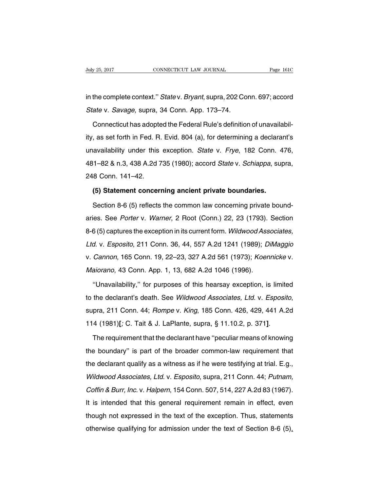in the complete context.'' State v. Bryant, supra, 202 Conn. 697; accord State v. Savage, supra, 34 Conn. App. 173–74.

Connecticut has adopted the Federal Rule's definition of unavailability, as set forth in Fed. R. Evid. 804 (a), for determining a declarant's unavailability under this exception. State v. Frye, 182 Conn. 476, 481–82 & n.3, 438 A.2d 735 (1980); accord State v. Schiappa, supra, 248 Conn. 141–42.

## **(5) Statement concerning ancient private boundaries.**

Section 8-6 (5) reflects the common law concerning private boundaries. See Porter v. Warner, 2 Root (Conn.) 22, 23 (1793). Section 8-6 (5) captures the exception in its current form. Wildwood Associates, Ltd. v. Esposito, 211 Conn. 36, 44, 557 A.2d 1241 (1989); DiMaggio v. Cannon, 165 Conn. 19, 22–23, 327 A.2d 561 (1973); Koennicke v. Maiorano, 43 Conn. App. 1, 13, 682 A.2d 1046 (1996).

''Unavailability,'' for purposes of this hearsay exception, is limited to the declarant's death. See Wildwood Associates, Ltd. v. Esposito, supra, 211 Conn. 44; Rompe v. King, 185 Conn. 426, 429, 441 A.2d 114 (1981)**[**; C. Tait & J. LaPlante, supra, § 11.10.2, p. 371**]**.

The requirement that the declarant have ''peculiar means of knowing the boundary'' is part of the broader common-law requirement that the declarant qualify as a witness as if he were testifying at trial. E.g., Wildwood Associates, Ltd. v. Esposito, supra, 211 Conn. 44; Putnam, Coffin & Burr, Inc. v. Halpern, 154 Conn. 507, 514, 227 A.2d 83 (1967). It is intended that this general requirement remain in effect, even though not expressed in the text of the exception. Thus, statements otherwise qualifying for admission under the text of Section 8-6 (5),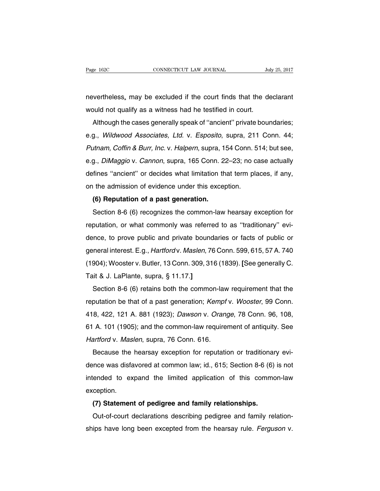nevertheless, may be excluded if the court finds that the declarant would not qualify as a witness had he testified in court.

Although the cases generally speak of ''ancient'' private boundaries; e.g., Wildwood Associates, Ltd. v. Esposito, supra, 211 Conn. 44; Putnam, Coffin & Burr, Inc. v. Halpern, supra, 154 Conn. 514; but see, e.g., DiMaggio v. Cannon, supra, 165 Conn. 22–23; no case actually defines ''ancient'' or decides what limitation that term places, if any, on the admission of evidence under this exception.

### **(6) Reputation of a past generation.**

Section 8-6 (6) recognizes the common-law hearsay exception for reputation, or what commonly was referred to as ''traditionary'' evidence, to prove public and private boundaries or facts of public or general interest. E.g., Hartford v. Maslen, 76 Conn. 599, 615, 57 A. 740 (1904); Wooster v. Butler, 13 Conn. 309, 316 (1839). **[**See generally C. Tait & J. LaPlante, supra, § 11.17.**]**

Section 8-6 (6) retains both the common-law requirement that the reputation be that of a past generation; Kempf v. Wooster, 99 Conn. 418, 422, 121 A. 881 (1923); Dawson v. Orange, 78 Conn. 96, 108, 61 A. 101 (1905); and the common-law requirement of antiquity. See Hartford v. Maslen, supra, 76 Conn. 616.

Because the hearsay exception for reputation or traditionary evidence was disfavored at common law; id., 615; Section 8-6 (6) is not intended to expand the limited application of this common-law exception.

## **(7) Statement of pedigree and family relationships.**

Out-of-court declarations describing pedigree and family relationships have long been excepted from the hearsay rule. Ferguson v.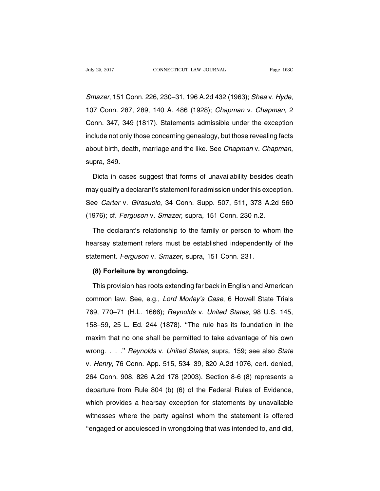Smazer, 151 Conn. 226, 230–31, 196 A.2d 432 (1963); Shea v. Hyde, 107 Conn. 287, 289, 140 A. 486 (1928); Chapman v. Chapman, 2 Conn. 347, 349 (1817). Statements admissible under the exception include not only those concerning genealogy, but those revealing facts about birth, death, marriage and the like. See Chapman v. Chapman, supra, 349.

Dicta in cases suggest that forms of unavailability besides death may qualify a declarant's statement for admission under this exception. See Carter v. Girasuolo, 34 Conn. Supp. 507, 511, 373 A.2d 560 (1976); cf. Ferguson v. Smazer, supra, 151 Conn. 230 n.2.

The declarant's relationship to the family or person to whom the hearsay statement refers must be established independently of the statement. Ferguson v. Smazer, supra, 151 Conn. 231.

## **(8) Forfeiture by wrongdoing.**

This provision has roots extending far back in English and American common law. See, e.g., Lord Morley's Case, 6 Howell State Trials 769, 770–71 (H.L. 1666); Reynolds v. United States, 98 U.S. 145, 158–59, 25 L. Ed. 244 (1878). ''The rule has its foundation in the maxim that no one shall be permitted to take advantage of his own wrong. . . ." Reynolds v. United States, supra, 159; see also State v. Henry, 76 Conn. App. 515, 534–39, 820 A.2d 1076, cert. denied, 264 Conn. 908, 826 A.2d 178 (2003). Section 8-6 (8) represents a departure from Rule 804 (b) (6) of the Federal Rules of Evidence, which provides a hearsay exception for statements by unavailable witnesses where the party against whom the statement is offered ''engaged or acquiesced in wrongdoing that was intended to, and did,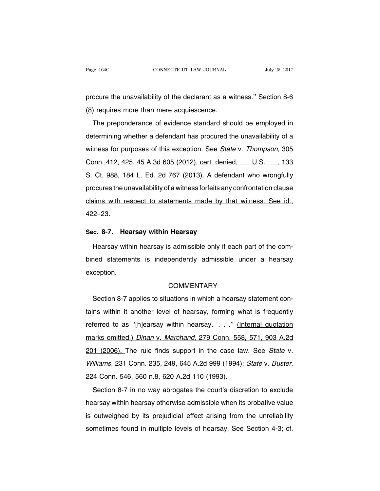procure the unavailability of the declarant as a witness.'' Section 8-6 (8) requires more than mere acquiescence.

The preponderance of evidence standard should be employed in determining whether a defendant has procured the unavailability of a witness for purposes of this exception. See State v. Thompson, 305 Conn. 412, 425, 45 A.3d 605 (2012), cert. denied, U.S. , 133 S. Ct. 988, 184 L. Ed. 2d 767 (2013). A defendant who wrongfully procures the unavailability of a witness forfeits any confrontation clause claims with respect to statements made by that witness. See id., 422–23.

#### **Sec. 8-7. Hearsay within Hearsay**

Hearsay within hearsay is admissible only if each part of the combined statements is independently admissible under a hearsay exception.

## **COMMENTARY**

Section 8-7 applies to situations in which a hearsay statement contains within it another level of hearsay, forming what is frequently referred to as ''[h]earsay within hearsay. . . .'' (Internal quotation marks omitted.) Dinan v. Marchand, 279 Conn. 558, 571, 903 A.2d 201 (2006). The rule finds support in the case law. See State v. Williams, 231 Conn. 235, 249, 645 A.2d 999 (1994); State v. Buster, 224 Conn. 546, 560 n.8, 620 A.2d 110 (1993).

Section 8-7 in no way abrogates the court's discretion to exclude hearsay within hearsay otherwise admissible when its probative value is outweighed by its prejudicial effect arising from the unreliability sometimes found in multiple levels of hearsay. See Section 4-3; cf.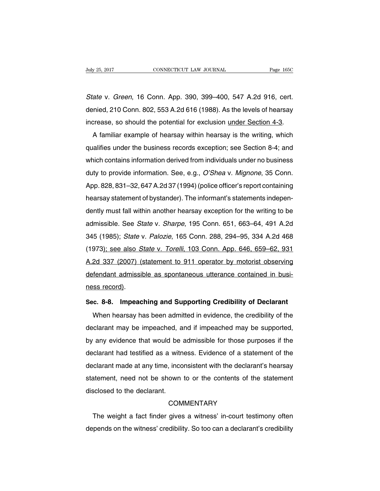State v. Green, 16 Conn. App. 390, 399–400, 547 A.2d 916, cert. denied, 210 Conn. 802, 553 A.2d 616 (1988). As the levels of hearsay increase, so should the potential for exclusion under Section 4-3.

A familiar example of hearsay within hearsay is the writing, which qualifies under the business records exception; see Section 8-4; and which contains information derived from individuals under no business duty to provide information. See, e.g., O'Shea v. Mignone, 35 Conn. App. 828, 831–32, 647A.2d 37 (1994)(police officer's report containing hearsay statement of bystander). The informant's statements independently must fall within another hearsay exception for the writing to be admissible. See State v. Sharpe, 195 Conn. 651, 663–64, 491 A.2d 345 (1985); State v. Palozie, 165 Conn. 288, 294–95, 334 A.2d 468 (1973); see also State v. Torelli, 103 Conn. App. 646, 659–62, 931 A.2d 337 (2007) (statement to 911 operator by motorist observing defendant admissible as spontaneous utterance contained in business record).

#### **Sec. 8-8. Impeaching and Supporting Credibility of Declarant**

When hearsay has been admitted in evidence, the credibility of the declarant may be impeached, and if impeached may be supported, by any evidence that would be admissible for those purposes if the declarant had testified as a witness. Evidence of a statement of the declarant made at any time, inconsistent with the declarant's hearsay statement, need not be shown to or the contents of the statement disclosed to the declarant.

# **COMMENTARY**

The weight a fact finder gives a witness' in-court testimony often depends on the witness' credibility. So too can a declarant's credibility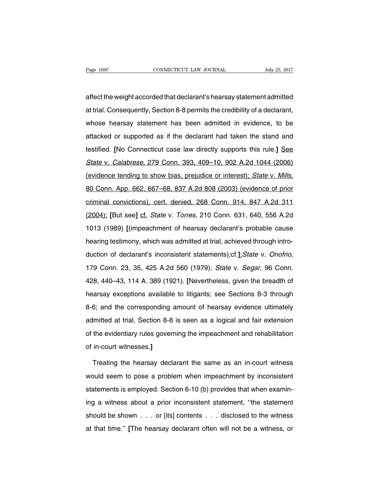affect the weight accorded that declarant's hearsay statement admitted at trial. Consequently, Section 8-8 permits the credibility of a declarant, whose hearsay statement has been admitted in evidence, to be attacked or supported as if the declarant had taken the stand and testified. **[**No Connecticut case law directly supports this rule.**]** See State v. Calabrese, 279 Conn. 393, 409–10, 902 A.2d 1044 (2006) (evidence tending to show bias, prejudice or interest); State v. Mills, 80 Conn. App. 662, 667–68, 837 A.2d 808 (2003) (evidence of prior criminal convictions), cert. denied, 268 Conn. 914, 847 A.2d 311 (2004); **[**But see**]** cf. State v. Torres, 210 Conn. 631, 640, 556 A.2d 1013 (1989) **[**(impeachment of hearsay declarant's probable cause hearing testimony, which was admitted at trial, achieved through introduction of declarant's inconsistent statements);cf.**]**;State v. Onofrio, 179 Conn. 23, 35, 425 A.2d 560 (1979); State v. Segar, 96 Conn. 428, 440–43, 114 A. 389 (1921). **[**Nevertheless, given the breadth of hearsay exceptions available to litigants; see Sections 8-3 through 8-6; and the corresponding amount of hearsay evidence ultimately admitted at trial, Section 8-8 is seen as a logical and fair extension of the evidentiary rules governing the impeachment and rehabilitation of in-court witnesses.**]**

Treating the hearsay declarant the same as an in-court witness would seem to pose a problem when impeachment by inconsistent statements is employed. Section 6-10 (b) provides that when examining a witness about a prior inconsistent statement, ''the statement should be shown . . . or [its] contents . . . disclosed to the witness at that time.'' **[**The hearsay declarant often will not be a witness, or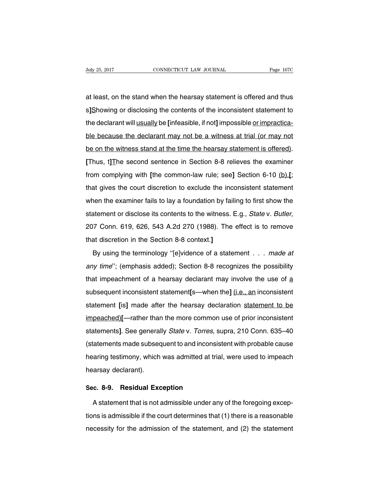at least, on the stand when the hearsay statement is offered and thus s**]**Showing or disclosing the contents of the inconsistent statement to the declarant will usually be **[**infeasible, if not**]** impossible or impracticable because the declarant may not be a witness at trial (or may not be on the witness stand at the time the hearsay statement is offered). **[**Thus, t**]**The second sentence in Section 8-8 relieves the examiner from complying with **[**the common-law rule; see**]** Section 6-10 (b).**[**; that gives the court discretion to exclude the inconsistent statement when the examiner fails to lay a foundation by failing to first show the statement or disclose its contents to the witness. E.g., State v. Butler, 207 Conn. 619, 626, 543 A.2d 270 (1988). The effect is to remove that discretion in the Section 8-8 context.**]**

By using the terminology "[e]vidence of a statement . . . made at any time"; (emphasis added); Section 8-8 recognizes the possibility that impeachment of a hearsay declarant may involve the use of a subsequent inconsistent statement**[**s—when the**]** (i.e., an inconsistent statement **[**is**]** made after the hearsay declaration statement to be impeached)**[**—rather than the more common use of prior inconsistent statements**]**. See generally State v. Torres, supra, 210 Conn. 635–40 (statements made subsequent to and inconsistent with probable cause hearing testimony, which was admitted at trial, were used to impeach hearsay declarant).

## **Sec. 8-9. Residual Exception**

A statement that is not admissible under any of the foregoing exceptions is admissible if the court determines that (1) there is a reasonable necessity for the admission of the statement, and (2) the statement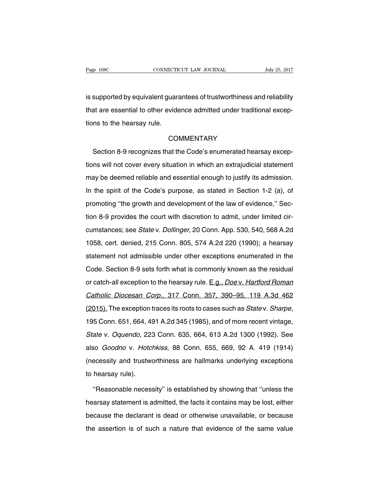is supported by equivalent guarantees of trustworthiness and reliability that are essential to other evidence admitted under traditional exceptions to the hearsay rule.

#### **COMMENTARY**

Section 8-9 recognizes that the Code's enumerated hearsay exceptions will not cover every situation in which an extrajudicial statement may be deemed reliable and essential enough to justify its admission. In the spirit of the Code's purpose, as stated in Section 1-2 (a), of promoting ''the growth and development of the law of evidence,'' Section 8-9 provides the court with discretion to admit, under limited circumstances; see State v. Dollinger, 20 Conn. App. 530, 540, 568 A.2d 1058, cert. denied, 215 Conn. 805, 574 A.2d 220 (1990); a hearsay statement not admissible under other exceptions enumerated in the Code. Section 8-9 sets forth what is commonly known as the residual or catch-all exception to the hearsay rule. E.g., Doe v. Hartford Roman Catholic Diocesan Corp., 317 Conn. 357, 390–95, 119 A.3d 462 (2015). The exception traces its roots to cases such as State v. Sharpe, 195 Conn. 651, 664, 491 A.2d 345 (1985), and of more recent vintage, State v. Oquendo, 223 Conn. 635, 664, 613 A.2d 1300 (1992). See also Goodno v. Hotchkiss, 88 Conn. 655, 669, 92 A. 419 (1914) (necessity and trustworthiness are hallmarks underlying exceptions to hearsay rule).

''Reasonable necessity'' is established by showing that ''unless the hearsay statement is admitted, the facts it contains may be lost, either because the declarant is dead or otherwise unavailable, or because the assertion is of such a nature that evidence of the same value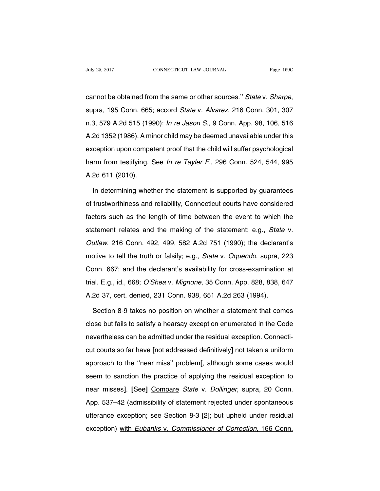cannot be obtained from the same or other sources.'' State v. Sharpe, supra, 195 Conn. 665; accord State v. Alvarez, 216 Conn. 301, 307 n.3, 579 A.2d 515 (1990); In re Jason S., 9 Conn. App. 98, 106, 516 A.2d 1352 (1986). A minor child may be deemed unavailable under this exception upon competent proof that the child will suffer psychological harm from testifying. See In re Tayler F., 296 Conn. 524, 544, 995 A.2d 611 (2010).

In determining whether the statement is supported by guarantees of trustworthiness and reliability, Connecticut courts have considered factors such as the length of time between the event to which the statement relates and the making of the statement; e.g., State v. Outlaw, 216 Conn. 492, 499, 582 A.2d 751 (1990); the declarant's motive to tell the truth or falsify; e.g., State v. Oquendo, supra, 223 Conn. 667; and the declarant's availability for cross-examination at trial. E.g., id., 668; O'Shea v. Mignone, 35 Conn. App. 828, 838, 647 A.2d 37, cert. denied, 231 Conn. 938, 651 A.2d 263 (1994).

Section 8-9 takes no position on whether a statement that comes close but fails to satisfy a hearsay exception enumerated in the Code nevertheless can be admitted under the residual exception. Connecticut courts so far have **[**not addressed definitively**]** not taken a uniform approach to the ''near miss'' problem**[**, although some cases would seem to sanction the practice of applying the residual exception to near misses**]**. **[**See**]** Compare State v. Dollinger, supra, 20 Conn. App. 537–42 (admissibility of statement rejected under spontaneous utterance exception; see Section 8-3 [2]; but upheld under residual exception) with Eubanks v. Commissioner of Correction, 166 Conn.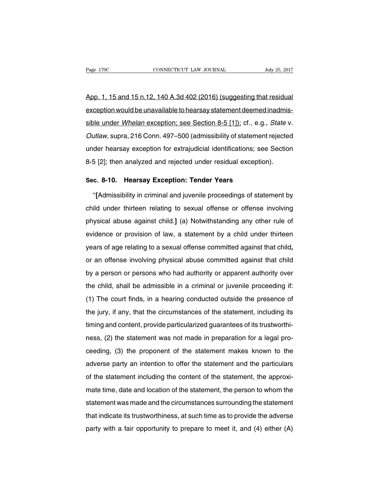App. 1, 15 and 15 n.12, 140 A.3d 402 (2016) (suggesting that residual exception would be unavailable to hearsay statement deemed inadmissible under Whelan exception; see Section 8-5 [1]); cf., e.g., State v. Outlaw, supra, 216 Conn. 497–500 (admissibility of statement rejected under hearsay exception for extrajudicial identifications; see Section 8-5 [2]; then analyzed and rejected under residual exception).

#### **Sec. 8-10. Hearsay Exception: Tender Years**

''**[**Admissibility in criminal and juvenile proceedings of statement by child under thirteen relating to sexual offense or offense involving physical abuse against child.**]** (a) Notwithstanding any other rule of evidence or provision of law, a statement by a child under thirteen years of age relating to a sexual offense committed against that child**,** or an offense involving physical abuse committed against that child by a person or persons who had authority or apparent authority over the child, shall be admissible in a criminal or juvenile proceeding if: (1) The court finds, in a hearing conducted outside the presence of the jury, if any, that the circumstances of the statement, including its timing and content, provide particularized guarantees of its trustworthiness, (2) the statement was not made in preparation for a legal proceeding, (3) the proponent of the statement makes known to the adverse party an intention to offer the statement and the particulars of the statement including the content of the statement, the approximate time, date and location of the statement, the person to whom the statement was made and the circumstances surrounding the statement that indicate its trustworthiness, at such time as to provide the adverse party with a fair opportunity to prepare to meet it, and (4) either (A)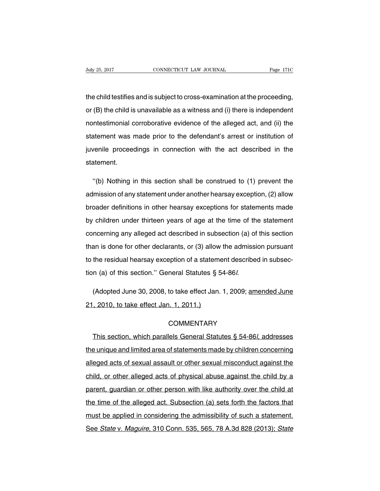the child testifies and is subject to cross-examination at the proceeding, or (B) the child is unavailable as a witness and (i) there is independent nontestimonial corroborative evidence of the alleged act, and (ii) the statement was made prior to the defendant's arrest or institution of juvenile proceedings in connection with the act described in the statement.

"(b) Nothing in this section shall be construed to (1) prevent the admission of any statement under another hearsay exception, (2) allow broader definitions in other hearsay exceptions for statements made by children under thirteen years of age at the time of the statement concerning any alleged act described in subsection (a) of this section than is done for other declarants, or (3) allow the admission pursuant to the residual hearsay exception of a statement described in subsection (a) of this section.'' General Statutes § 54-86l.

(Adopted June 30, 2008, to take effect Jan. 1, 2009; amended June 21, 2010, to take effect Jan. 1, 2011.)

## **COMMENTARY**

This section, which parallels General Statutes § 54-86l, addresses the unique and limited area of statements made by children concerning alleged acts of sexual assault or other sexual misconduct against the child, or other alleged acts of physical abuse against the child by a parent, guardian or other person with like authority over the child at the time of the alleged act. Subsection (a) sets forth the factors that must be applied in considering the admissibility of such a statement. See State v. Maguire, 310 Conn. 535, 565, 78 A.3d 828 (2013); State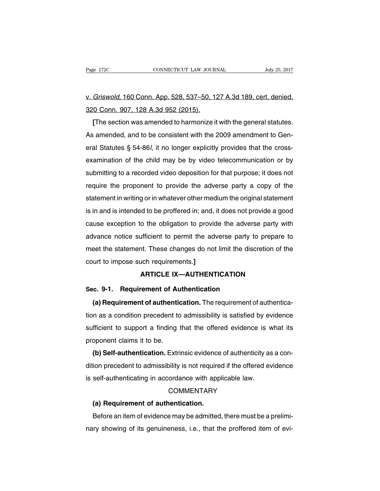# v. Griswold, 160 Conn. App. 528, 537–50, 127 A.3d 189, cert. denied, 320 Conn. 907, 128 A.3d 952 (2015).

**[**The section was amended to harmonize it with the general statutes. As amended, and to be consistent with the 2009 amendment to General Statutes § 54-86l, it no longer explicitly provides that the crossexamination of the child may be by video telecommunication or by submitting to a recorded video deposition for that purpose; it does not require the proponent to provide the adverse party a copy of the statement in writing or in whatever other medium the original statement is in and is intended to be proffered in; and, it does not provide a good cause exception to the obligation to provide the adverse party with advance notice sufficient to permit the adverse party to prepare to meet the statement. These changes do not limit the discretion of the court to impose such requirements.**]**

# **ARTICLE IX—AUTHENTICATION**

## **Sec. 9-1. Requirement of Authentication**

**(a) Requirement of authentication.** The requirement of authentication as a condition precedent to admissibility is satisfied by evidence sufficient to support a finding that the offered evidence is what its proponent claims it to be.

**(b) Self-authentication.** Extrinsic evidence of authenticity as a condition precedent to admissibility is not required if the offered evidence is self-authenticating in accordance with applicable law.

### **COMMENTARY**

#### **(a) Requirement of authentication.**

Before an item of evidence may be admitted, there must be a preliminary showing of its genuineness, i.e., that the proffered item of evi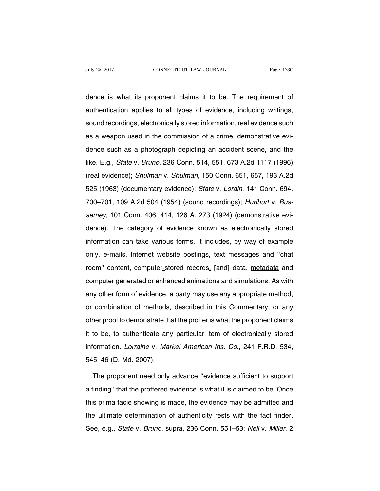dence is what its proponent claims it to be. The requirement of authentication applies to all types of evidence, including writings, sound recordings, electronically stored information, real evidence such as a weapon used in the commission of a crime, demonstrative evidence such as a photograph depicting an accident scene, and the like. E.g., State v. Bruno, 236 Conn. 514, 551, 673 A.2d 1117 (1996) (real evidence); Shulman v. Shulman, 150 Conn. 651, 657, 193 A.2d 525 (1963) (documentary evidence); State v. Lorain, 141 Conn. 694, 700–701, 109 A.2d 504 (1954) (sound recordings); Hurlburt v. Bussemey, 101 Conn. 406, 414, 126 A. 273 (1924) (demonstrative evidence). The category of evidence known as electronically stored information can take various forms. It includes, by way of example only, e-mails, Internet website postings, text messages and ''chat room'' content, computer-stored records, **[**and**]** data, metadata and computer generated or enhanced animations and simulations. As with any other form of evidence, a party may use any appropriate method, or combination of methods, described in this Commentary, or any other proof to demonstrate that the proffer is what the proponent claims it to be, to authenticate any particular item of electronically stored information. Lorraine v. Markel American Ins. Co., 241 F.R.D. 534, 545–46 (D. Md. 2007).

The proponent need only advance ''evidence sufficient to support a finding'' that the proffered evidence is what it is claimed to be. Once this prima facie showing is made, the evidence may be admitted and the ultimate determination of authenticity rests with the fact finder. See, e.g., State v. Bruno, supra, 236 Conn. 551–53; Neil v. Miller, 2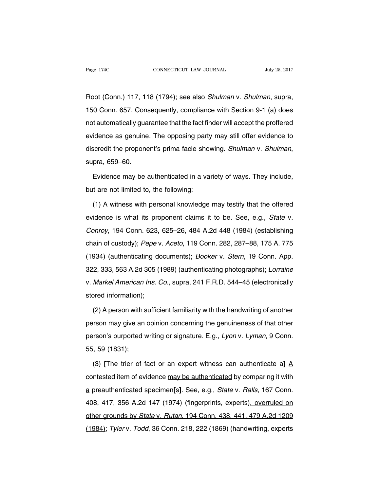Root (Conn.) 117, 118 (1794); see also Shulman v. Shulman, supra, 150 Conn. 657. Consequently, compliance with Section 9-1 (a) does not automatically guarantee that the fact finder will accept the proffered evidence as genuine. The opposing party may still offer evidence to discredit the proponent's prima facie showing. Shulman v. Shulman, supra, 659–60.

Evidence may be authenticated in a variety of ways. They include, but are not limited to, the following:

(1) A witness with personal knowledge may testify that the offered evidence is what its proponent claims it to be. See, e.g., State v. Conroy, 194 Conn. 623, 625–26, 484 A.2d 448 (1984) (establishing chain of custody); Pepe v. Aceto, 119 Conn. 282, 287–88, 175 A. 775 (1934) (authenticating documents); Booker v. Stern, 19 Conn. App. 322, 333, 563 A.2d 305 (1989) (authenticating photographs); Lorraine v. Markel American Ins. Co., supra, 241 F.R.D. 544–45 (electronically stored information);

(2) A person with sufficient familiarity with the handwriting of another person may give an opinion concerning the genuineness of that other person's purported writing or signature. E.g., Lyon v. Lyman, 9 Conn. 55, 59 (1831);

(3) **[**The trier of fact or an expert witness can authenticate a**]** A contested item of evidence may be authenticated by comparing it with a preauthenticated specimen**[**s**]**. See, e.g., State v. Ralls, 167 Conn. 408, 417, 356 A.2d 147 (1974) (fingerprints, experts), overruled on other grounds by State v. Rutan, 194 Conn. 438, 441, 479 A.2d 1209 (1984); Tyler v. Todd, 36 Conn. 218, 222 (1869) (handwriting, experts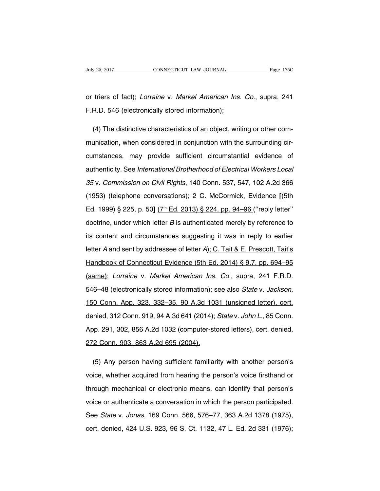or triers of fact); Lorraine v. Markel American Ins. Co., supra, 241 F.R.D. 546 (electronically stored information);

(4) The distinctive characteristics of an object, writing or other communication, when considered in conjunction with the surrounding circumstances, may provide sufficient circumstantial evidence of authenticity. See International Brotherhood of Electrical Workers Local 35 v. Commission on Civil Rights, 140 Conn. 537, 547, 102 A.2d 366 (1953) (telephone conversations); 2 C. McCormick, Evidence **[**(5th Ed. 1999) § 225, p. 50] (7<sup>th</sup> Ed. 2013) § 224, pp. 94–96 ("reply letter" doctrine, under which letter B is authenticated merely by reference to its content and circumstances suggesting it was in reply to earlier letter A and sent by addressee of letter A); C. Tait & E. Prescott, Tait's Handbook of Connecticut Evidence (5th Ed. 2014) § 9.7, pp. 694–95 (same); Lorraine v. Markel American Ins. Co., supra, 241 F.R.D. 546–48 (electronically stored information); see also State v. Jackson, 150 Conn. App. 323, 332–35, 90 A.3d 1031 (unsigned letter), cert. denied, 312 Conn. 919, 94 A.3d 641 (2014); State v. John L., 85 Conn. App. 291, 302, 856 A.2d 1032 (computer-stored letters), cert. denied, 272 Conn. 903, 863 A.2d 695 (2004).

(5) Any person having sufficient familiarity with another person's voice, whether acquired from hearing the person's voice firsthand or through mechanical or electronic means, can identify that person's voice or authenticate a conversation in which the person participated. See State v. Jonas, 169 Conn. 566, 576–77, 363 A.2d 1378 (1975), cert. denied, 424 U.S. 923, 96 S. Ct. 1132, 47 L. Ed. 2d 331 (1976);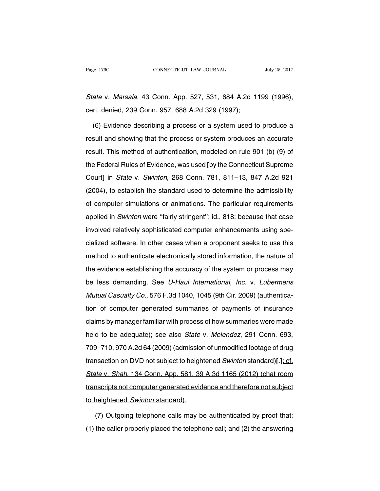State v. Marsala, 43 Conn. App. 527, 531, 684 A.2d 1199 (1996), cert. denied, 239 Conn. 957, 688 A.2d 329 (1997);

(6) Evidence describing a process or a system used to produce a result and showing that the process or system produces an accurate result. This method of authentication, modeled on rule 901 (b) (9) of the Federal Rules of Evidence, was used **[**by the Connecticut Supreme Court**]** in State v. Swinton, 268 Conn. 781, 811–13, 847 A.2d 921 (2004), to establish the standard used to determine the admissibility of computer simulations or animations. The particular requirements applied in Swinton were ''fairly stringent''; id., 818; because that case involved relatively sophisticated computer enhancements using specialized software. In other cases when a proponent seeks to use this method to authenticate electronically stored information, the nature of the evidence establishing the accuracy of the system or process may be less demanding. See U-Haul International, Inc. v. Lubermens Mutual Casualty Co., 576 F.3d 1040, 1045 (9th Cir. 2009) (authentication of computer generated summaries of payments of insurance claims by manager familiar with process of how summaries were made held to be adequate); see also State v. Melendez, 291 Conn. 693, 709–710, 970 A.2d 64 (2009) (admission of unmodified footage of drug transaction on DVD not subject to heightened Swinton standard)**[**.**]**; cf. State v. Shah, 134 Conn. App. 581, 39 A.3d 1165 (2012) (chat room transcripts not computer generated evidence and therefore not subject to heightened Swinton standard).

(7) Outgoing telephone calls may be authenticated by proof that: (1) the caller properly placed the telephone call; and (2) the answering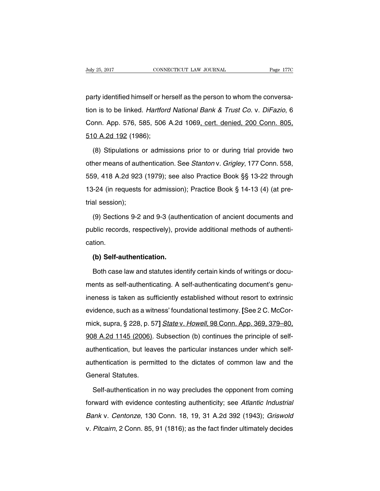party identified himself or herself as the person to whom the conversation is to be linked. Hartford National Bank & Trust Co. v. DiFazio, 6 Conn. App. 576, 585, 506 A.2d 1069, cert. denied, 200 Conn. 805, 510 A.2d 192 (1986);

(8) Stipulations or admissions prior to or during trial provide two other means of authentication. See Stanton v. Grigley, 177 Conn. 558, 559, 418 A.2d 923 (1979); see also Practice Book §§ 13-22 through 13-24 (in requests for admission); Practice Book § 14-13 (4) (at pretrial session);

(9) Sections 9-2 and 9-3 (authentication of ancient documents and public records, respectively), provide additional methods of authentication.

## **(b) Self-authentication.**

Both case law and statutes identify certain kinds of writings or documents as self-authenticating. A self-authenticating document's genuineness is taken as sufficiently established without resort to extrinsic evidence, such as a witness' foundational testimony. **[**See 2 C. McCormick, supra, § 228, p. 57**]** State v. Howell, 98 Conn. App. 369, 379–80, 908 A.2d 1145 (2006). Subsection (b) continues the principle of selfauthentication, but leaves the particular instances under which selfauthentication is permitted to the dictates of common law and the General Statutes.

Self-authentication in no way precludes the opponent from coming forward with evidence contesting authenticity; see Atlantic Industrial Bank v. Centonze, 130 Conn. 18, 19, 31 A.2d 392 (1943); Griswold v. Pitcairn, 2 Conn. 85, 91 (1816); as the fact finder ultimately decides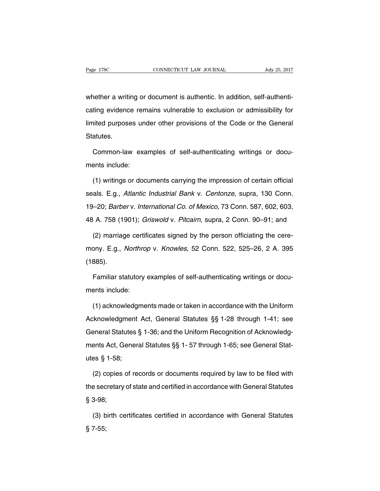whether a writing or document is authentic. In addition, self-authenticating evidence remains vulnerable to exclusion or admissibility for limited purposes under other provisions of the Code or the General Statutes.

Common-law examples of self-authenticating writings or documents include:

(1) writings or documents carrying the impression of certain official seals. E.g., Atlantic Industrial Bank v. Centonze, supra, 130 Conn. 19–20; Barber v. International Co. of Mexico, 73 Conn. 587, 602, 603, 48 A. 758 (1901); Griswold v. Pitcairn, supra, 2 Conn. 90–91; and

(2) marriage certificates signed by the person officiating the ceremony. E.g., Northrop v. Knowles, 52 Conn. 522, 525–26, 2 A. 395 (1885).

Familiar statutory examples of self-authenticating writings or documents include:

(1) acknowledgments made or taken in accordance with the Uniform Acknowledgment Act, General Statutes §§ 1-28 through 1-41; see General Statutes § 1-36; and the Uniform Recognition of Acknowledgments Act, General Statutes §§ 1- 57 through 1-65; see General Statutes § 1-58;

(2) copies of records or documents required by law to be filed with the secretary of state and certified in accordance with General Statutes § 3-98;

(3) birth certificates certified in accordance with General Statutes § 7-55;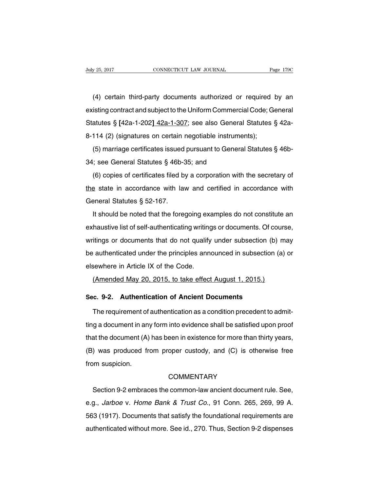(4) certain third-party documents authorized or required by an existing contract and subject to the Uniform Commercial Code; General Statutes § **[**42a-1-202**]** 42a-1-307; see also General Statutes § 42a-8-114 (2) (signatures on certain negotiable instruments);

(5) marriage certificates issued pursuant to General Statutes § 46b-34; see General Statutes § 46b-35; and

(6) copies of certificates filed by a corporation with the secretary of the state in accordance with law and certified in accordance with General Statutes § 52-167.

It should be noted that the foregoing examples do not constitute an exhaustive list of self-authenticating writings or documents. Of course, writings or documents that do not qualify under subsection (b) may be authenticated under the principles announced in subsection (a) or elsewhere in Article IX of the Code.

(Amended May 20, 2015, to take effect August 1, 2015.)

## **Sec. 9-2. Authentication of Ancient Documents**

The requirement of authentication as a condition precedent to admitting a document in any form into evidence shall be satisfied upon proof that the document (A) has been in existence for more than thirty years, (B) was produced from proper custody, and (C) is otherwise free from suspicion.

### **COMMENTARY**

Section 9-2 embraces the common-law ancient document rule. See, e.g., Jarboe v. Home Bank & Trust Co., 91 Conn. 265, 269, 99 A. 563 (1917). Documents that satisfy the foundational requirements are authenticated without more. See id., 270. Thus, Section 9-2 dispenses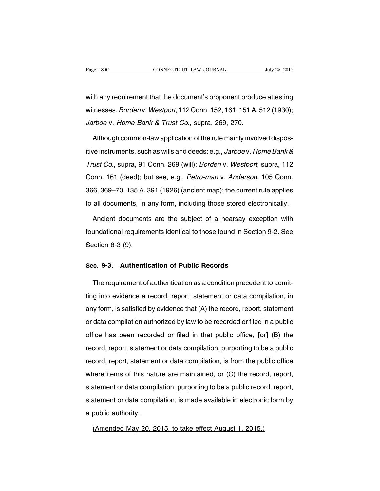with any requirement that the document's proponent produce attesting witnesses. Borden v. Westport, 112 Conn. 152, 161, 151 A. 512 (1930); Jarboe v. Home Bank & Trust Co., supra, 269, 270.

Although common-law application of the rule mainly involved dispositive instruments, such as wills and deeds; e.g., Jarboe v. Home Bank & Trust Co., supra, 91 Conn. 269 (will); Borden v. Westport, supra, 112 Conn. 161 (deed); but see, e.g., Petro-man v. Anderson, 105 Conn. 366, 369–70, 135 A. 391 (1926) (ancient map); the current rule applies to all documents, in any form, including those stored electronically.

Ancient documents are the subject of a hearsay exception with foundational requirements identical to those found in Section 9-2. See Section 8-3 (9).

# **Sec. 9-3. Authentication of Public Records**

The requirement of authentication as a condition precedent to admitting into evidence a record, report, statement or data compilation, in any form, is satisfied by evidence that (A) the record, report, statement or data compilation authorized by law to be recorded or filed in a public office has been recorded or filed in that public office, **[**or**]** (B) the record, report, statement or data compilation, purporting to be a public record, report, statement or data compilation, is from the public office where items of this nature are maintained, or (C) the record, report, statement or data compilation, purporting to be a public record, report, statement or data compilation, is made available in electronic form by a public authority.

(Amended May 20, 2015, to take effect August 1, 2015.)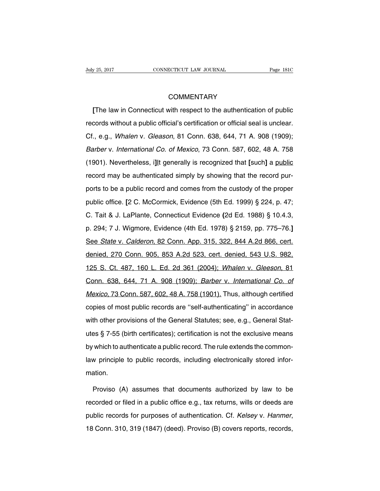# **COMMENTARY**

**[**The law in Connecticut with respect to the authentication of public records without a public official's certification or official seal is unclear. Cf., e.g., Whalen v. Gleason, 81 Conn. 638, 644, 71 A. 908 (1909); Barber v. International Co. of Mexico, 73 Conn. 587, 602, 48 A. 758 (1901). Nevertheless, i**]**It generally is recognized that **[**such**]** a public record may be authenticated simply by showing that the record purports to be a public record and comes from the custody of the proper public office. **[**2 C. McCormick, Evidence (5th Ed. 1999) § 224, p. 47; C. Tait & J. LaPlante, Connecticut Evidence **(**2d Ed. 1988) § 10.4.3, p. 294; 7 J. Wigmore, Evidence (4th Ed. 1978) § 2159, pp. 775–76.**]** See State v. Calderon, 82 Conn. App. 315, 322, 844 A.2d 866, cert. denied, 270 Conn. 905, 853 A.2d 523, cert. denied, 543 U.S. 982, 125 S. Ct. 487, 160 L. Ed. 2d 361 (2004); Whalen v. Gleeson, 81 Conn. 638, 644, 71 A. 908 (1909); Barber v. International Co. of Mexico, 73 Conn. 587, 602, 48 A. 758 (1901). Thus, although certified copies of most public records are ''self-authenticating'' in accordance with other provisions of the General Statutes; see, e.g., General Statutes § 7-55 (birth certificates); certification is not the exclusive means by which to authenticate a public record. The rule extends the commonlaw principle to public records, including electronically stored information.

Proviso (A) assumes that documents authorized by law to be recorded or filed in a public office e.g., tax returns, wills or deeds are public records for purposes of authentication. Cf. Kelsey v. Hanmer, 18 Conn. 310, 319 (1847) (deed). Proviso (B) covers reports, records,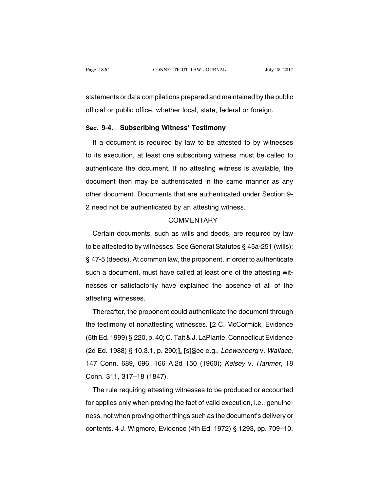statements or data compilations prepared and maintained by the public official or public office, whether local, state, federal or foreign.

## **Sec. 9-4. Subscribing Witness' Testimony**

If a document is required by law to be attested to by witnesses to its execution, at least one subscribing witness must be called to authenticate the document. If no attesting witness is available, the document then may be authenticated in the same manner as any other document. Documents that are authenticated under Section 9- 2 need not be authenticated by an attesting witness.

## **COMMENTARY**

Certain documents, such as wills and deeds, are required by law to be attested to by witnesses. See General Statutes § 45a-251 (wills); § 47-5 (deeds). At common law, the proponent, in order to authenticate such a document, must have called at least one of the attesting witnesses or satisfactorily have explained the absence of all of the attesting witnesses.

Thereafter, the proponent could authenticate the document through the testimony of nonattesting witnesses. **[**2 C. McCormick, Evidence (5th Ed. 1999) § 220, p. 40; C. Tait &J. LaPlante, Connecticut Evidence (2d Ed. 1988) § 10.3.1, p. 290;**]**. **[**s**]**See e.g., Loewenberg v. Wallace, 147 Conn. 689, 696, 166 A.2d 150 (1960); Kelsey v. Hanmer, 18 Conn. 311, 317–18 (1847).

The rule requiring attesting witnesses to be produced or accounted for applies only when proving the fact of valid execution, i.e., genuineness, not when proving other things such as the document's delivery or contents. 4 J. Wigmore, Evidence (4th Ed. 1972) § 1293, pp. 709–10.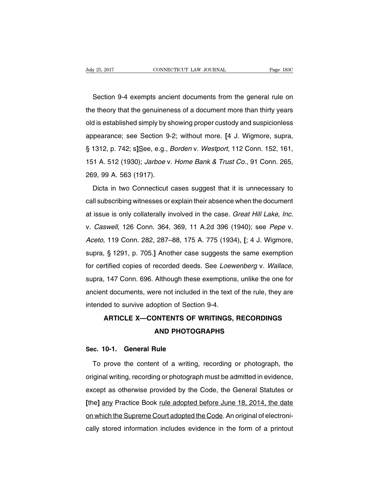Section 9-4 exempts ancient documents from the general rule on the theory that the genuineness of a document more than thirty years old is established simply by showing proper custody and suspicionless appearance; see Section 9-2; without more. **[**4 J. Wigmore, supra, § 1312, p. 742; s**]**See, e.g., Borden v. Westport, 112 Conn. 152, 161, 151 A. 512 (1930); Jarboe v. Home Bank & Trust Co., 91 Conn. 265, 269, 99 A. 563 (1917).

Dicta in two Connecticut cases suggest that it is unnecessary to call subscribing witnesses or explain their absence when the document at issue is only collaterally involved in the case. Great Hill Lake, Inc. v. Caswell, 126 Conn. 364, 369, 11 A.2d 396 (1940); see Pepe v. Aceto, 119 Conn. 282, 287–88, 175 A. 775 (1934). **[**; 4 J. Wigmore, supra, § 1291, p. 705.**]** Another case suggests the same exemption for certified copies of recorded deeds. See Loewenberg v. Wallace, supra, 147 Conn. 696. Although these exemptions, unlike the one for ancient documents, were not included in the text of the rule, they are intended to survive adoption of Section 9-4.

# **ARTICLE X—CONTENTS OF WRITINGS, RECORDINGS AND PHOTOGRAPHS**

# **Sec. 10-1. General Rule**

To prove the content of a writing, recording or photograph, the original writing, recording or photograph must be admitted in evidence, except as otherwise provided by the Code, the General Statutes or **[**the**]** any Practice Book rule adopted before June 18, 2014, the date on which the Supreme Court adopted the Code. An original of electronically stored information includes evidence in the form of a printout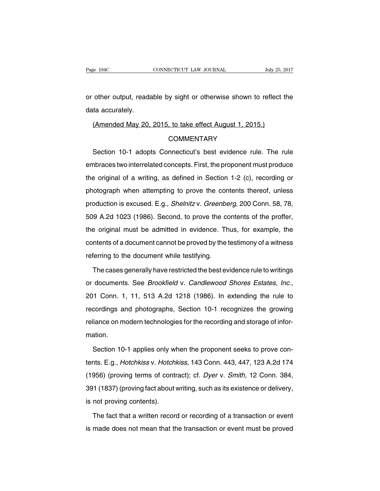or other output, readable by sight or otherwise shown to reflect the data accurately.

#### (Amended May 20, 2015, to take effect August 1, 2015.)

#### COMMENTARY

Section 10-1 adopts Connecticut's best evidence rule. The rule embraces two interrelated concepts. First, the proponent must produce the original of a writing, as defined in Section 1-2 (c), recording or photograph when attempting to prove the contents thereof, unless production is excused. E.g., Shelnitz v. Greenberg, 200 Conn. 58, 78, 509 A.2d 1023 (1986). Second, to prove the contents of the proffer, the original must be admitted in evidence. Thus, for example, the contents of a document cannot be proved by the testimony of a witness referring to the document while testifying.

The cases generally have restricted the best evidence rule to writings or documents. See Brookfield v. Candlewood Shores Estates, Inc., 201 Conn. 1, 11, 513 A.2d 1218 (1986). In extending the rule to recordings and photographs, Section 10-1 recognizes the growing reliance on modern technologies for the recording and storage of information.

Section 10-1 applies only when the proponent seeks to prove contents. E.g., Hotchkiss v. Hotchkiss, 143 Conn. 443, 447, 123 A.2d 174 (1956) (proving terms of contract); cf. Dyer v. Smith, 12 Conn. 384, 391 (1837) (proving fact about writing, such as its existence or delivery, is not proving contents).

The fact that a written record or recording of a transaction or event is made does not mean that the transaction or event must be proved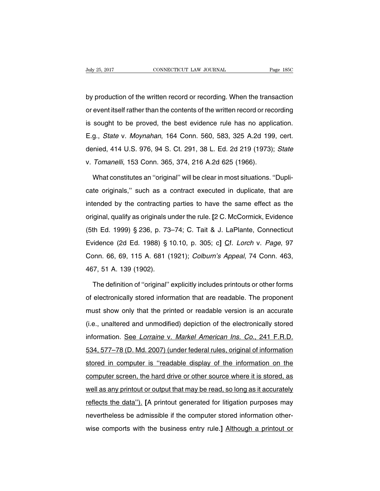by production of the written record or recording. When the transaction or event itself rather than the contents of the written record or recording is sought to be proved, the best evidence rule has no application. E.g., State v. Moynahan, 164 Conn. 560, 583, 325 A.2d 199, cert. denied, 414 U.S. 976, 94 S. Ct. 291, 38 L. Ed. 2d 219 (1973); State v. Tomanelli, 153 Conn. 365, 374, 216 A.2d 625 (1966).

What constitutes an ''original'' will be clear in most situations. ''Duplicate originals,'' such as a contract executed in duplicate, that are intended by the contracting parties to have the same effect as the original, qualify as originals under the rule. **[**2 C. McCormick, Evidence (5th Ed. 1999) § 236, p. 73–74; C. Tait & J. LaPlante, Connecticut Evidence (2d Ed. 1988) § 10.10, p. 305; c**]** Cf. Lorch v. Page, 97 Conn. 66, 69, 115 A. 681 (1921); Colburn's Appeal, 74 Conn. 463, 467, 51 A. 139 (1902).

The definition of ''original'' explicitly includes printouts or other forms of electronically stored information that are readable. The proponent must show only that the printed or readable version is an accurate (i.e., unaltered and unmodified) depiction of the electronically stored information. See Lorraine v. Markel American Ins. Co., 241 F.R.D. 534, 577–78 (D. Md. 2007) (under federal rules, original of information stored in computer is ''readable display of the information on the computer screen, the hard drive or other source where it is stored, as well as any printout or output that may be read, so long as it accurately reflects the data''). **[**A printout generated for litigation purposes may nevertheless be admissible if the computer stored information otherwise comports with the business entry rule.**]** Although a printout or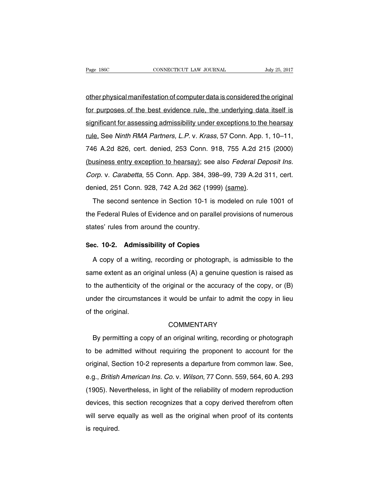other physical manifestation of computer data is considered the original for purposes of the best evidence rule, the underlying data itself is significant for assessing admissibility under exceptions to the hearsay rule. See Ninth RMA Partners, L.P. v. Krass, 57 Conn. App. 1, 10–11, 746 A.2d 826, cert. denied, 253 Conn. 918, 755 A.2d 215 (2000) (business entry exception to hearsay); see also Federal Deposit Ins. Corp. v. Carabetta, 55 Conn. App. 384, 398–99, 739 A.2d 311, cert. denied, 251 Conn. 928, 742 A.2d 362 (1999) (same).

The second sentence in Section 10-1 is modeled on rule 1001 of the Federal Rules of Evidence and on parallel provisions of numerous states' rules from around the country.

## **Sec. 10-2. Admissibility of Copies**

A copy of a writing, recording or photograph, is admissible to the same extent as an original unless (A) a genuine question is raised as to the authenticity of the original or the accuracy of the copy, or (B) under the circumstances it would be unfair to admit the copy in lieu of the original.

# **COMMENTARY**

By permitting a copy of an original writing, recording or photograph to be admitted without requiring the proponent to account for the original, Section 10-2 represents a departure from common law. See, e.g., British American Ins. Co. v. Wilson, 77 Conn. 559, 564, 60 A. 293 (1905). Nevertheless, in light of the reliability of modern reproduction devices, this section recognizes that a copy derived therefrom often will serve equally as well as the original when proof of its contents is required.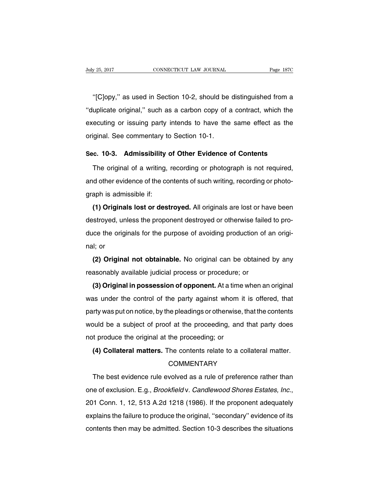''[C]opy,'' as used in Section 10-2, should be distinguished from a ''duplicate original,'' such as a carbon copy of a contract, which the executing or issuing party intends to have the same effect as the original. See commentary to Section 10-1.

# **Sec. 10-3. Admissibility of Other Evidence of Contents**

The original of a writing, recording or photograph is not required, and other evidence of the contents of such writing, recording or photograph is admissible if:

**(1) Originals lost or destroyed.** All originals are lost or have been destroyed, unless the proponent destroyed or otherwise failed to produce the originals for the purpose of avoiding production of an original; or

**(2) Original not obtainable.** No original can be obtained by any reasonably available judicial process or procedure; or

**(3) Original in possession of opponent.** At a time when an original was under the control of the party against whom it is offered, that party was put on notice, by the pleadings or otherwise, that the contents would be a subject of proof at the proceeding, and that party does not produce the original at the proceeding; or

**(4) Collateral matters.** The contents relate to a collateral matter.

## **COMMENTARY**

The best evidence rule evolved as a rule of preference rather than one of exclusion. E.g., Brookfield v. Candlewood Shores Estates, Inc., 201 Conn. 1, 12, 513 A.2d 1218 (1986). If the proponent adequately explains the failure to produce the original, ''secondary'' evidence of its contents then may be admitted. Section 10-3 describes the situations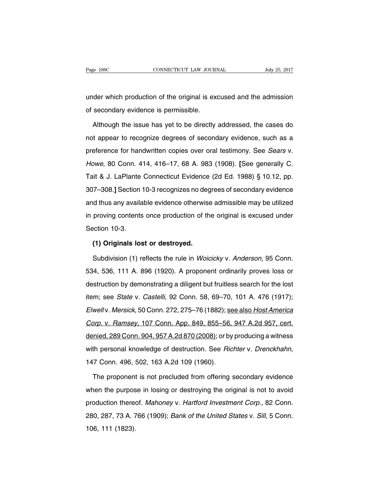under which production of the original is excused and the admission of secondary evidence is permissible.

Although the issue has yet to be directly addressed, the cases do not appear to recognize degrees of secondary evidence, such as a preference for handwritten copies over oral testimony. See Sears v. Howe, 80 Conn. 414, 416–17, 68 A. 983 (1908). **[**See generally C. Tait & J. LaPlante Connecticut Evidence (2d Ed. 1988) § 10.12, pp. 307–308.**]** Section 10-3 recognizes no degrees of secondary evidence and thus any available evidence otherwise admissible may be utilized in proving contents once production of the original is excused under Section 10-3.

#### **(1) Originals lost or destroyed.**

Subdivision (1) reflects the rule in Woicicky v. Anderson, 95 Conn. 534, 536, 111 A. 896 (1920). A proponent ordinarily proves loss or destruction by demonstrating a diligent but fruitless search for the lost item; see State v. Castelli, 92 Conn. 58, 69–70, 101 A. 476 (1917); Elwell v. Mersick, 50 Conn. 272, 275-76 (1882); see also Host America Corp. v. Ramsey, 107 Conn. App. 849, 855–56, 947 A.2d 957, cert. denied, 289 Conn. 904, 957 A.2d 870 (2008); or by producing a witness with personal knowledge of destruction. See Richter v. Drenckhahn, 147 Conn. 496, 502, 163 A.2d 109 (1960).

The proponent is not precluded from offering secondary evidence when the purpose in losing or destroying the original is not to avoid production thereof. Mahoney v. Hartford Investment Corp., 82 Conn. 280, 287, 73 A. 766 (1909); Bank of the United States v. Sill, 5 Conn. 106, 111 (1823).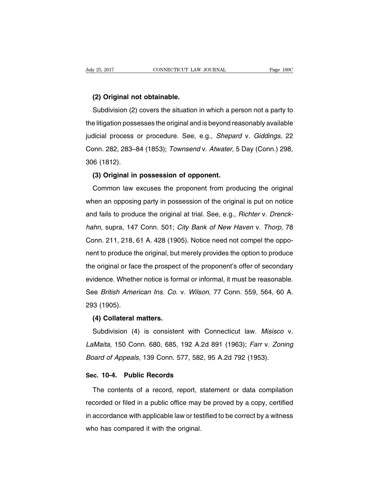## **(2) Original not obtainable.**

Subdivision (2) covers the situation in which a person not a party to the litigation possesses the original and is beyond reasonably available judicial process or procedure. See, e.g., Shepard v. Giddings, 22 Conn. 282, 283–84 (1853); Townsend v. Atwater, 5 Day (Conn.) 298, 306 (1812).

# **(3) Original in possession of opponent.**

Common law excuses the proponent from producing the original when an opposing party in possession of the original is put on notice and fails to produce the original at trial. See, e.g., Richter v. Drenckhahn, supra, 147 Conn. 501; City Bank of New Haven v. Thorp, 78 Conn. 211, 218, 61 A. 428 (1905). Notice need not compel the opponent to produce the original, but merely provides the option to produce the original or face the prospect of the proponent's offer of secondary evidence. Whether notice is formal or informal, it must be reasonable. See British American Ins. Co. v. Wilson, 77 Conn. 559, 564, 60 A. 293 (1905).

## **(4) Collateral matters.**

Subdivision (4) is consistent with Connecticut law. Misisco v. LaMaita, 150 Conn. 680, 685, 192 A.2d 891 (1963); Farr v. Zoning Board of Appeals, 139 Conn. 577, 582, 95 A.2d 792 (1953).

# **Sec. 10-4. Public Records**

The contents of a record, report, statement or data compilation recorded or filed in a public office may be proved by a copy, certified in accordance with applicable law or testified to be correct by a witness who has compared it with the original.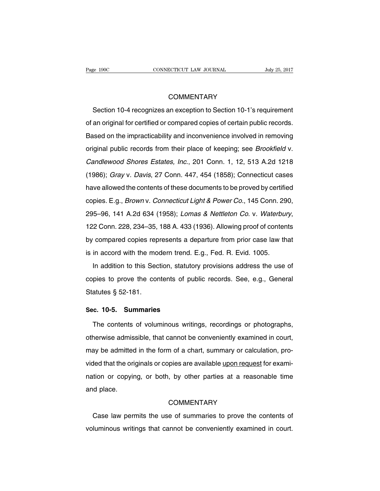# **COMMENTARY**

Section 10-4 recognizes an exception to Section 10-1's requirement of an original for certified or compared copies of certain public records. Based on the impracticability and inconvenience involved in removing original public records from their place of keeping; see Brookfield v. Candlewood Shores Estates, Inc., 201 Conn. 1, 12, 513 A.2d 1218 (1986); Gray v. Davis, 27 Conn. 447, 454 (1858); Connecticut cases have allowed the contents of these documents to be proved by certified copies. E.g., Brown v. Connecticut Light & Power Co., 145 Conn. 290, 295–96, 141 A.2d 634 (1958); Lomas & Nettleton Co. v. Waterbury, 122 Conn. 228, 234–35, 188 A. 433 (1936). Allowing proof of contents by compared copies represents a departure from prior case law that is in accord with the modern trend. E.g., Fed. R. Evid. 1005.

In addition to this Section, statutory provisions address the use of copies to prove the contents of public records. See, e.g., General Statutes § 52-181.

# **Sec. 10-5. Summaries**

The contents of voluminous writings, recordings or photographs, otherwise admissible, that cannot be conveniently examined in court, may be admitted in the form of a chart, summary or calculation, provided that the originals or copies are available upon request for examination or copying, or both, by other parties at a reasonable time and place.

## **COMMENTARY**

Case law permits the use of summaries to prove the contents of voluminous writings that cannot be conveniently examined in court.